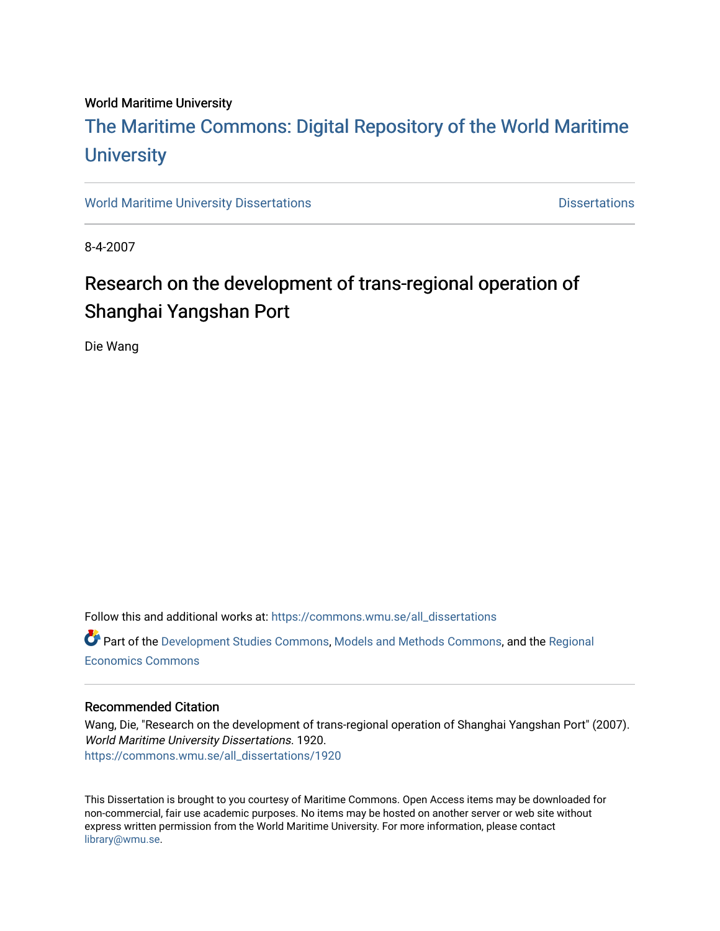#### World Maritime University

# [The Maritime Commons: Digital Repository of the World Maritime](https://commons.wmu.se/)  **University**

[World Maritime University Dissertations](https://commons.wmu.se/all_dissertations) **Distributions** [Dissertations](https://commons.wmu.se/dissertations) Dissertations

8-4-2007

# Research on the development of trans-regional operation of Shanghai Yangshan Port

Die Wang

Follow this and additional works at: [https://commons.wmu.se/all\\_dissertations](https://commons.wmu.se/all_dissertations?utm_source=commons.wmu.se%2Fall_dissertations%2F1920&utm_medium=PDF&utm_campaign=PDFCoverPages) 

Part of the [Development Studies Commons,](http://network.bepress.com/hgg/discipline/1422?utm_source=commons.wmu.se%2Fall_dissertations%2F1920&utm_medium=PDF&utm_campaign=PDFCoverPages) [Models and Methods Commons,](http://network.bepress.com/hgg/discipline/390?utm_source=commons.wmu.se%2Fall_dissertations%2F1920&utm_medium=PDF&utm_campaign=PDFCoverPages) and the [Regional](http://network.bepress.com/hgg/discipline/1307?utm_source=commons.wmu.se%2Fall_dissertations%2F1920&utm_medium=PDF&utm_campaign=PDFCoverPages) [Economics Commons](http://network.bepress.com/hgg/discipline/1307?utm_source=commons.wmu.se%2Fall_dissertations%2F1920&utm_medium=PDF&utm_campaign=PDFCoverPages) 

#### Recommended Citation

Wang, Die, "Research on the development of trans-regional operation of Shanghai Yangshan Port" (2007). World Maritime University Dissertations. 1920. [https://commons.wmu.se/all\\_dissertations/1920](https://commons.wmu.se/all_dissertations/1920?utm_source=commons.wmu.se%2Fall_dissertations%2F1920&utm_medium=PDF&utm_campaign=PDFCoverPages)

This Dissertation is brought to you courtesy of Maritime Commons. Open Access items may be downloaded for non-commercial, fair use academic purposes. No items may be hosted on another server or web site without express written permission from the World Maritime University. For more information, please contact [library@wmu.se](mailto:library@wmu.edu).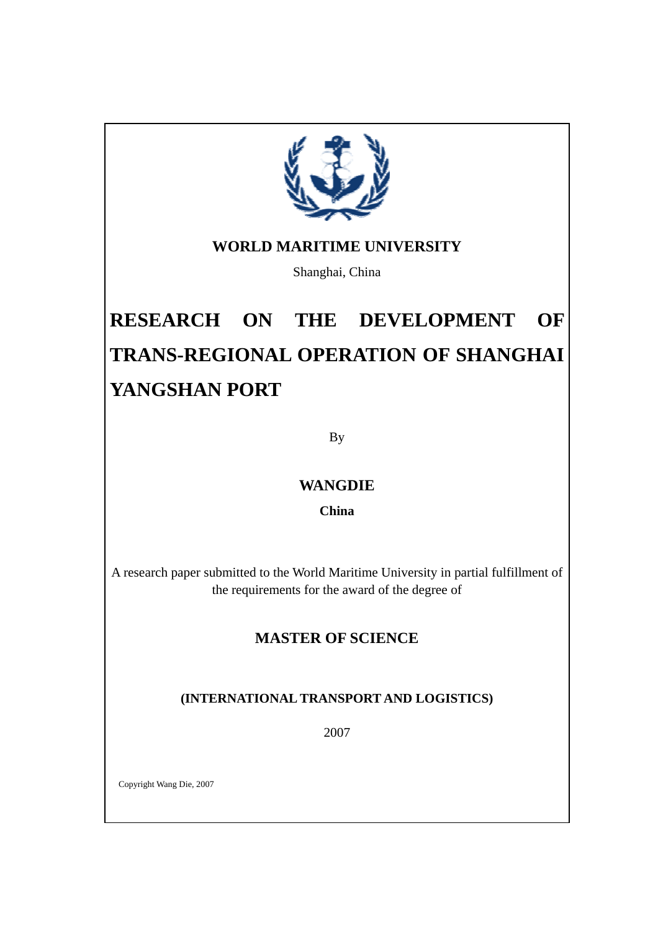

### **WORLD MARITIME UNIVERSITY**

Shanghai, China

# **RESEARCH ON THE DEVELOPMENT OF TRANS-REGIONAL OPERATION OF SHANGHAI YANGSHAN PORT**

By

### **WANGDIE**

**China** 

A research paper submitted to the World Maritime University in partial fulfillment of the requirements for the award of the degree of

### **MASTER OF SCIENCE**

### **(INTERNATIONAL TRANSPORT AND LOGISTICS)**

2007

Copyright Wang Die, 2007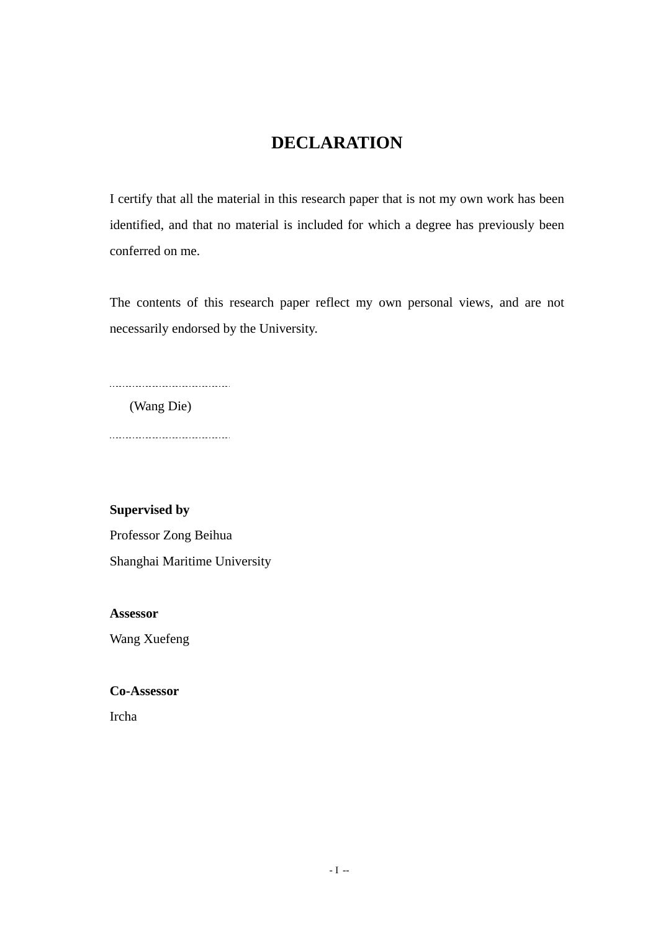### **DECLARATION**

I certify that all the material in this research paper that is not my own work has been identified, and that no material is included for which a degree has previously been conferred on me.

The contents of this research paper reflect my own personal views, and are not necessarily endorsed by the University.

(Wang Die)

 $\overline{a}$ 

....................................

**Supervised by** 

Professor Zong Beihua Shanghai Maritime University

**Assessor** 

Wang Xuefeng

**Co-Assessor** 

Ircha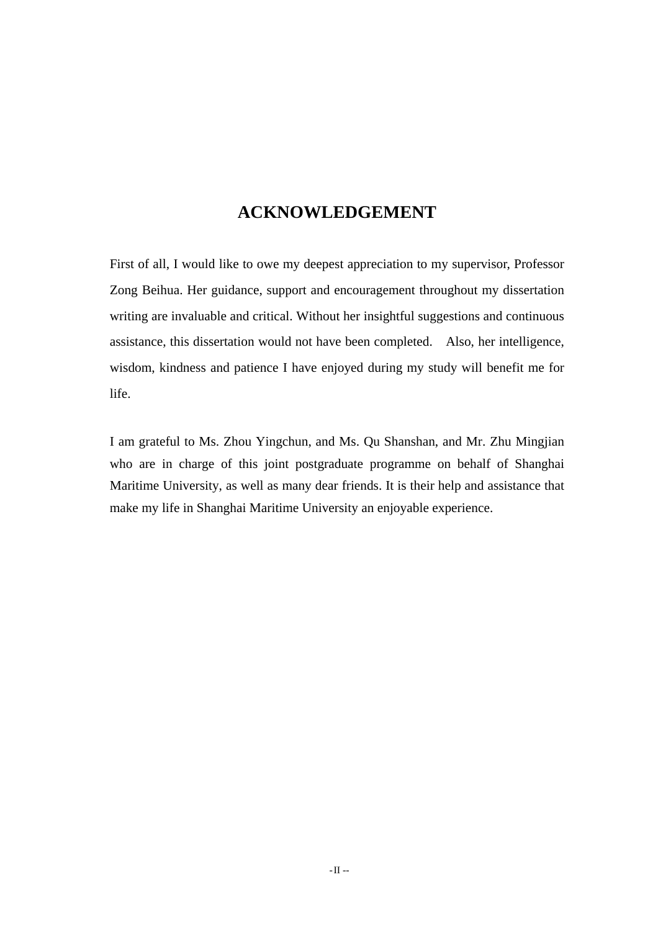### **ACKNOWLEDGEMENT**

First of all, I would like to owe my deepest appreciation to my supervisor, Professor Zong Beihua. Her guidance, support and encouragement throughout my dissertation writing are invaluable and critical. Without her insightful suggestions and continuous assistance, this dissertation would not have been completed. Also, her intelligence, wisdom, kindness and patience I have enjoyed during my study will benefit me for life.

I am grateful to Ms. Zhou Yingchun, and Ms. Qu Shanshan, and Mr. Zhu Mingjian who are in charge of this joint postgraduate programme on behalf of Shanghai Maritime University, as well as many dear friends. It is their help and assistance that make my life in Shanghai Maritime University an enjoyable experience.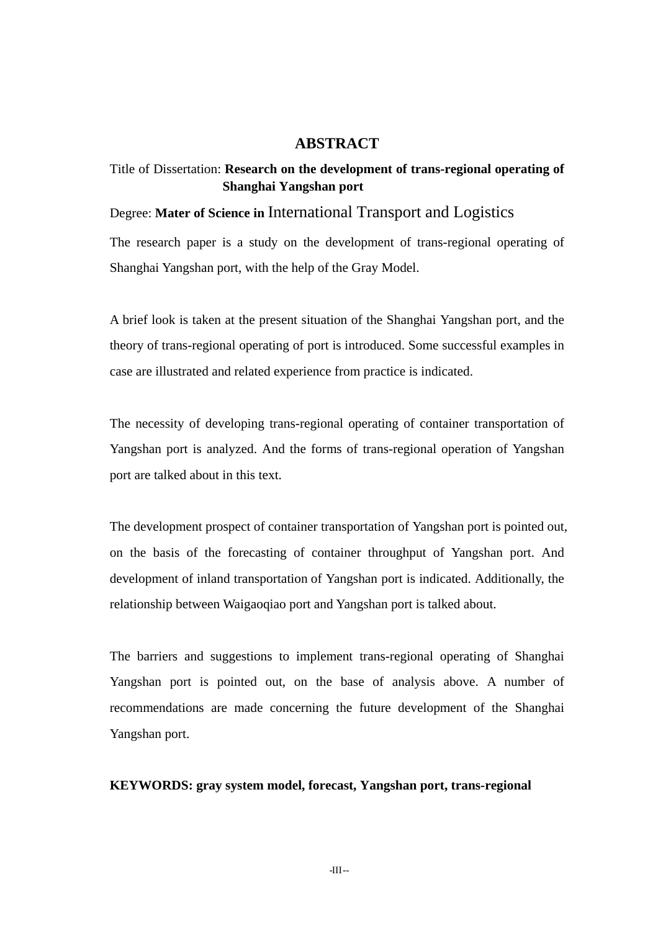#### **ABSTRACT**

#### Title of Dissertation: **Research on the development of trans-regional operating of Shanghai Yangshan port**

#### Degree: **Mater of Science in** International Transport and Logistics

The research paper is a study on the development of trans-regional operating of Shanghai Yangshan port, with the help of the Gray Model.

A brief look is taken at the present situation of the Shanghai Yangshan port, and the theory of trans-regional operating of port is introduced. Some successful examples in case are illustrated and related experience from practice is indicated.

The necessity of developing trans-regional operating of container transportation of Yangshan port is analyzed. And the forms of trans-regional operation of Yangshan port are talked about in this text.

The development prospect of container transportation of Yangshan port is pointed out, on the basis of the forecasting of container throughput of Yangshan port. And development of inland transportation of Yangshan port is indicated. Additionally, the relationship between Waigaoqiao port and Yangshan port is talked about.

The barriers and suggestions to implement trans-regional operating of Shanghai Yangshan port is pointed out, on the base of analysis above. A number of recommendations are made concerning the future development of the Shanghai Yangshan port.

#### **KEYWORDS: gray system model, forecast, Yangshan port, trans-regional**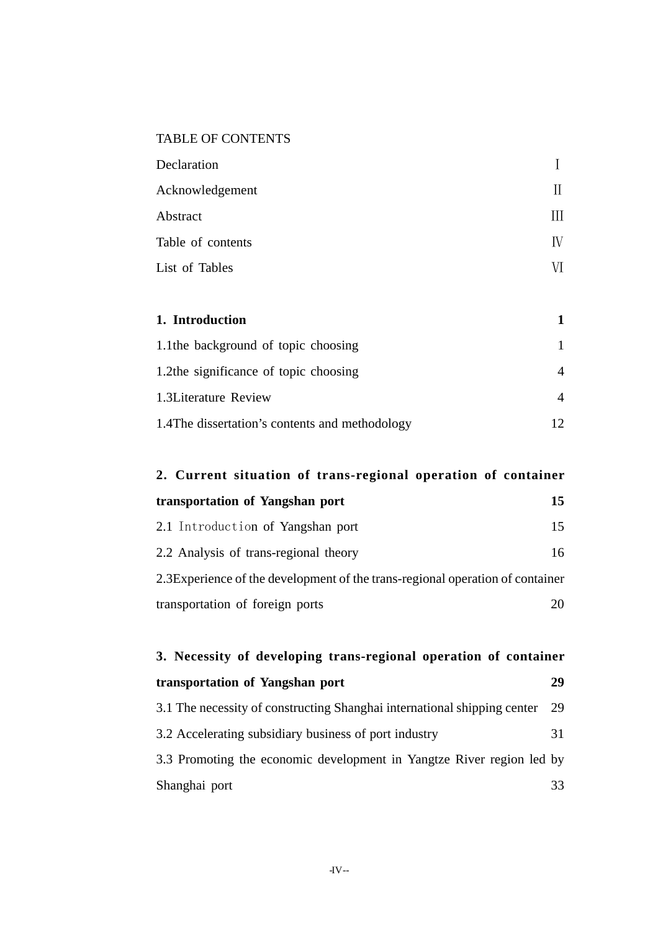### TABLE OF CONTENTS

| Declaration       |    |
|-------------------|----|
| Acknowledgement   | П  |
| Abstract          |    |
| Table of contents | IV |
| List of Tables    |    |

| 1. Introduction                                 |  |
|-------------------------------------------------|--|
| 1.1the background of topic choosing             |  |
| 1.2the significance of topic choosing           |  |
| 1.3Literature Review                            |  |
| 1.4 The dissertation's contents and methodology |  |

| 2. Current situation of trans-regional operation of container                  |    |  |  |  |
|--------------------------------------------------------------------------------|----|--|--|--|
| transportation of Yangshan port                                                | 15 |  |  |  |
| 2.1 Introduction of Yangshan port                                              | 15 |  |  |  |
| 2.2 Analysis of trans-regional theory                                          | 16 |  |  |  |
| 2.3 Experience of the development of the trans-regional operation of container |    |  |  |  |
| transportation of foreign ports                                                |    |  |  |  |

| 3. Necessity of developing trans-regional operation of container         |    |  |  |  |
|--------------------------------------------------------------------------|----|--|--|--|
| transportation of Yangshan port                                          | 29 |  |  |  |
| 3.1 The necessity of constructing Shanghai international shipping center | 29 |  |  |  |
| 3.2 Accelerating subsidiary business of port industry                    | 31 |  |  |  |
| 3.3 Promoting the economic development in Yangtze River region led by    |    |  |  |  |
| Shanghai port                                                            | 33 |  |  |  |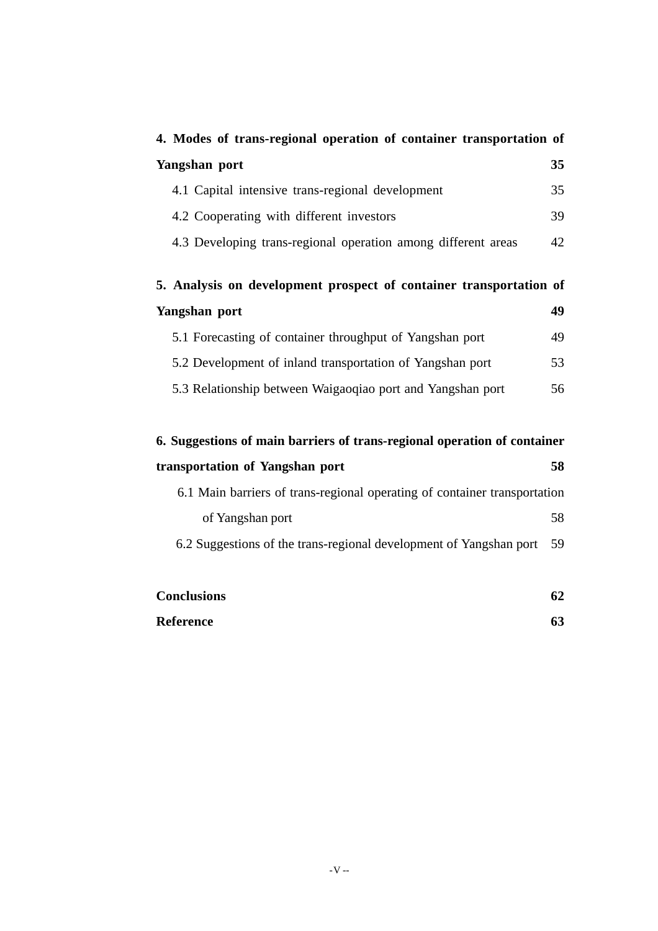| 4. Modes of trans-regional operation of container transportation of       |    |
|---------------------------------------------------------------------------|----|
| Yangshan port                                                             | 35 |
| 4.1 Capital intensive trans-regional development                          | 35 |
| 4.2 Cooperating with different investors                                  | 39 |
| 4.3 Developing trans-regional operation among different areas             | 42 |
| 5. Analysis on development prospect of container transportation of        |    |
| Yangshan port                                                             | 49 |
| 5.1 Forecasting of container throughput of Yangshan port                  | 49 |
| 5.2 Development of inland transportation of Yangshan port                 | 53 |
| 5.3 Relationship between Waigaoqiao port and Yangshan port                | 56 |
| 6. Suggestions of main barriers of trans-regional operation of container  |    |
| transportation of Yangshan port                                           | 58 |
| 6.1 Main barriers of trans-regional operating of container transportation |    |
| of Yangshan port                                                          | 58 |
| 6.2 Suggestions of the trans-regional development of Yangshan port        | 59 |
|                                                                           |    |
| <b>Conclusions</b>                                                        | 62 |
| <b>Reference</b>                                                          | 63 |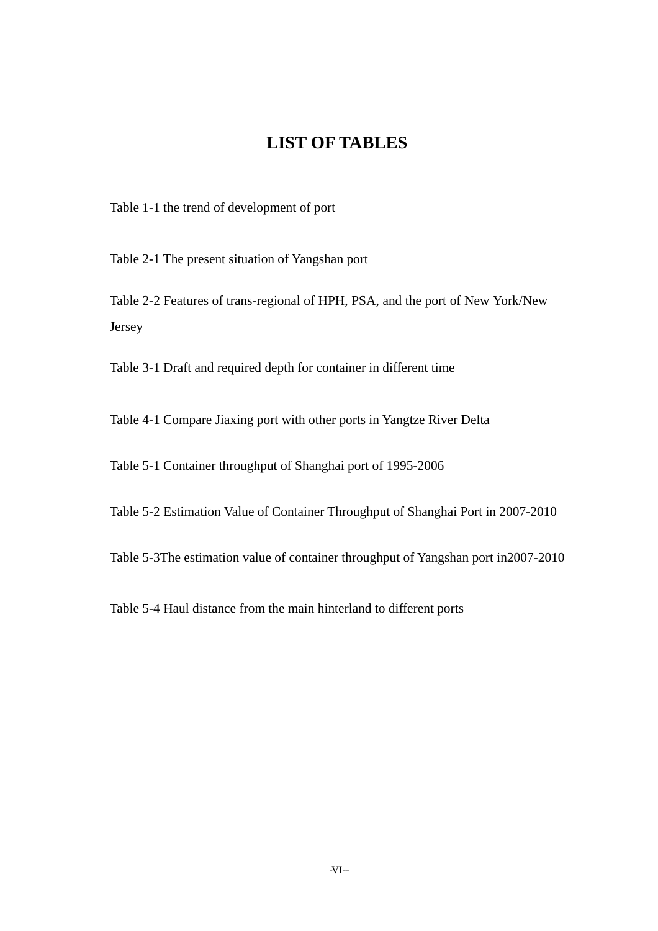### **LIST OF TABLES**

Table 1-1 the trend of development of port

Table 2-1 The present situation of Yangshan port

Table 2-2 Features of trans-regional of HPH, PSA, and the port of New York/New Jersey

Table 3-1 Draft and required depth for container in different time

Table 4-1 Compare Jiaxing port with other ports in Yangtze River Delta

Table 5-1 Container throughput of Shanghai port of 1995-2006

Table 5-2 Estimation Value of Container Throughput of Shanghai Port in 2007-2010

Table 5-3The estimation value of container throughput of Yangshan port in2007-2010

Table 5-4 Haul distance from the main hinterland to different ports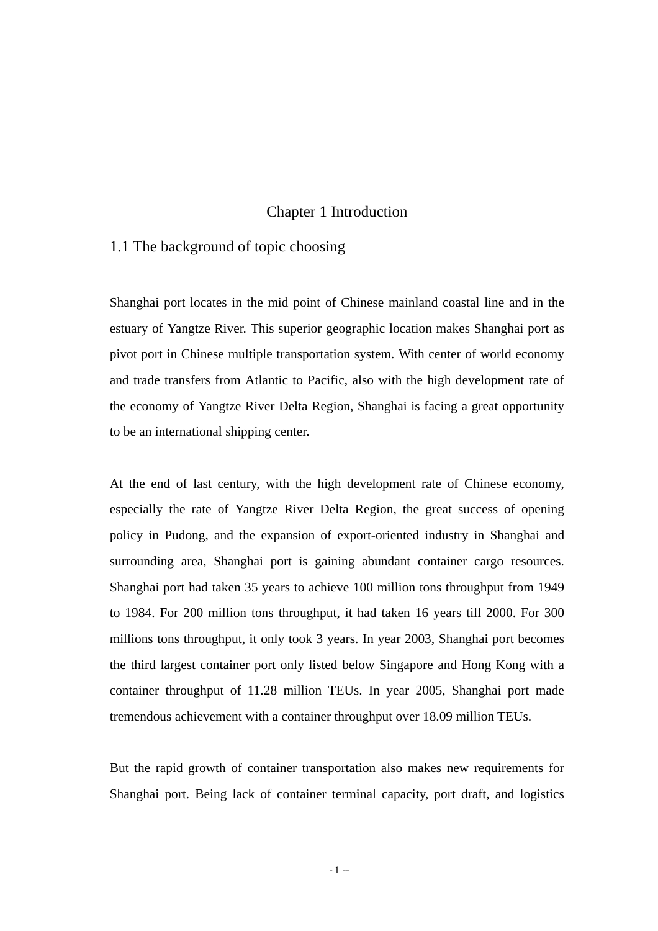#### Chapter 1 Introduction

#### 1.1 The background of topic choosing

Shanghai port locates in the mid point of Chinese mainland coastal line and in the estuary of Yangtze River. This superior geographic location makes Shanghai port as pivot port in Chinese multiple transportation system. With center of world economy and trade transfers from Atlantic to Pacific, also with the high development rate of the economy of Yangtze River Delta Region, Shanghai is facing a great opportunity to be an international shipping center.

At the end of last century, with the high development rate of Chinese economy, especially the rate of Yangtze River Delta Region, the great success of opening policy in Pudong, and the expansion of export-oriented industry in Shanghai and surrounding area, Shanghai port is gaining abundant container cargo resources. Shanghai port had taken 35 years to achieve 100 million tons throughput from 1949 to 1984. For 200 million tons throughput, it had taken 16 years till 2000. For 300 millions tons throughput, it only took 3 years. In year 2003, Shanghai port becomes the third largest container port only listed below Singapore and Hong Kong with a container throughput of 11.28 million TEUs. In year 2005, Shanghai port made tremendous achievement with a container throughput over 18.09 million TEUs.

But the rapid growth of container transportation also makes new requirements for Shanghai port. Being lack of container terminal capacity, port draft, and logistics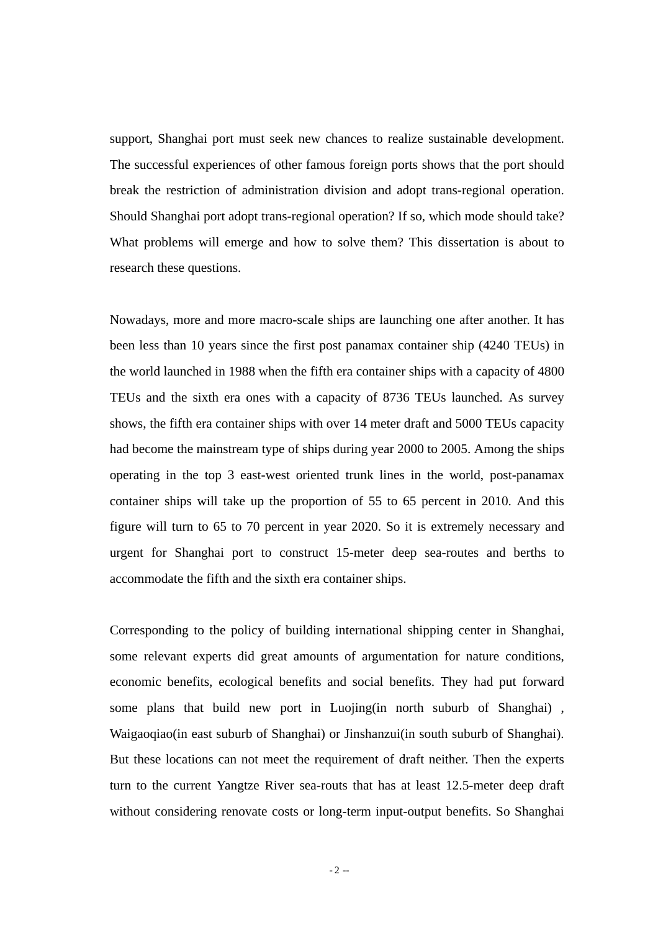support, Shanghai port must seek new chances to realize sustainable development. The successful experiences of other famous foreign ports shows that the port should break the restriction of administration division and adopt trans-regional operation. Should Shanghai port adopt trans-regional operation? If so, which mode should take? What problems will emerge and how to solve them? This dissertation is about to research these questions.

Nowadays, more and more macro-scale ships are launching one after another. It has been less than 10 years since the first post panamax container ship (4240 TEUs) in the world launched in 1988 when the fifth era container ships with a capacity of 4800 TEUs and the sixth era ones with a capacity of 8736 TEUs launched. As survey shows, the fifth era container ships with over 14 meter draft and 5000 TEUs capacity had become the mainstream type of ships during year 2000 to 2005. Among the ships operating in the top 3 east-west oriented trunk lines in the world, post-panamax container ships will take up the proportion of 55 to 65 percent in 2010. And this figure will turn to 65 to 70 percent in year 2020. So it is extremely necessary and urgent for Shanghai port to construct 15-meter deep sea-routes and berths to accommodate the fifth and the sixth era container ships.

Corresponding to the policy of building international shipping center in Shanghai, some relevant experts did great amounts of argumentation for nature conditions, economic benefits, ecological benefits and social benefits. They had put forward some plans that build new port in Luojing(in north suburb of Shanghai) , Waigaoqiao(in east suburb of Shanghai) or Jinshanzui(in south suburb of Shanghai). But these locations can not meet the requirement of draft neither. Then the experts turn to the current Yangtze River sea-routs that has at least 12.5-meter deep draft without considering renovate costs or long-term input-output benefits. So Shanghai

 $-2 -$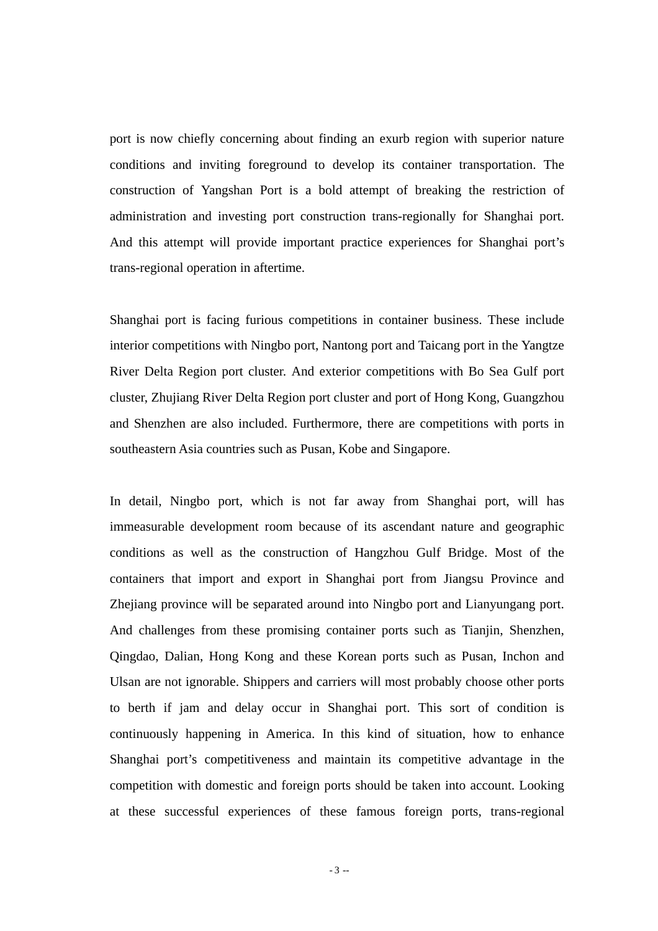port is now chiefly concerning about finding an exurb region with superior nature conditions and inviting foreground to develop its container transportation. The construction of Yangshan Port is a bold attempt of breaking the restriction of administration and investing port construction trans-regionally for Shanghai port. And this attempt will provide important practice experiences for Shanghai port's trans-regional operation in aftertime.

Shanghai port is facing furious competitions in container business. These include interior competitions with Ningbo port, Nantong port and Taicang port in the Yangtze River Delta Region port cluster. And exterior competitions with Bo Sea Gulf port cluster, Zhujiang River Delta Region port cluster and port of Hong Kong, Guangzhou and Shenzhen are also included. Furthermore, there are competitions with ports in southeastern Asia countries such as Pusan, Kobe and Singapore.

In detail, Ningbo port, which is not far away from Shanghai port, will has immeasurable development room because of its ascendant nature and geographic conditions as well as the construction of Hangzhou Gulf Bridge. Most of the containers that import and export in Shanghai port from Jiangsu Province and Zhejiang province will be separated around into Ningbo port and Lianyungang port. And challenges from these promising container ports such as Tianjin, Shenzhen, Qingdao, Dalian, Hong Kong and these Korean ports such as Pusan, Inchon and Ulsan are not ignorable. Shippers and carriers will most probably choose other ports to berth if jam and delay occur in Shanghai port. This sort of condition is continuously happening in America. In this kind of situation, how to enhance Shanghai port's competitiveness and maintain its competitive advantage in the competition with domestic and foreign ports should be taken into account. Looking at these successful experiences of these famous foreign ports, trans-regional

 $-3 -$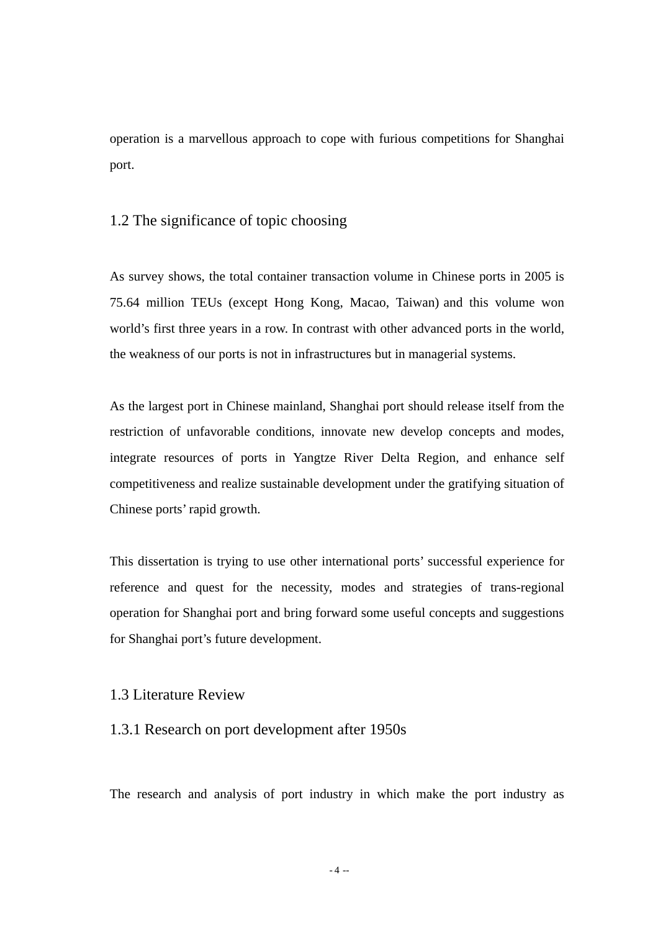operation is a marvellous approach to cope with furious competitions for Shanghai port.

#### 1.2 The significance of topic choosing

As survey shows, the total container transaction volume in Chinese ports in 2005 is 75.64 million TEUs (except Hong Kong, Macao, Taiwan) and this volume won world's first three years in a row. In contrast with other advanced ports in the world, the weakness of our ports is not in infrastructures but in managerial systems.

As the largest port in Chinese mainland, Shanghai port should release itself from the restriction of unfavorable conditions, innovate new develop concepts and modes, integrate resources of ports in Yangtze River Delta Region, and enhance self competitiveness and realize sustainable development under the gratifying situation of Chinese ports' rapid growth.

This dissertation is trying to use other international ports' successful experience for reference and quest for the necessity, modes and strategies of trans-regional operation for Shanghai port and bring forward some useful concepts and suggestions for Shanghai port's future development.

#### 1.3 Literature Review

#### 1.3.1 Research on port development after 1950s

The research and analysis of port industry in which make the port industry as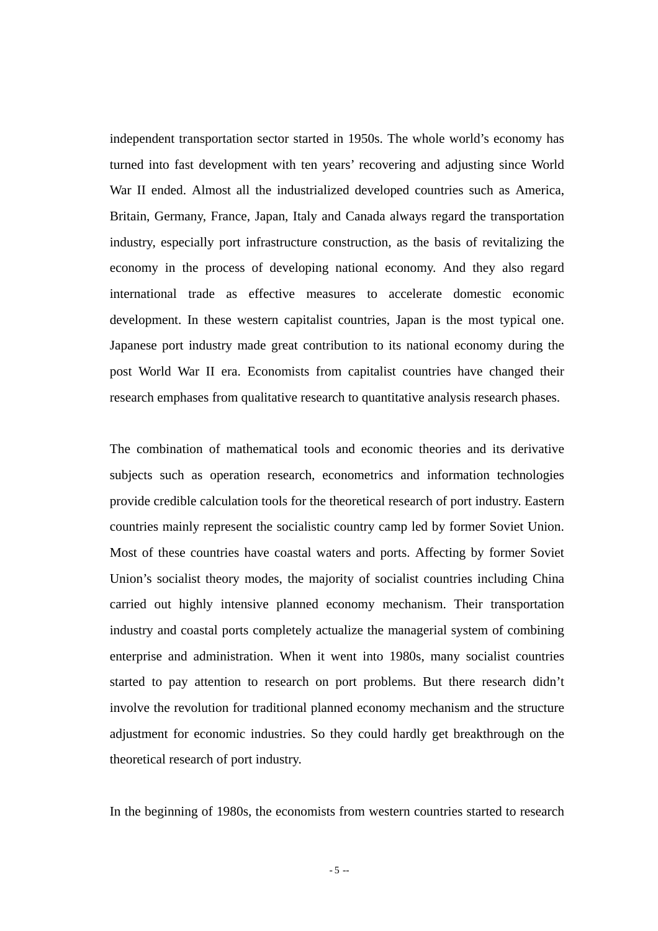independent transportation sector started in 1950s. The whole world's economy has turned into fast development with ten years' recovering and adjusting since World War II ended. Almost all the industrialized developed countries such as America, Britain, Germany, France, Japan, Italy and Canada always regard the transportation industry, especially port infrastructure construction, as the basis of revitalizing the economy in the process of developing national economy. And they also regard international trade as effective measures to accelerate domestic economic development. In these western capitalist countries, Japan is the most typical one. Japanese port industry made great contribution to its national economy during the post World War II era. Economists from capitalist countries have changed their research emphases from qualitative research to quantitative analysis research phases.

The combination of mathematical tools and economic theories and its derivative subjects such as operation research, econometrics and information technologies provide credible calculation tools for the theoretical research of port industry. Eastern countries mainly represent the socialistic country camp led by former Soviet Union. Most of these countries have coastal waters and ports. Affecting by former Soviet Union's socialist theory modes, the majority of socialist countries including China carried out highly intensive planned economy mechanism. Their transportation industry and coastal ports completely actualize the managerial system of combining enterprise and administration. When it went into 1980s, many socialist countries started to pay attention to research on port problems. But there research didn't involve the revolution for traditional planned economy mechanism and the structure adjustment for economic industries. So they could hardly get breakthrough on the theoretical research of port industry.

In the beginning of 1980s, the economists from western countries started to research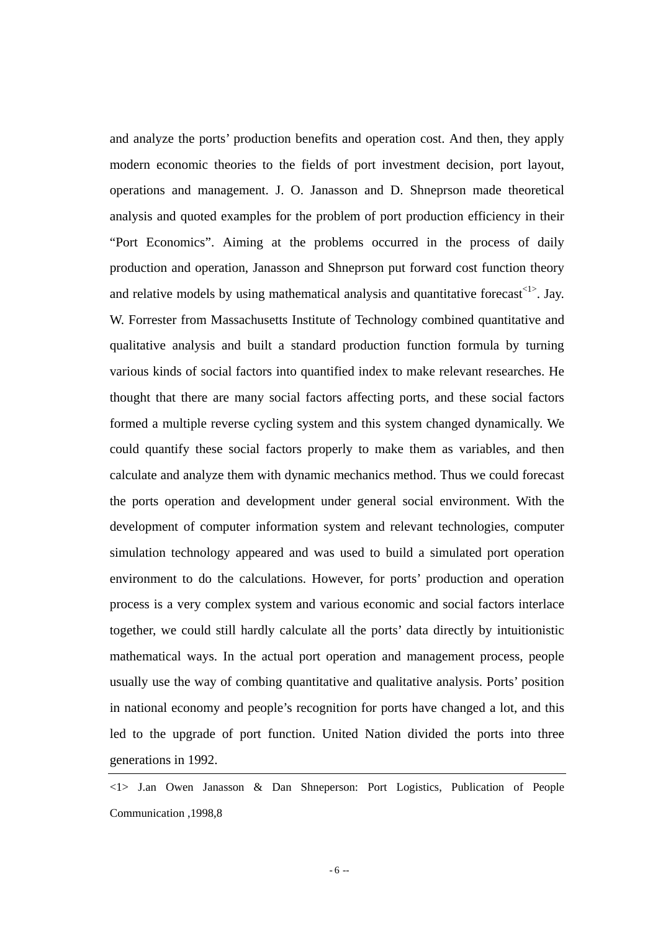and analyze the ports' production benefits and operation cost. And then, they apply modern economic theories to the fields of port investment decision, port layout, operations and management. J. O. Janasson and D. Shneprson made theoretical analysis and quoted examples for the problem of port production efficiency in their "Port Economics". Aiming at the problems occurred in the process of daily production and operation, Janasson and Shneprson put forward cost function theory and relative models by using mathematical analysis and quantitative forecast<1>. Jay. W. Forrester from Massachusetts Institute of Technology combined quantitative and qualitative analysis and built a standard production function formula by turning various kinds of social factors into quantified index to make relevant researches. He thought that there are many social factors affecting ports, and these social factors formed a multiple reverse cycling system and this system changed dynamically. We could quantify these social factors properly to make them as variables, and then calculate and analyze them with dynamic mechanics method. Thus we could forecast the ports operation and development under general social environment. With the development of computer information system and relevant technologies, computer simulation technology appeared and was used to build a simulated port operation environment to do the calculations. However, for ports' production and operation process is a very complex system and various economic and social factors interlace together, we could still hardly calculate all the ports' data directly by intuitionistic mathematical ways. In the actual port operation and management process, people usually use the way of combing quantitative and qualitative analysis. Ports' position in national economy and people's recognition for ports have changed a lot, and this led to the upgrade of port function. United Nation divided the ports into three generations in 1992.

<sup>&</sup>lt;1> J.an Owen Janasson & Dan Shneperson: Port Logistics, Publication of People Communication ,1998,8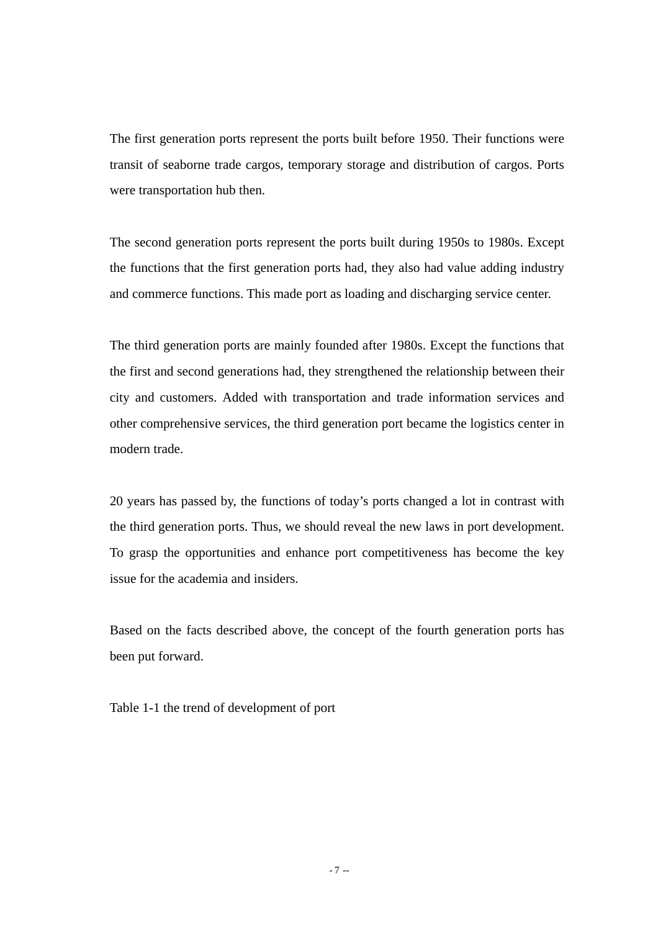The first generation ports represent the ports built before 1950. Their functions were transit of seaborne trade cargos, temporary storage and distribution of cargos. Ports were transportation hub then.

The second generation ports represent the ports built during 1950s to 1980s. Except the functions that the first generation ports had, they also had value adding industry and commerce functions. This made port as loading and discharging service center.

The third generation ports are mainly founded after 1980s. Except the functions that the first and second generations had, they strengthened the relationship between their city and customers. Added with transportation and trade information services and other comprehensive services, the third generation port became the logistics center in modern trade.

20 years has passed by, the functions of today's ports changed a lot in contrast with the third generation ports. Thus, we should reveal the new laws in port development. To grasp the opportunities and enhance port competitiveness has become the key issue for the academia and insiders.

Based on the facts described above, the concept of the fourth generation ports has been put forward.

Table 1-1 the trend of development of port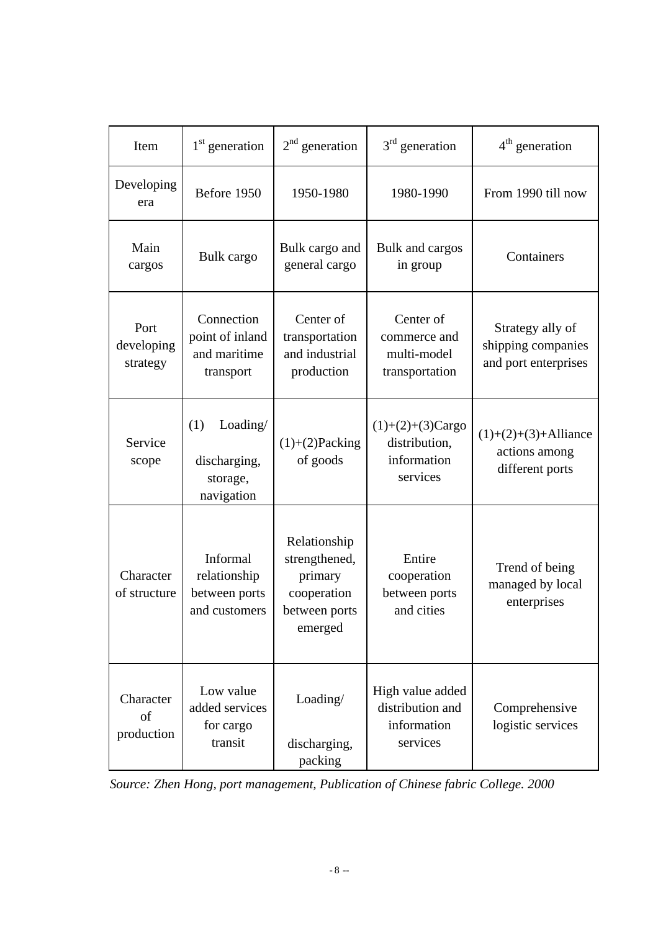| Item                           | $1st$ generation                                           | $2nd$ generation                                                                    | $3rd$ generation                                                | $4th$ generation                                               |
|--------------------------------|------------------------------------------------------------|-------------------------------------------------------------------------------------|-----------------------------------------------------------------|----------------------------------------------------------------|
| Developing<br>era              | Before 1950                                                | 1950-1980                                                                           | 1980-1990                                                       | From 1990 till now                                             |
| Main<br>cargos                 | Bulk cargo                                                 | Bulk cargo and<br>general cargo                                                     | Bulk and cargos<br>in group                                     | Containers                                                     |
| Port<br>developing<br>strategy | Connection<br>point of inland<br>and maritime<br>transport | Center of<br>transportation<br>and industrial<br>production                         | Center of<br>commerce and<br>multi-model<br>transportation      | Strategy ally of<br>shipping companies<br>and port enterprises |
| Service<br>scope               | (1)<br>Loading/<br>discharging,<br>storage,<br>navigation  | $(1)+(2)$ Packing<br>of goods                                                       | $(1)+(2)+(3)Cargo$<br>distribution,<br>information<br>services  | $(1)+(2)+(3)+$ Alliance<br>actions among<br>different ports    |
| Character<br>of structure      | Informal<br>relationship<br>between ports<br>and customers | Relationship<br>strengthened,<br>primary<br>cooperation<br>between ports<br>emerged | Entire<br>cooperation<br>between ports<br>and cities            | Trend of being<br>managed by local<br>enterprises              |
| Character<br>of<br>production  | Low value<br>added services<br>for cargo<br>transit        | Loading/<br>discharging,<br>packing                                                 | High value added<br>distribution and<br>information<br>services | Comprehensive<br>logistic services                             |

*Source: Zhen Hong, port management, Publication of Chinese fabric College. 2000*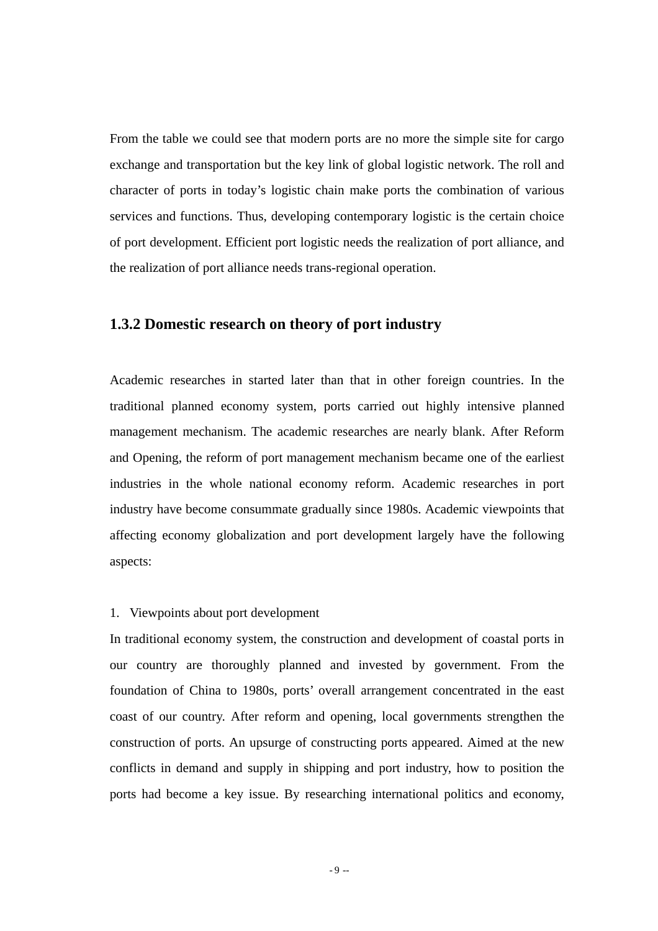From the table we could see that modern ports are no more the simple site for cargo exchange and transportation but the key link of global logistic network. The roll and character of ports in today's logistic chain make ports the combination of various services and functions. Thus, developing contemporary logistic is the certain choice of port development. Efficient port logistic needs the realization of port alliance, and the realization of port alliance needs trans-regional operation.

#### **1.3.2 Domestic research on theory of port industry**

Academic researches in started later than that in other foreign countries. In the traditional planned economy system, ports carried out highly intensive planned management mechanism. The academic researches are nearly blank. After Reform and Opening, the reform of port management mechanism became one of the earliest industries in the whole national economy reform. Academic researches in port industry have become consummate gradually since 1980s. Academic viewpoints that affecting economy globalization and port development largely have the following aspects:

#### 1. Viewpoints about port development

In traditional economy system, the construction and development of coastal ports in our country are thoroughly planned and invested by government. From the foundation of China to 1980s, ports' overall arrangement concentrated in the east coast of our country. After reform and opening, local governments strengthen the construction of ports. An upsurge of constructing ports appeared. Aimed at the new conflicts in demand and supply in shipping and port industry, how to position the ports had become a key issue. By researching international politics and economy,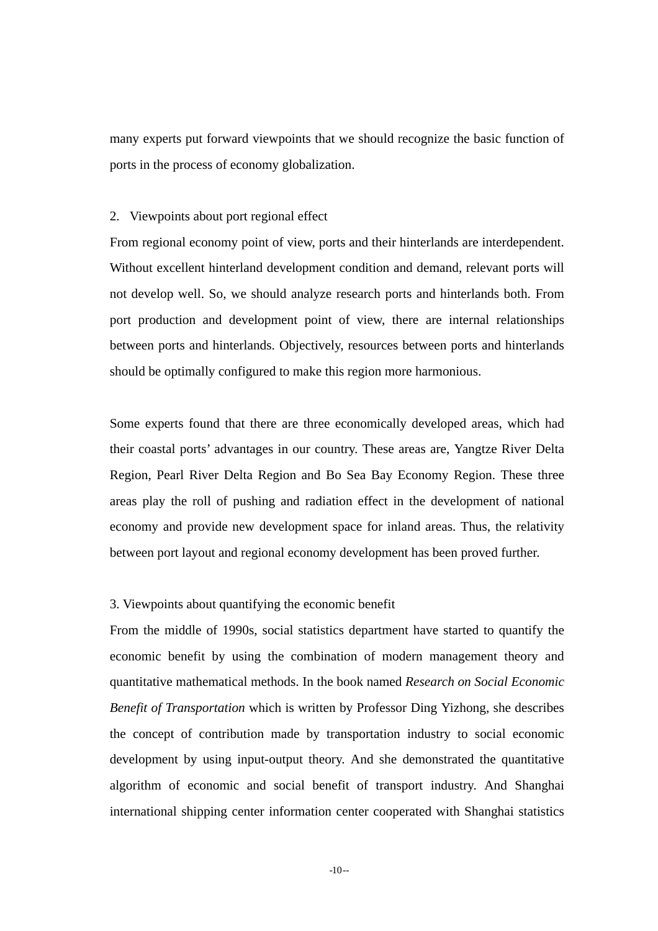many experts put forward viewpoints that we should recognize the basic function of ports in the process of economy globalization.

#### 2. Viewpoints about port regional effect

From regional economy point of view, ports and their hinterlands are interdependent. Without excellent hinterland development condition and demand, relevant ports will not develop well. So, we should analyze research ports and hinterlands both. From port production and development point of view, there are internal relationships between ports and hinterlands. Objectively, resources between ports and hinterlands should be optimally configured to make this region more harmonious.

Some experts found that there are three economically developed areas, which had their coastal ports' advantages in our country. These areas are, Yangtze River Delta Region, Pearl River Delta Region and Bo Sea Bay Economy Region. These three areas play the roll of pushing and radiation effect in the development of national economy and provide new development space for inland areas. Thus, the relativity between port layout and regional economy development has been proved further.

#### 3. Viewpoints about quantifying the economic benefit

From the middle of 1990s, social statistics department have started to quantify the economic benefit by using the combination of modern management theory and quantitative mathematical methods. In the book named *Research on Social Economic Benefit of Transportation* which is written by Professor Ding Yizhong, she describes the concept of contribution made by transportation industry to social economic development by using input-output theory. And she demonstrated the quantitative algorithm of economic and social benefit of transport industry. And Shanghai international shipping center information center cooperated with Shanghai statistics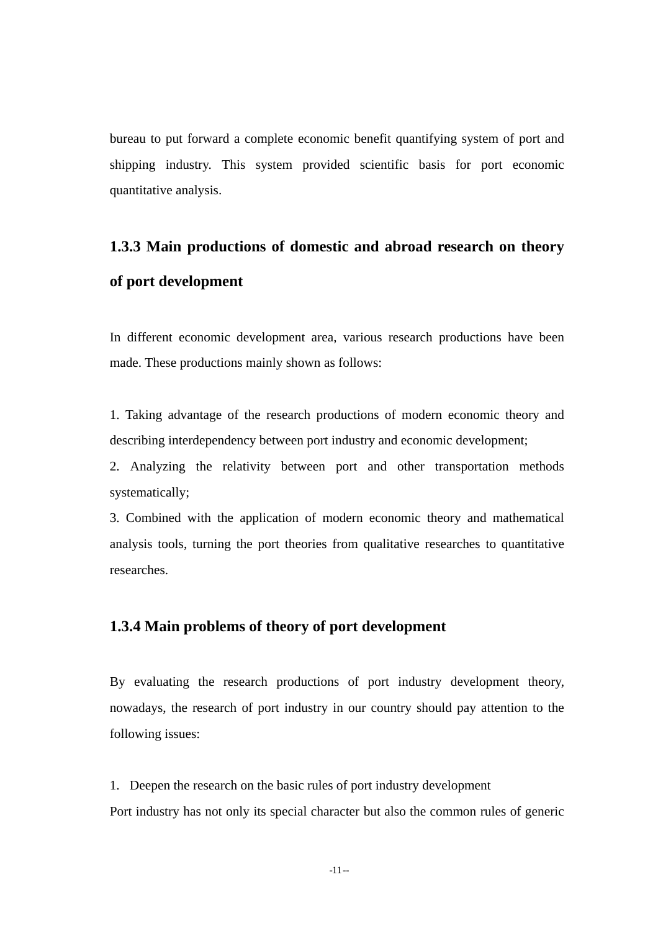bureau to put forward a complete economic benefit quantifying system of port and shipping industry. This system provided scientific basis for port economic quantitative analysis.

# **1.3.3 Main productions of domestic and abroad research on theory of port development**

In different economic development area, various research productions have been made. These productions mainly shown as follows:

1. Taking advantage of the research productions of modern economic theory and describing interdependency between port industry and economic development;

2. Analyzing the relativity between port and other transportation methods systematically;

3. Combined with the application of modern economic theory and mathematical analysis tools, turning the port theories from qualitative researches to quantitative researches.

#### **1.3.4 Main problems of theory of port development**

By evaluating the research productions of port industry development theory, nowadays, the research of port industry in our country should pay attention to the following issues:

1. Deepen the research on the basic rules of port industry development Port industry has not only its special character but also the common rules of generic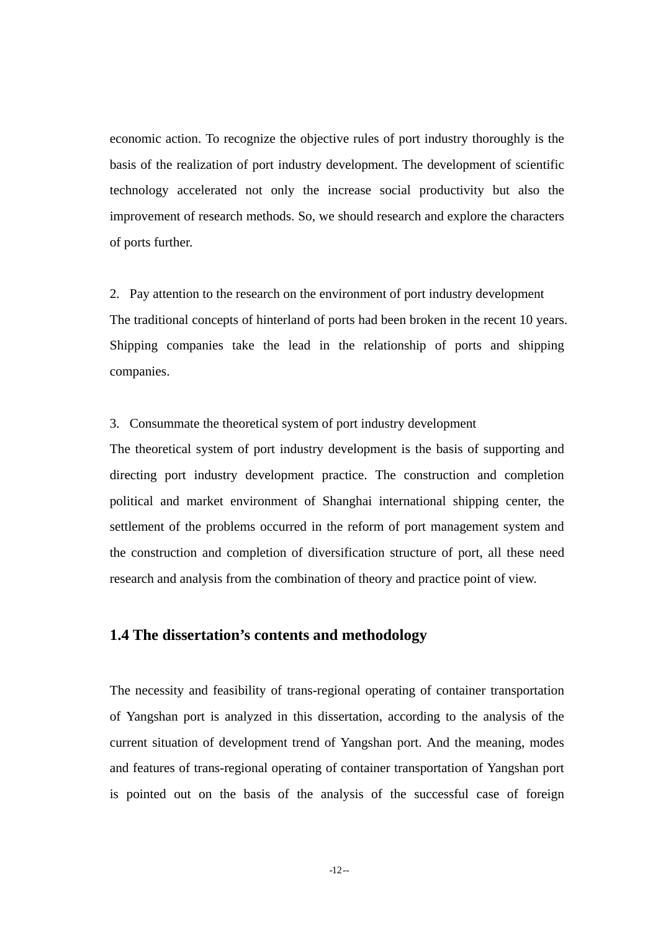economic action. To recognize the objective rules of port industry thoroughly is the basis of the realization of port industry development. The development of scientific technology accelerated not only the increase social productivity but also the improvement of research methods. So, we should research and explore the characters of ports further.

2. Pay attention to the research on the environment of port industry development The traditional concepts of hinterland of ports had been broken in the recent 10 years. Shipping companies take the lead in the relationship of ports and shipping companies.

3. Consummate the theoretical system of port industry development

The theoretical system of port industry development is the basis of supporting and directing port industry development practice. The construction and completion political and market environment of Shanghai international shipping center, the settlement of the problems occurred in the reform of port management system and the construction and completion of diversification structure of port, all these need research and analysis from the combination of theory and practice point of view.

#### **1.4 The dissertation's contents and methodology**

The necessity and feasibility of trans-regional operating of container transportation of Yangshan port is analyzed in this dissertation, according to the analysis of the current situation of development trend of Yangshan port. And the meaning, modes and features of trans-regional operating of container transportation of Yangshan port is pointed out on the basis of the analysis of the successful case of foreign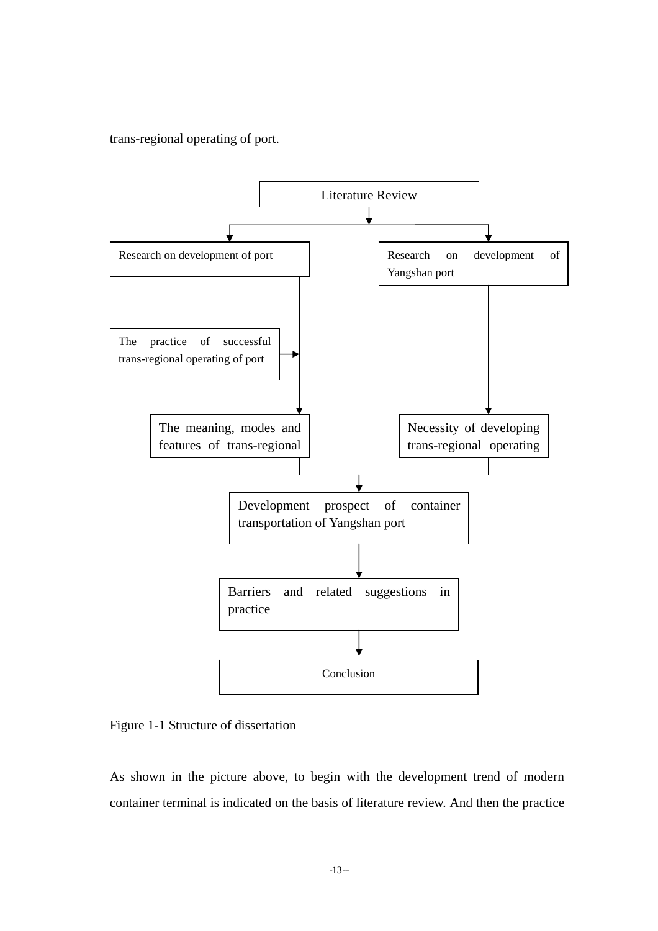trans-regional operating of port.



Figure 1-1 Structure of dissertation

As shown in the picture above, to begin with the development trend of modern container terminal is indicated on the basis of literature review. And then the practice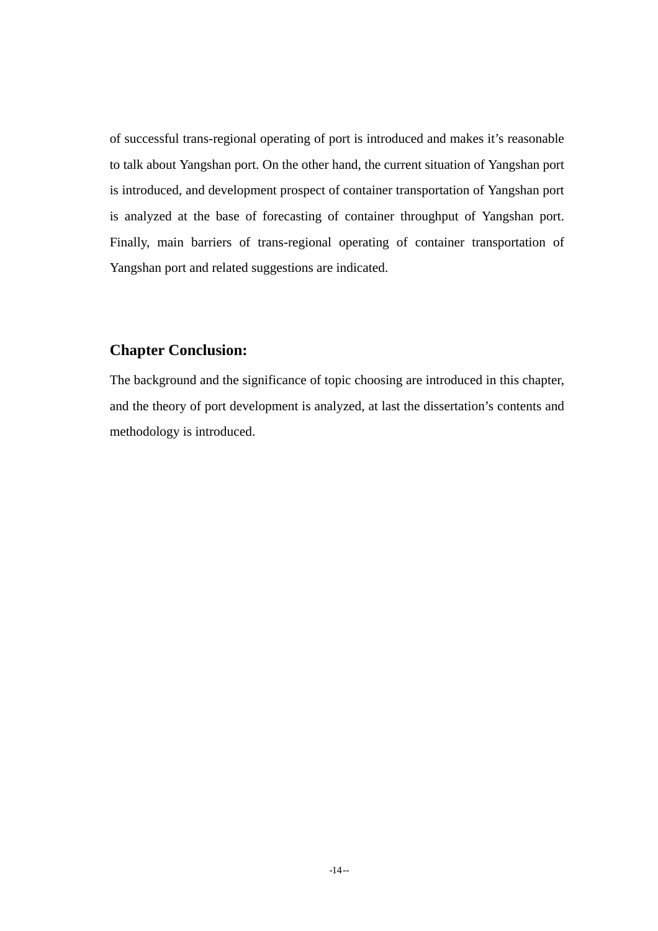of successful trans-regional operating of port is introduced and makes it's reasonable to talk about Yangshan port. On the other hand, the current situation of Yangshan port is introduced, and development prospect of container transportation of Yangshan port is analyzed at the base of forecasting of container throughput of Yangshan port. Finally, main barriers of trans-regional operating of container transportation of Yangshan port and related suggestions are indicated.

### **Chapter Conclusion:**

The background and the significance of topic choosing are introduced in this chapter, and the theory of port development is analyzed, at last the dissertation's contents and methodology is introduced.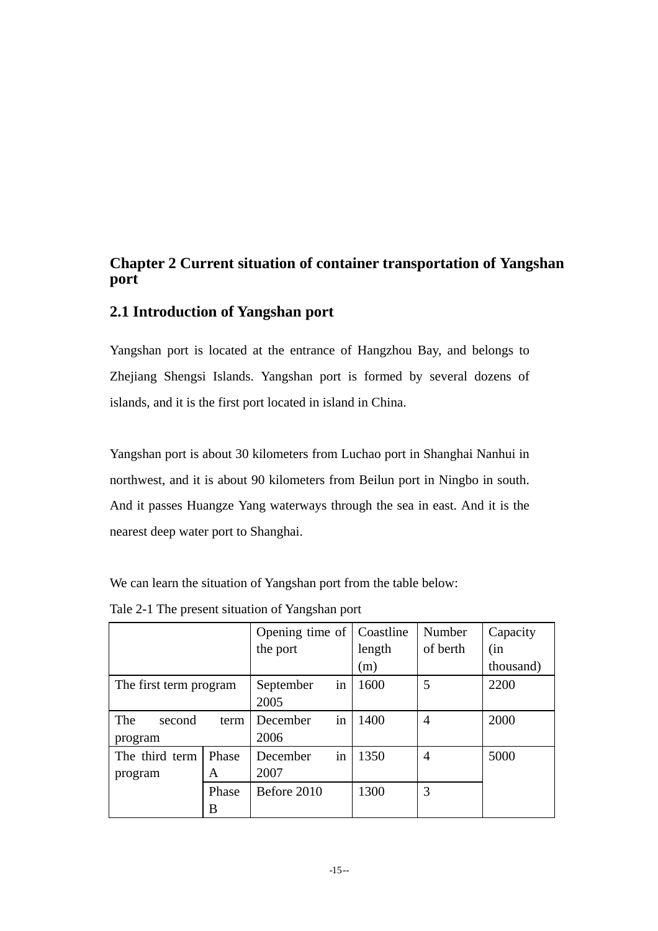### **Chapter 2 Current situation of container transportation of Yangshan port**

### **2.1 Introduction of Yangshan port**

Yangshan port is located at the entrance of Hangzhou Bay, and belongs to Zhejiang Shengsi Islands. Yangshan port is formed by several dozens of islands, and it is the first port located in island in China.

Yangshan port is about 30 kilometers from Luchao port in Shanghai Nanhui in northwest, and it is about 90 kilometers from Beilun port in Ningbo in south. And it passes Huangze Yang waterways through the sea in east. And it is the nearest deep water port to Shanghai.

We can learn the situation of Yangshan port from the table below:

|                        |       | Opening time of |    | Coastline | Number   | Capacity   |
|------------------------|-------|-----------------|----|-----------|----------|------------|
|                        |       | the port        |    | length    | of berth | (in        |
|                        |       |                 |    | (m)       |          | (thousand) |
| The first term program |       | September       | in | 1600      | 5        | 2200       |
|                        |       | 2005            |    |           |          |            |
| The<br>second          | term  | December        | in | 1400      | 4        | 2000       |
| program                |       | 2006            |    |           |          |            |
| The third term         | Phase | December        | in | 1350      | 4        | 5000       |
| program                | A     | 2007            |    |           |          |            |
|                        | Phase | Before 2010     |    | 1300      | 3        |            |
|                        | B     |                 |    |           |          |            |

Tale 2-1 The present situation of Yangshan port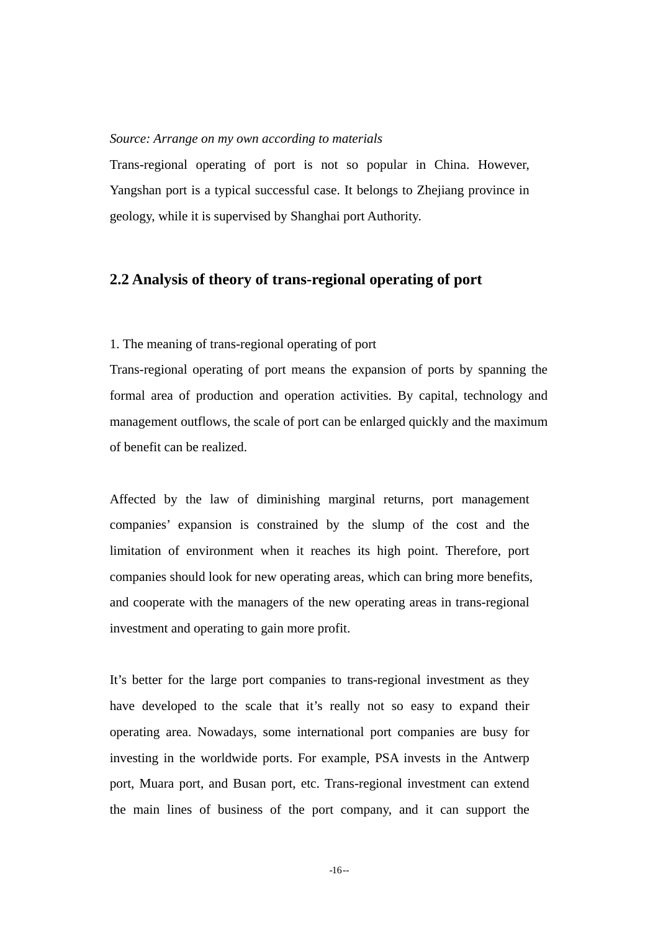#### *Source: Arrange on my own according to materials*

Trans-regional operating of port is not so popular in China. However, Yangshan port is a typical successful case. It belongs to Zhejiang province in geology, while it is supervised by Shanghai port Authority.

#### **2.2 Analysis of theory of trans-regional operating of port**

#### 1. The meaning of trans-regional operating of port

Trans-regional operating of port means the expansion of ports by spanning the formal area of production and operation activities. By capital, technology and management outflows, the scale of port can be enlarged quickly and the maximum of benefit can be realized.

Affected by the law of diminishing marginal returns, port management companies' expansion is constrained by the slump of the cost and the limitation of environment when it reaches its high point. Therefore, port companies should look for new operating areas, which can bring more benefits, and cooperate with the managers of the new operating areas in trans-regional investment and operating to gain more profit.

It's better for the large port companies to trans-regional investment as they have developed to the scale that it's really not so easy to expand their operating area. Nowadays, some international port companies are busy for investing in the worldwide ports. For example, PSA invests in the Antwerp port, Muara port, and Busan port, etc. Trans-regional investment can extend the main lines of business of the port company, and it can support the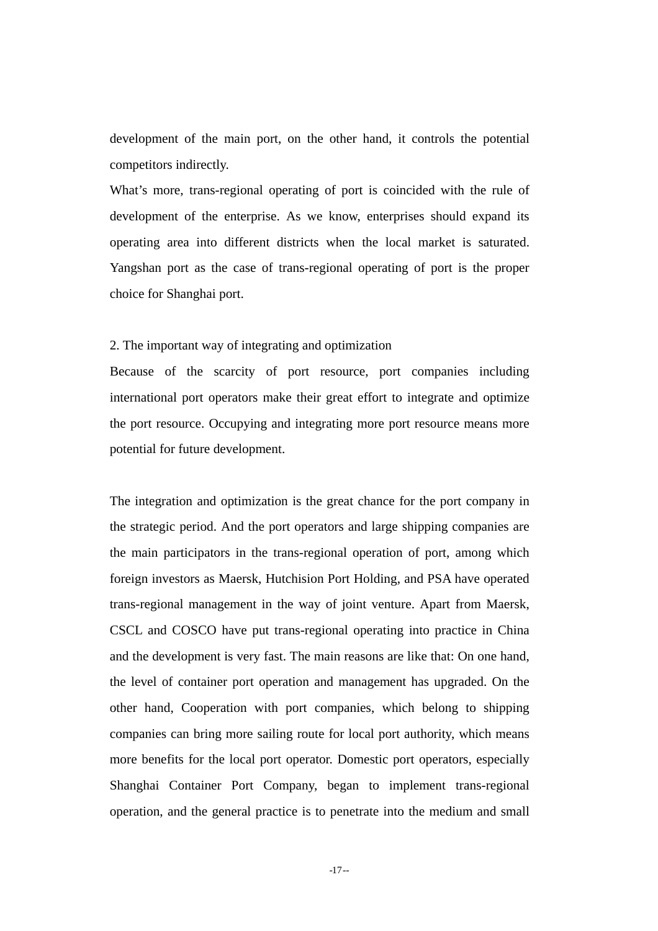development of the main port, on the other hand, it controls the potential competitors indirectly.

What's more, trans-regional operating of port is coincided with the rule of development of the enterprise. As we know, enterprises should expand its operating area into different districts when the local market is saturated. Yangshan port as the case of trans-regional operating of port is the proper choice for Shanghai port.

#### 2. The important way of integrating and optimization

Because of the scarcity of port resource, port companies including international port operators make their great effort to integrate and optimize the port resource. Occupying and integrating more port resource means more potential for future development.

The integration and optimization is the great chance for the port company in the strategic period. And the port operators and large shipping companies are the main participators in the trans-regional operation of port, among which foreign investors as Maersk, Hutchision Port Holding, and PSA have operated trans-regional management in the way of joint venture. Apart from Maersk, CSCL and COSCO have put trans-regional operating into practice in China and the development is very fast. The main reasons are like that: On one hand, the level of container port operation and management has upgraded. On the other hand, Cooperation with port companies, which belong to shipping companies can bring more sailing route for local port authority, which means more benefits for the local port operator. Domestic port operators, especially Shanghai Container Port Company, began to implement trans-regional operation, and the general practice is to penetrate into the medium and small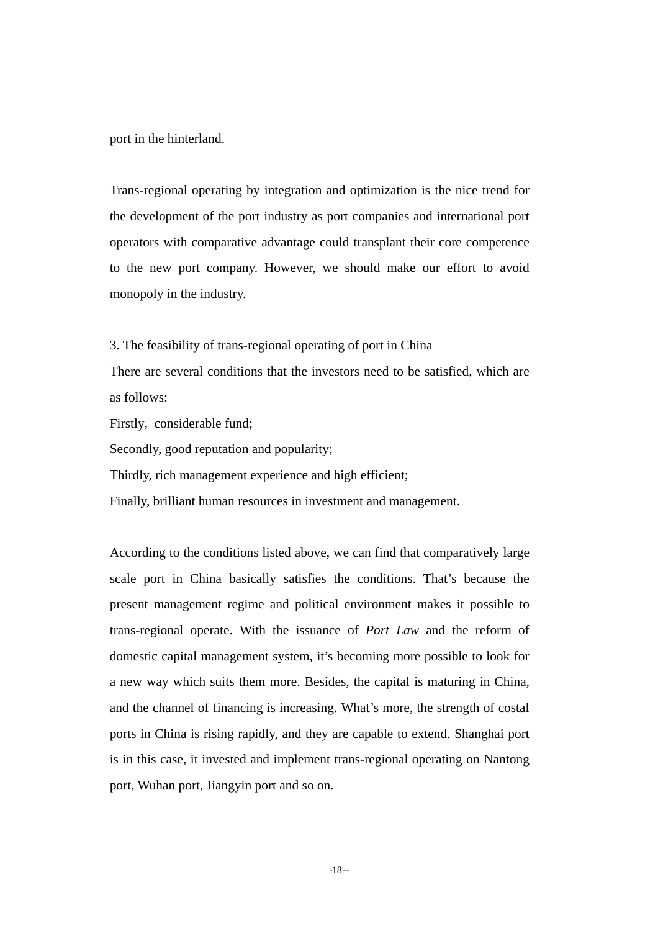port in the hinterland.

Trans-regional operating by integration and optimization is the nice trend for the development of the port industry as port companies and international port operators with comparative advantage could transplant their core competence to the new port company. However, we should make our effort to avoid monopoly in the industry.

3. The feasibility of trans-regional operating of port in China

There are several conditions that the investors need to be satisfied, which are as follows:

Firstly, considerable fund;

Secondly, good reputation and popularity;

Thirdly, rich management experience and high efficient;

Finally, brilliant human resources in investment and management.

According to the conditions listed above, we can find that comparatively large scale port in China basically satisfies the conditions. That's because the present management regime and political environment makes it possible to trans-regional operate. With the issuance of *Port Law* and the reform of domestic capital management system, it's becoming more possible to look for a new way which suits them more. Besides, the capital is maturing in China, and the channel of financing is increasing. What's more, the strength of costal ports in China is rising rapidly, and they are capable to extend. Shanghai port is in this case, it invested and implement trans-regional operating on Nantong port, Wuhan port, Jiangyin port and so on.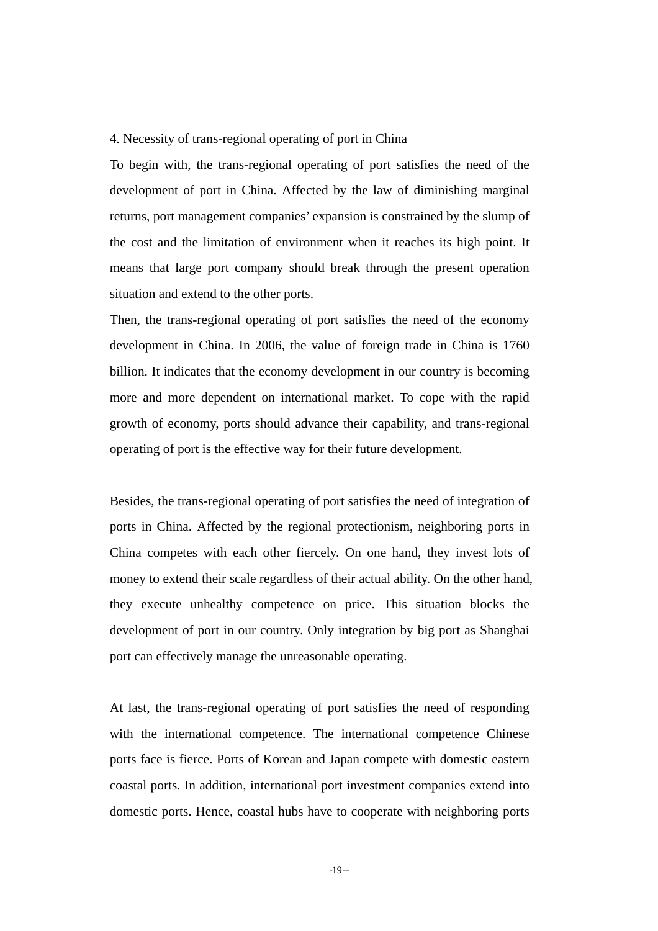#### 4. Necessity of trans-regional operating of port in China

To begin with, the trans-regional operating of port satisfies the need of the development of port in China. Affected by the law of diminishing marginal returns, port management companies' expansion is constrained by the slump of the cost and the limitation of environment when it reaches its high point. It means that large port company should break through the present operation situation and extend to the other ports.

Then, the trans-regional operating of port satisfies the need of the economy development in China. In 2006, the value of foreign trade in China is 1760 billion. It indicates that the economy development in our country is becoming more and more dependent on international market. To cope with the rapid growth of economy, ports should advance their capability, and trans-regional operating of port is the effective way for their future development.

Besides, the trans-regional operating of port satisfies the need of integration of ports in China. Affected by the regional protectionism, neighboring ports in China competes with each other fiercely. On one hand, they invest lots of money to extend their scale regardless of their actual ability. On the other hand, they execute unhealthy competence on price. This situation blocks the development of port in our country. Only integration by big port as Shanghai port can effectively manage the unreasonable operating.

At last, the trans-regional operating of port satisfies the need of responding with the international competence. The international competence Chinese ports face is fierce. Ports of Korean and Japan compete with domestic eastern coastal ports. In addition, international port investment companies extend into domestic ports. Hence, coastal hubs have to cooperate with neighboring ports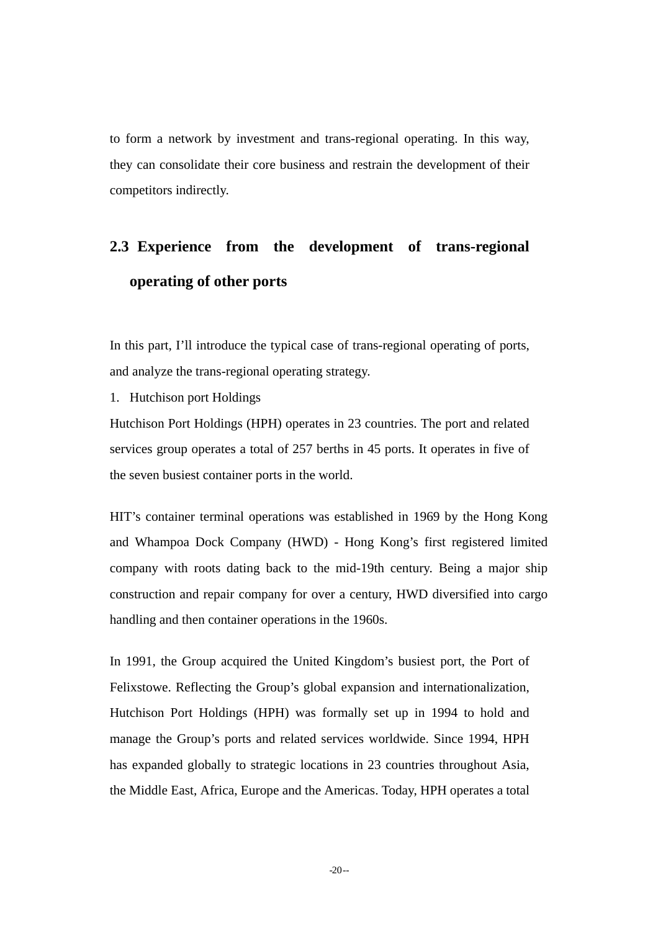to form a network by investment and trans-regional operating. In this way, they can consolidate their core business and restrain the development of their competitors indirectly.

# **2.3 Experience from the development of trans-regional operating of other ports**

In this part, I'll introduce the typical case of trans-regional operating of ports, and analyze the trans-regional operating strategy.

1. Hutchison port Holdings

Hutchison Port Holdings (HPH) operates in 23 countries. The port and related services group operates a total of 257 berths in 45 ports. It operates in five of the seven busiest container ports in the world.

HIT's container terminal operations was established in 1969 by the Hong Kong and Whampoa Dock Company (HWD) - Hong Kong's first registered limited company with roots dating back to the mid-19th century. Being a major ship construction and repair company for over a century, HWD diversified into cargo handling and then container operations in the 1960s.

In 1991, the Group acquired the United Kingdom's busiest port, the Port of Felixstowe. Reflecting the Group's global expansion and internationalization, Hutchison Port Holdings (HPH) was formally set up in 1994 to hold and manage the Group's ports and related services worldwide. Since 1994, HPH has expanded globally to strategic locations in 23 countries throughout Asia, the Middle East, Africa, Europe and the Americas. Today, HPH operates a total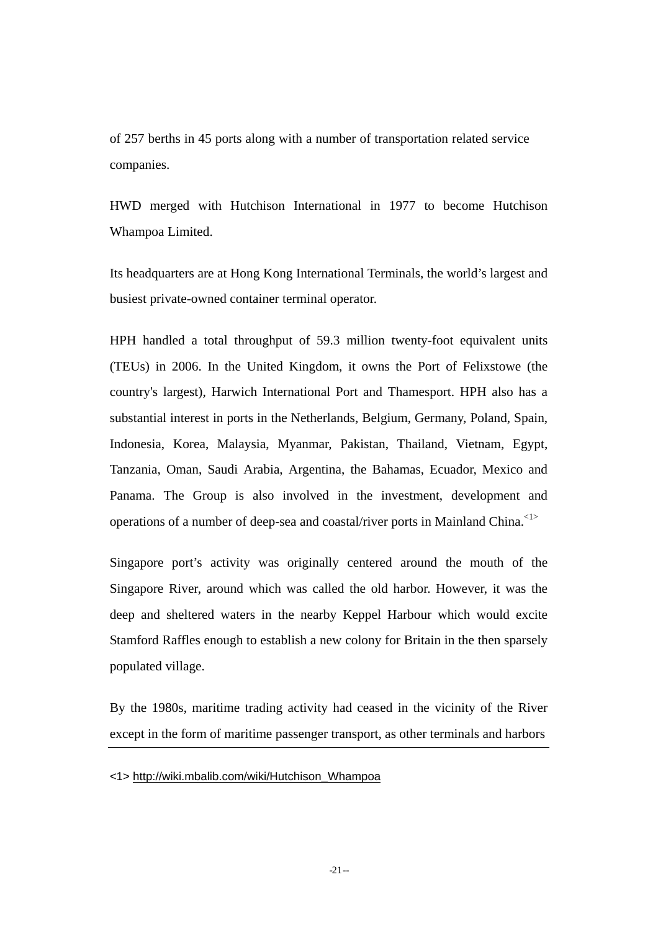of 257 berths in 45 ports along with a number of transportation related service companies.

HWD merged with Hutchison International in 1977 to become Hutchison Whampoa Limited.

Its headquarters are at Hong Kong International Terminals, the world's largest and busiest private-owned container terminal operator.

HPH handled a total throughput of 59.3 million twenty-foot equivalent units (TEUs) in 2006. In the United Kingdom, it owns the Port of Felixstowe (the country's largest), Harwich International Port and Thamesport. HPH also has a substantial interest in ports in the Netherlands, Belgium, Germany, Poland, Spain, Indonesia, Korea, Malaysia, Myanmar, Pakistan, Thailand, Vietnam, Egypt, Tanzania, Oman, Saudi Arabia, Argentina, the Bahamas, Ecuador, Mexico and Panama. The Group is also involved in the investment, development and operations of a number of deep-sea and coastal/river ports in Mainland China.<1>

Singapore port's activity was originally centered around the mouth of the Singapore River, around which was called the old harbor. However, it was the deep and sheltered waters in the nearby Keppel Harbour which would excite Stamford Raffles enough to establish a new colony for Britain in the then sparsely populated village.

By the 1980s, maritime trading activity had ceased in the vicinity of the River except in the form of maritime passenger transport, as other terminals and harbors

<sup>&</sup>lt;1> http://wiki.mbalib.com/wiki/Hutchison\_Whampoa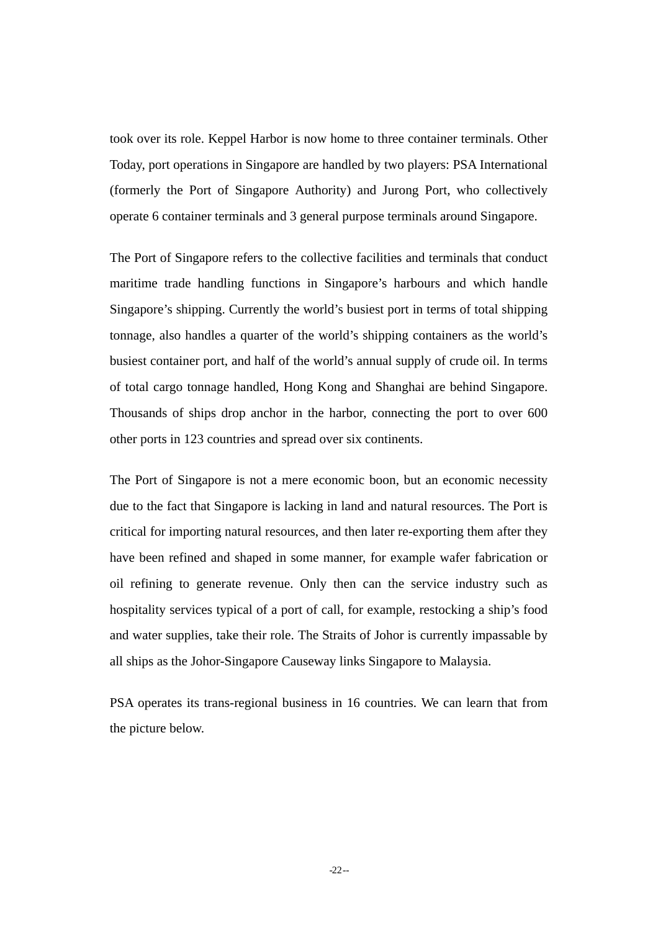took over its role. Keppel Harbor is now home to three container terminals. Other Today, port operations in Singapore are handled by two players: PSA International (formerly the Port of Singapore Authority) and Jurong Port, who collectively operate 6 container terminals and 3 general purpose terminals around Singapore.

The Port of Singapore refers to the collective facilities and terminals that conduct maritime trade handling functions in Singapore's harbours and which handle Singapore's shipping. Currently the world's busiest port in terms of total shipping tonnage, also handles a quarter of the world's shipping containers as the world's busiest container port, and half of the world's annual supply of crude oil. In terms of total cargo tonnage handled, Hong Kong and Shanghai are behind Singapore. Thousands of ships drop anchor in the harbor, connecting the port to over 600 other ports in 123 countries and spread over six continents.

The Port of Singapore is not a mere economic boon, but an economic necessity due to the fact that Singapore is lacking in land and natural resources. The Port is critical for importing natural resources, and then later re-exporting them after they have been refined and shaped in some manner, for example wafer fabrication or oil refining to generate revenue. Only then can the service industry such as hospitality services typical of a port of call, for example, restocking a ship's food and water supplies, take their role. The Straits of Johor is currently impassable by all ships as the Johor-Singapore Causeway links Singapore to Malaysia.

PSA operates its trans-regional business in 16 countries. We can learn that from the picture below.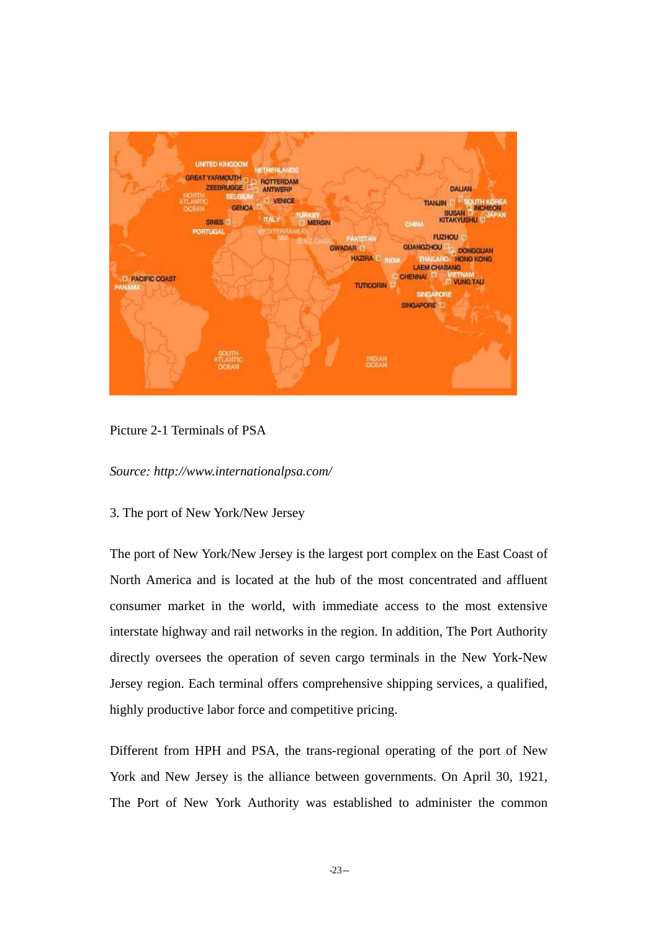

Picture 2-1 Terminals of PSA

*Source: http://www.internationalpsa.com/* 

3. The port of New York/New Jersey

The port of New York/New Jersey is the largest port complex on the East Coast of North America and is located at the hub of the most concentrated and affluent consumer market in the world, with immediate access to the most extensive interstate highway and rail networks in the region. In addition, The Port Authority directly oversees the operation of seven cargo terminals in the New York-New Jersey region. Each terminal offers comprehensive shipping services, a qualified, highly productive labor force and competitive pricing.

Different from HPH and PSA, the trans-regional operating of the port of New York and New Jersey is the alliance between governments. On April 30, 1921, The Port of New York Authority was established to administer the common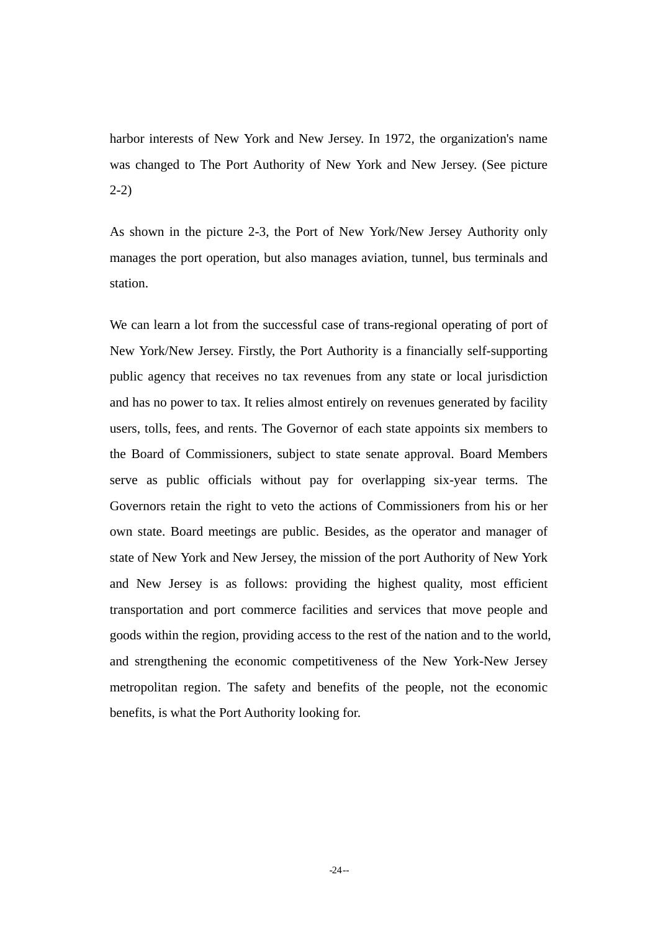harbor interests of New York and New Jersey. In 1972, the organization's name was changed to The Port Authority of New York and New Jersey. (See picture 2-2)

As shown in the picture 2-3, the Port of New York/New Jersey Authority only manages the port operation, but also manages aviation, tunnel, bus terminals and station.

We can learn a lot from the successful case of trans-regional operating of port of New York/New Jersey. Firstly, the Port Authority is a financially self-supporting public agency that receives no tax revenues from any state or local jurisdiction and has no power to tax. It relies almost entirely on revenues generated by facility users, tolls, fees, and rents. The Governor of each state appoints six members to the Board of Commissioners, subject to state senate approval. Board Members serve as public officials without pay for overlapping six-year terms. The Governors retain the right to veto the actions of Commissioners from his or her own state. Board meetings are public. Besides, as the operator and manager of state of New York and New Jersey, the mission of the port Authority of New York and New Jersey is as follows: providing the highest quality, most efficient transportation and port commerce facilities and services that move people and goods within the region, providing access to the rest of the nation and to the world, and strengthening the economic competitiveness of the New York-New Jersey metropolitan region. The safety and benefits of the people, not the economic benefits, is what the Port Authority looking for.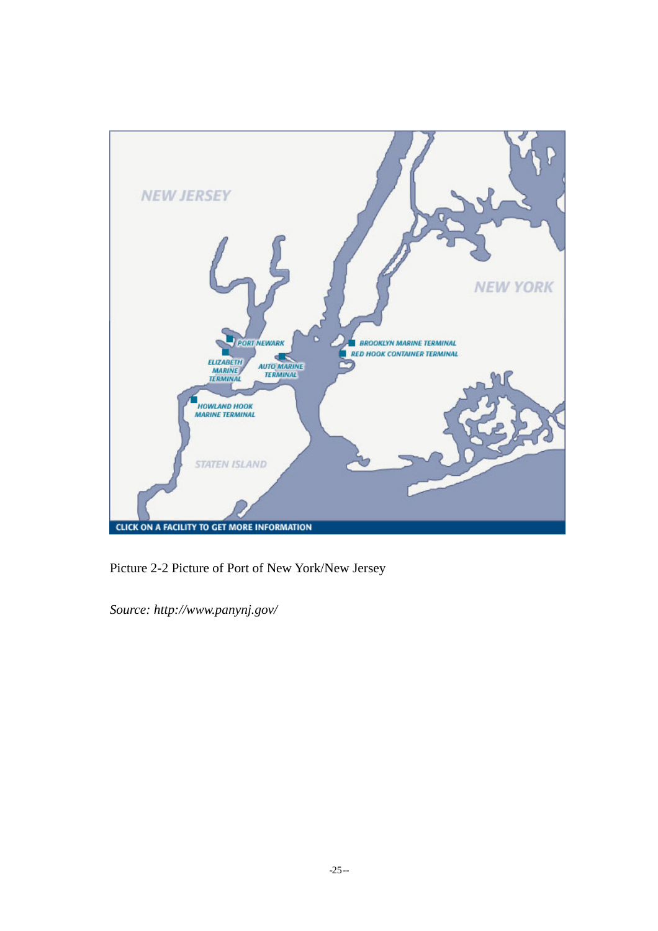

Picture 2-2 Picture of Port of New York/New Jersey

*Source: http://www.panynj.gov/*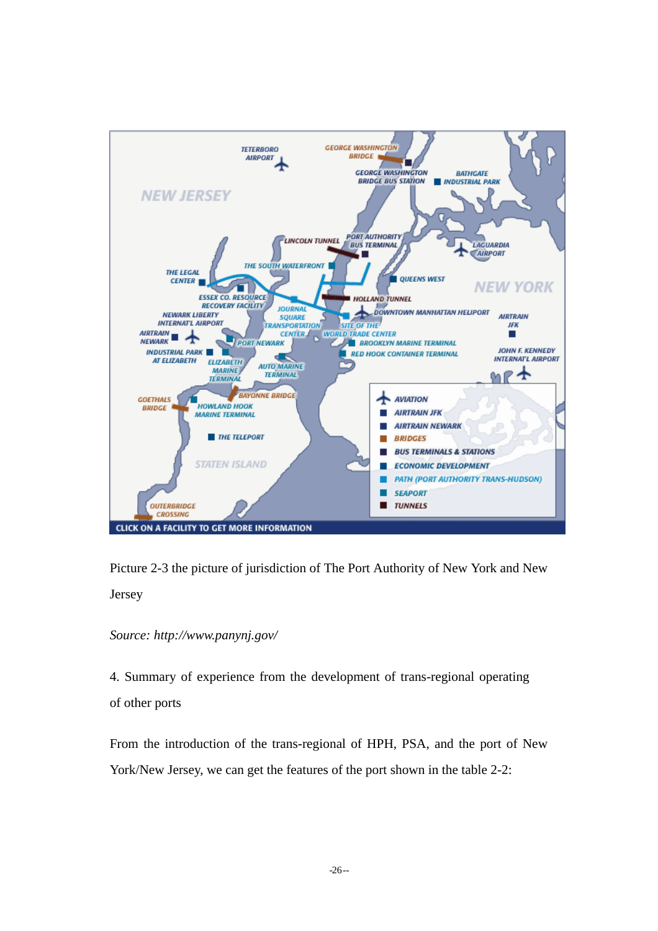

Picture 2-3 the picture of jurisdiction of The Port Authority of New York and New Jersey

#### *Source: http://www.panynj.gov/*

4. Summary of experience from the development of trans-regional operating of other ports

From the introduction of the trans-regional of HPH, PSA, and the port of New York/New Jersey, we can get the features of the port shown in the table 2-2: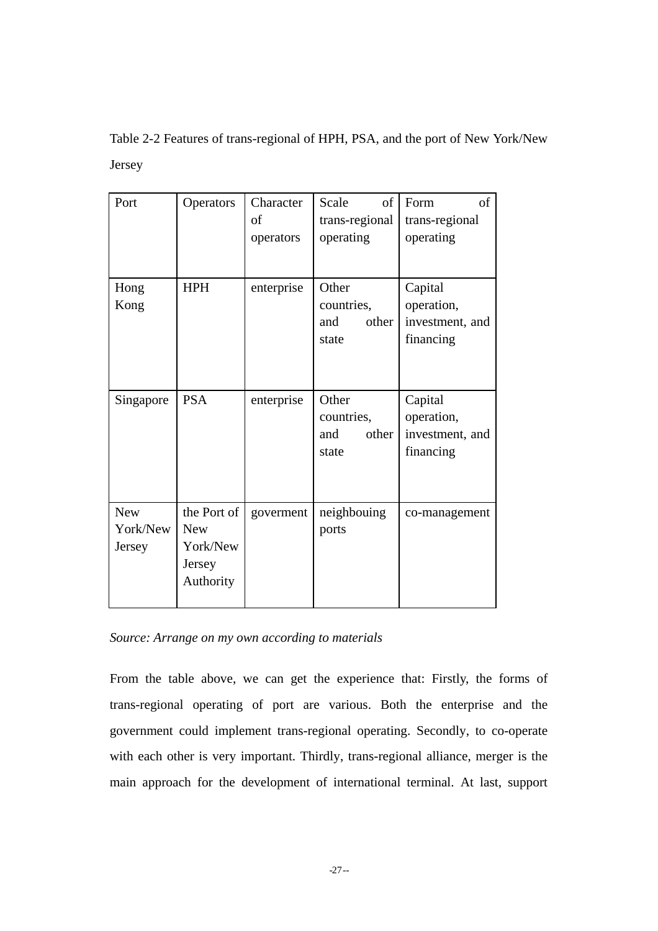Table 2-2 Features of trans-regional of HPH, PSA, and the port of New York/New Jersey

| Port                             | Operators                                                    | Character<br>of<br>operators | of<br>Scale<br>trans-regional<br>operating   | of<br>Form<br>trans-regional<br>operating             |
|----------------------------------|--------------------------------------------------------------|------------------------------|----------------------------------------------|-------------------------------------------------------|
| Hong<br>Kong                     | <b>HPH</b>                                                   | enterprise                   | Other<br>countries,<br>other<br>and<br>state | Capital<br>operation,<br>investment, and<br>financing |
| Singapore                        | <b>PSA</b>                                                   | enterprise                   | Other<br>countries,<br>and<br>other<br>state | Capital<br>operation,<br>investment, and<br>financing |
| <b>New</b><br>York/New<br>Jersey | the Port of<br><b>New</b><br>York/New<br>Jersey<br>Authority | goverment                    | neighbouing<br>ports                         | co-management                                         |

*Source: Arrange on my own according to materials* 

From the table above, we can get the experience that: Firstly, the forms of trans-regional operating of port are various. Both the enterprise and the government could implement trans-regional operating. Secondly, to co-operate with each other is very important. Thirdly, trans-regional alliance, merger is the main approach for the development of international terminal. At last, support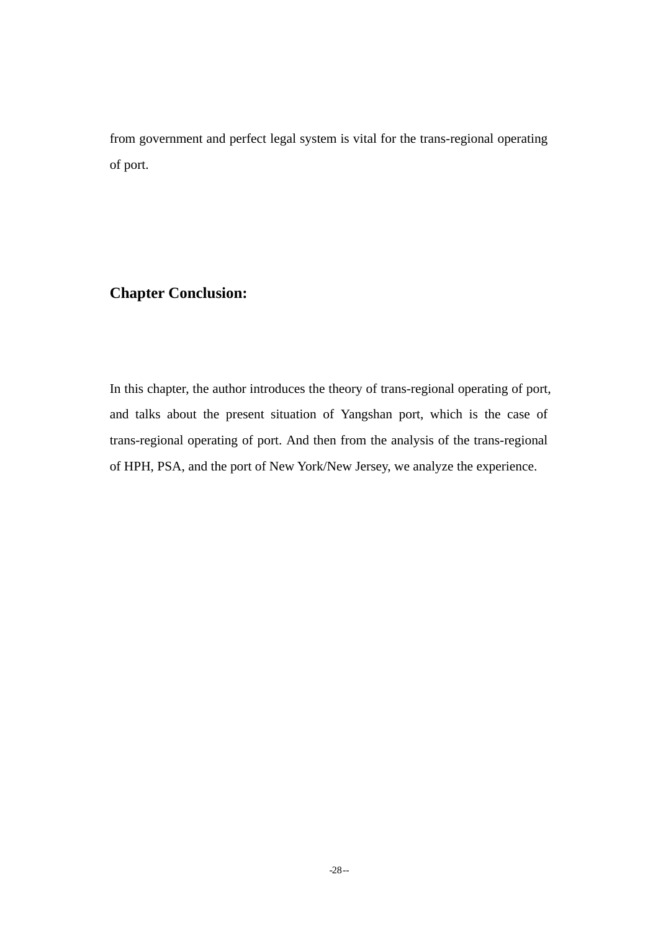from government and perfect legal system is vital for the trans-regional operating of port.

### **Chapter Conclusion:**

In this chapter, the author introduces the theory of trans-regional operating of port, and talks about the present situation of Yangshan port, which is the case of trans-regional operating of port. And then from the analysis of the trans-regional of HPH, PSA, and the port of New York/New Jersey, we analyze the experience.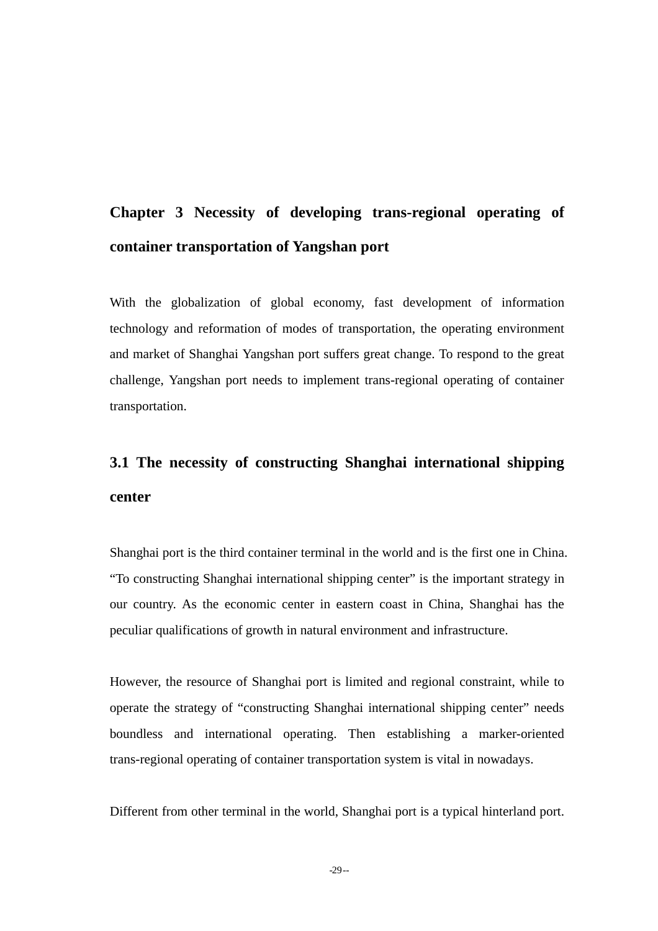# **Chapter 3 Necessity of developing trans-regional operating of container transportation of Yangshan port**

With the globalization of global economy, fast development of information technology and reformation of modes of transportation, the operating environment and market of Shanghai Yangshan port suffers great change. To respond to the great challenge, Yangshan port needs to implement trans-regional operating of container transportation.

# **3.1 The necessity of constructing Shanghai international shipping center**

Shanghai port is the third container terminal in the world and is the first one in China. "To constructing Shanghai international shipping center" is the important strategy in our country. As the economic center in eastern coast in China, Shanghai has the peculiar qualifications of growth in natural environment and infrastructure.

However, the resource of Shanghai port is limited and regional constraint, while to operate the strategy of "constructing Shanghai international shipping center" needs boundless and international operating. Then establishing a marker-oriented trans-regional operating of container transportation system is vital in nowadays.

Different from other terminal in the world, Shanghai port is a typical hinterland port.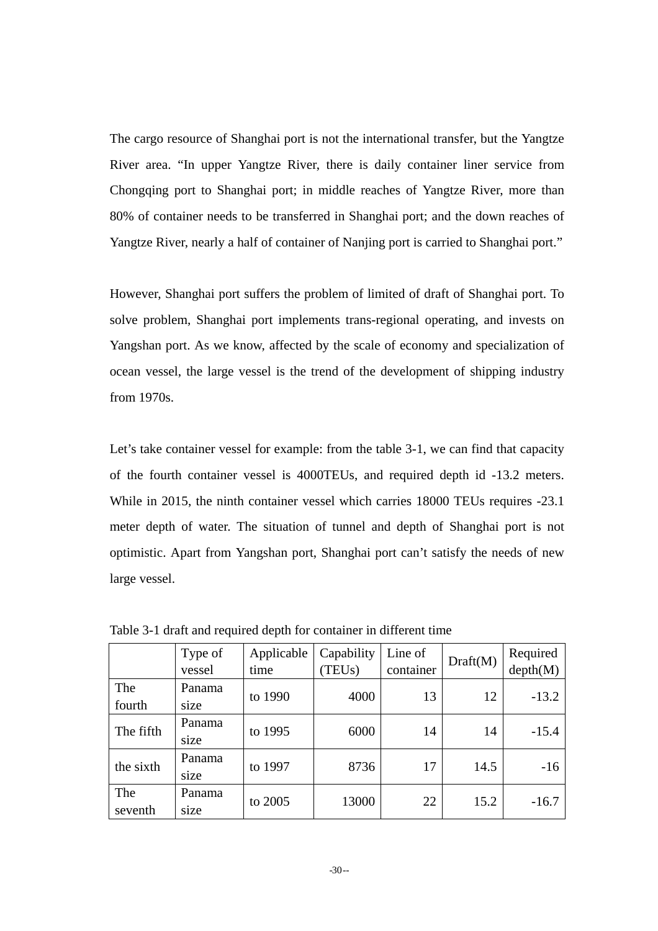The cargo resource of Shanghai port is not the international transfer, but the Yangtze River area. "In upper Yangtze River, there is daily container liner service from Chongqing port to Shanghai port; in middle reaches of Yangtze River, more than 80% of container needs to be transferred in Shanghai port; and the down reaches of Yangtze River, nearly a half of container of Nanjing port is carried to Shanghai port."

However, Shanghai port suffers the problem of limited of draft of Shanghai port. To solve problem, Shanghai port implements trans-regional operating, and invests on Yangshan port. As we know, affected by the scale of economy and specialization of ocean vessel, the large vessel is the trend of the development of shipping industry from 1970s.

Let's take container vessel for example: from the table 3-1, we can find that capacity of the fourth container vessel is 4000TEUs, and required depth id -13.2 meters. While in 2015, the ninth container vessel which carries 18000 TEUs requires -23.1 meter depth of water. The situation of tunnel and depth of Shanghai port is not optimistic. Apart from Yangshan port, Shanghai port can't satisfy the needs of new large vessel.

|                | Type of<br>vessel | Applicable<br>time | Capability<br>TEU <sub>s</sub> ) | Line of<br>container | Draff(M) | Required<br>depth(M) |
|----------------|-------------------|--------------------|----------------------------------|----------------------|----------|----------------------|
| The<br>fourth  | Panama<br>size    | to 1990            | 4000                             | 13                   | 12       | $-13.2$              |
| The fifth      | Panama<br>size    | to 1995            | 6000                             | 14                   | 14       | $-15.4$              |
| the sixth      | Panama<br>size    | to 1997            | 8736                             | 17                   | 14.5     | $-16$                |
| The<br>seventh | Panama<br>size    | to 2005            | 13000                            | 22                   | 15.2     | $-16.7$              |

Table 3-1 draft and required depth for container in different time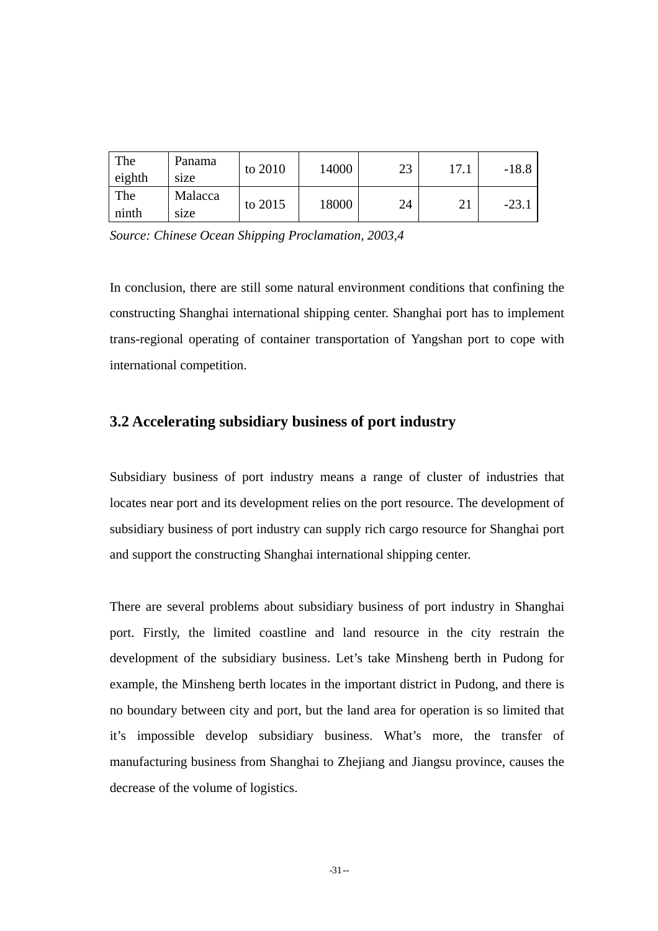| The<br>eighth | Panama<br>size  | to 2010 | 14000 | 23 | 17.1     | $-18.8$ |
|---------------|-----------------|---------|-------|----|----------|---------|
| The<br>ninth  | Malacca<br>size | to 2015 | 18000 | 24 | າ1<br>∠⊥ | $-23.1$ |

*Source: Chinese Ocean Shipping Proclamation, 2003,4* 

In conclusion, there are still some natural environment conditions that confining the constructing Shanghai international shipping center. Shanghai port has to implement trans-regional operating of container transportation of Yangshan port to cope with international competition.

### **3.2 Accelerating subsidiary business of port industry**

Subsidiary business of port industry means a range of cluster of industries that locates near port and its development relies on the port resource. The development of subsidiary business of port industry can supply rich cargo resource for Shanghai port and support the constructing Shanghai international shipping center.

There are several problems about subsidiary business of port industry in Shanghai port. Firstly, the limited coastline and land resource in the city restrain the development of the subsidiary business. Let's take Minsheng berth in Pudong for example, the Minsheng berth locates in the important district in Pudong, and there is no boundary between city and port, but the land area for operation is so limited that it's impossible develop subsidiary business. What's more, the transfer of manufacturing business from Shanghai to Zhejiang and Jiangsu province, causes the decrease of the volume of logistics.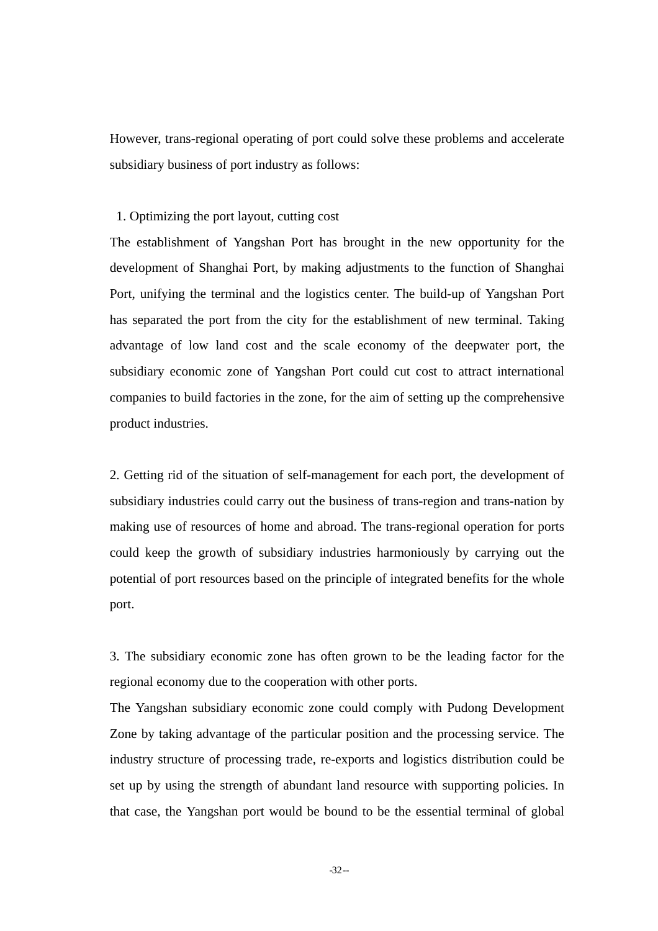However, trans-regional operating of port could solve these problems and accelerate subsidiary business of port industry as follows:

#### 1. Optimizing the port layout, cutting cost

The establishment of Yangshan Port has brought in the new opportunity for the development of Shanghai Port, by making adjustments to the function of Shanghai Port, unifying the terminal and the logistics center. The build-up of Yangshan Port has separated the port from the city for the establishment of new terminal. Taking advantage of low land cost and the scale economy of the deepwater port, the subsidiary economic zone of Yangshan Port could cut cost to attract international companies to build factories in the zone, for the aim of setting up the comprehensive product industries.

2. Getting rid of the situation of self-management for each port, the development of subsidiary industries could carry out the business of trans-region and trans-nation by making use of resources of home and abroad. The trans-regional operation for ports could keep the growth of subsidiary industries harmoniously by carrying out the potential of port resources based on the principle of integrated benefits for the whole port.

3. The subsidiary economic zone has often grown to be the leading factor for the regional economy due to the cooperation with other ports.

The Yangshan subsidiary economic zone could comply with Pudong Development Zone by taking advantage of the particular position and the processing service. The industry structure of processing trade, re-exports and logistics distribution could be set up by using the strength of abundant land resource with supporting policies. In that case, the Yangshan port would be bound to be the essential terminal of global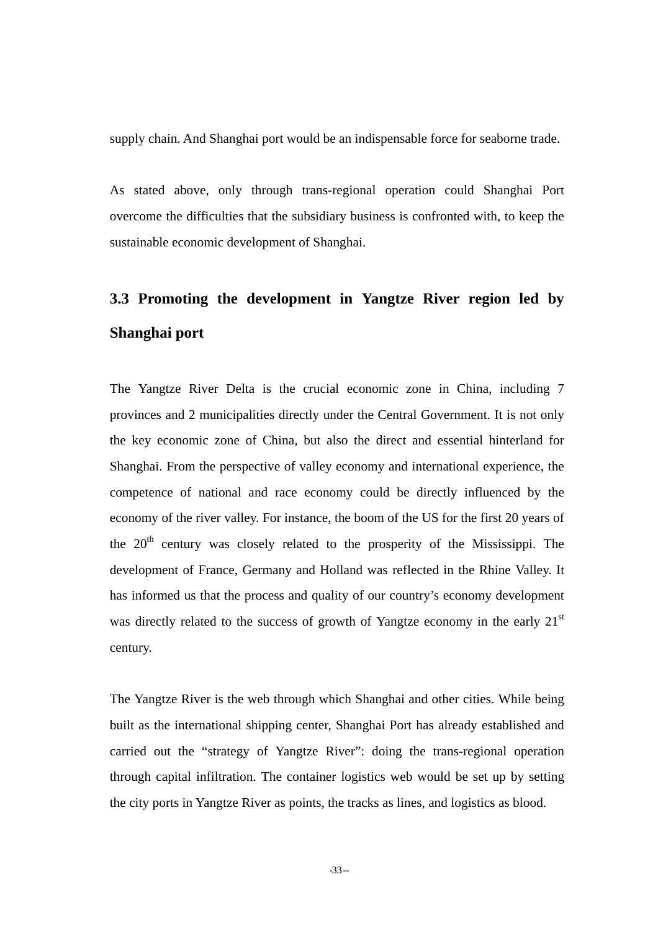supply chain. And Shanghai port would be an indispensable force for seaborne trade.

As stated above, only through trans-regional operation could Shanghai Port overcome the difficulties that the subsidiary business is confronted with, to keep the sustainable economic development of Shanghai.

# **3.3 Promoting the development in Yangtze River region led by Shanghai port**

The Yangtze River Delta is the crucial economic zone in China, including 7 provinces and 2 municipalities directly under the Central Government. It is not only the key economic zone of China, but also the direct and essential hinterland for Shanghai. From the perspective of valley economy and international experience, the competence of national and race economy could be directly influenced by the economy of the river valley. For instance, the boom of the US for the first 20 years of the  $20<sup>th</sup>$  century was closely related to the prosperity of the Mississippi. The development of France, Germany and Holland was reflected in the Rhine Valley. It has informed us that the process and quality of our country's economy development was directly related to the success of growth of Yangtze economy in the early  $21<sup>st</sup>$ century.

The Yangtze River is the web through which Shanghai and other cities. While being built as the international shipping center, Shanghai Port has already established and carried out the "strategy of Yangtze River": doing the trans-regional operation through capital infiltration. The container logistics web would be set up by setting the city ports in Yangtze River as points, the tracks as lines, and logistics as blood.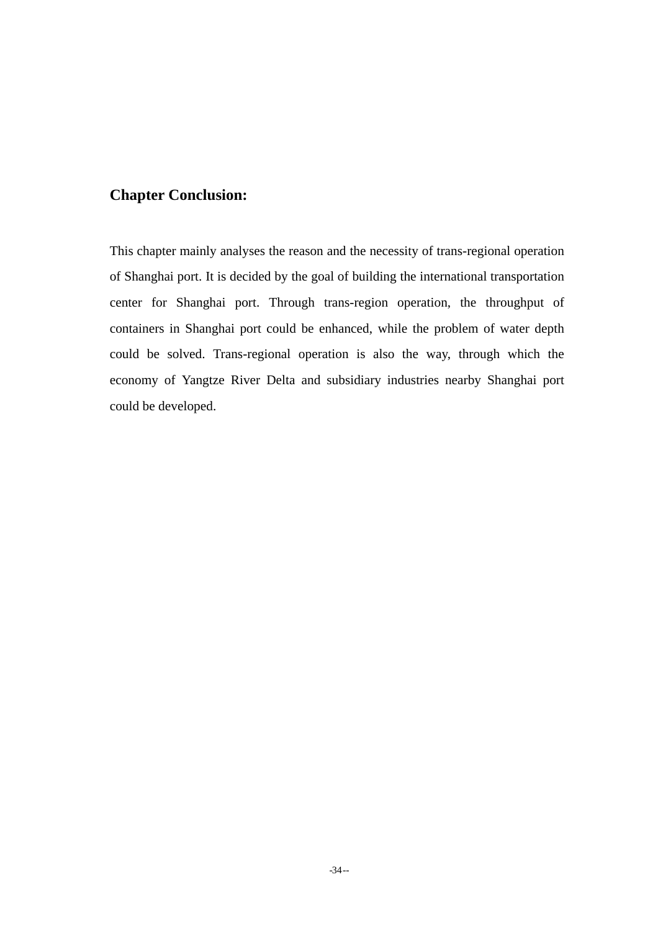## **Chapter Conclusion:**

This chapter mainly analyses the reason and the necessity of trans-regional operation of Shanghai port. It is decided by the goal of building the international transportation center for Shanghai port. Through trans-region operation, the throughput of containers in Shanghai port could be enhanced, while the problem of water depth could be solved. Trans-regional operation is also the way, through which the economy of Yangtze River Delta and subsidiary industries nearby Shanghai port could be developed.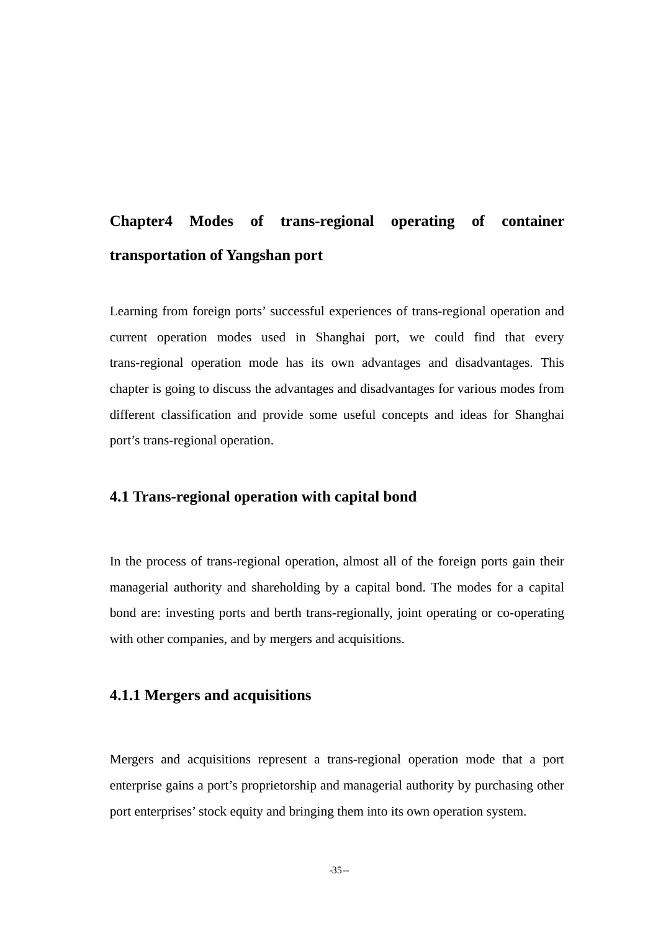## **Chapter4 Modes of trans-regional operating of container transportation of Yangshan port**

Learning from foreign ports' successful experiences of trans-regional operation and current operation modes used in Shanghai port, we could find that every trans-regional operation mode has its own advantages and disadvantages. This chapter is going to discuss the advantages and disadvantages for various modes from different classification and provide some useful concepts and ideas for Shanghai port's trans-regional operation.

### **4.1 Trans-regional operation with capital bond**

In the process of trans-regional operation, almost all of the foreign ports gain their managerial authority and shareholding by a capital bond. The modes for a capital bond are: investing ports and berth trans-regionally, joint operating or co-operating with other companies, and by mergers and acquisitions.

### **4.1.1 Mergers and acquisitions**

Mergers and acquisitions represent a trans-regional operation mode that a port enterprise gains a port's proprietorship and managerial authority by purchasing other port enterprises' stock equity and bringing them into its own operation system.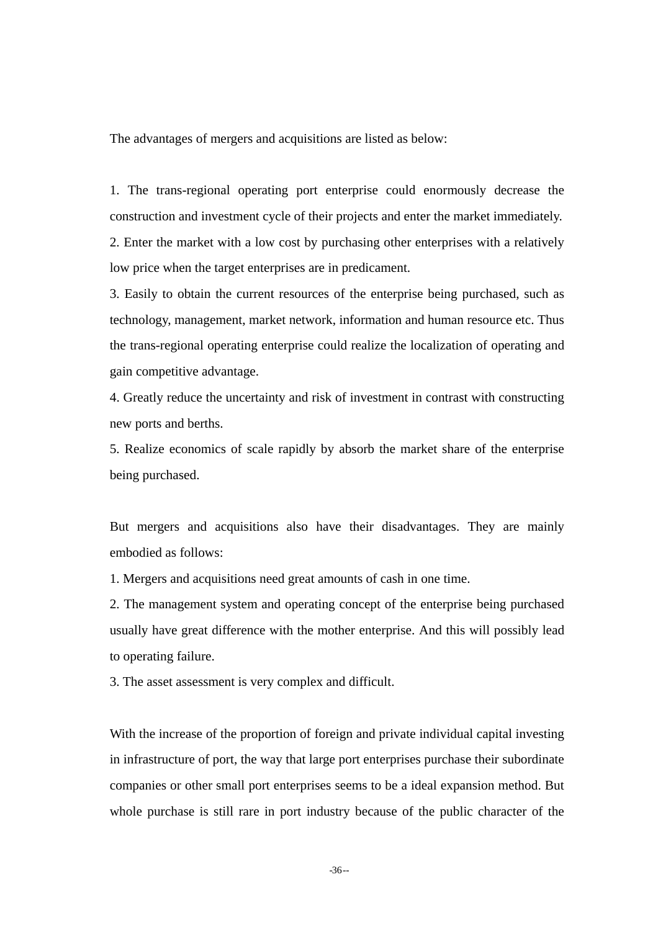The advantages of mergers and acquisitions are listed as below:

1. The trans-regional operating port enterprise could enormously decrease the construction and investment cycle of their projects and enter the market immediately.

2. Enter the market with a low cost by purchasing other enterprises with a relatively low price when the target enterprises are in predicament.

3. Easily to obtain the current resources of the enterprise being purchased, such as technology, management, market network, information and human resource etc. Thus the trans-regional operating enterprise could realize the localization of operating and gain competitive advantage.

4. Greatly reduce the uncertainty and risk of investment in contrast with constructing new ports and berths.

5. Realize economics of scale rapidly by absorb the market share of the enterprise being purchased.

But mergers and acquisitions also have their disadvantages. They are mainly embodied as follows:

1. Mergers and acquisitions need great amounts of cash in one time.

2. The management system and operating concept of the enterprise being purchased usually have great difference with the mother enterprise. And this will possibly lead to operating failure.

3. The asset assessment is very complex and difficult.

With the increase of the proportion of foreign and private individual capital investing in infrastructure of port, the way that large port enterprises purchase their subordinate companies or other small port enterprises seems to be a ideal expansion method. But whole purchase is still rare in port industry because of the public character of the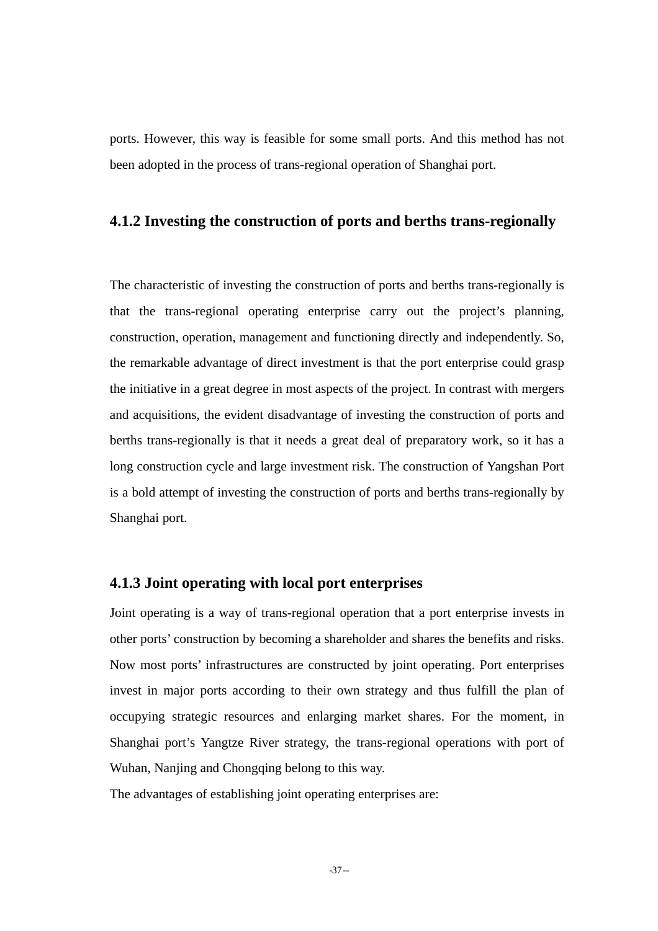ports. However, this way is feasible for some small ports. And this method has not been adopted in the process of trans-regional operation of Shanghai port.

#### **4.1.2 Investing the construction of ports and berths trans-regionally**

The characteristic of investing the construction of ports and berths trans-regionally is that the trans-regional operating enterprise carry out the project's planning, construction, operation, management and functioning directly and independently. So, the remarkable advantage of direct investment is that the port enterprise could grasp the initiative in a great degree in most aspects of the project. In contrast with mergers and acquisitions, the evident disadvantage of investing the construction of ports and berths trans-regionally is that it needs a great deal of preparatory work, so it has a long construction cycle and large investment risk. The construction of Yangshan Port is a bold attempt of investing the construction of ports and berths trans-regionally by Shanghai port.

#### **4.1.3 Joint operating with local port enterprises**

Joint operating is a way of trans-regional operation that a port enterprise invests in other ports' construction by becoming a shareholder and shares the benefits and risks. Now most ports' infrastructures are constructed by joint operating. Port enterprises invest in major ports according to their own strategy and thus fulfill the plan of occupying strategic resources and enlarging market shares. For the moment, in Shanghai port's Yangtze River strategy, the trans-regional operations with port of Wuhan, Nanjing and Chongqing belong to this way.

The advantages of establishing joint operating enterprises are: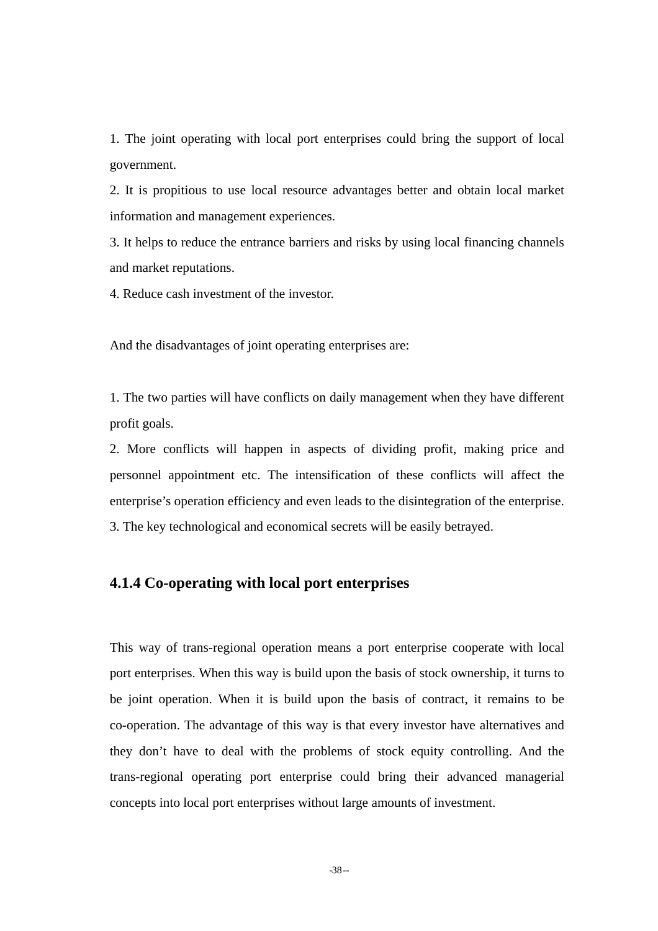1. The joint operating with local port enterprises could bring the support of local government.

2. It is propitious to use local resource advantages better and obtain local market information and management experiences.

3. It helps to reduce the entrance barriers and risks by using local financing channels and market reputations.

4. Reduce cash investment of the investor.

And the disadvantages of joint operating enterprises are:

1. The two parties will have conflicts on daily management when they have different profit goals.

2. More conflicts will happen in aspects of dividing profit, making price and personnel appointment etc. The intensification of these conflicts will affect the enterprise's operation efficiency and even leads to the disintegration of the enterprise. 3. The key technological and economical secrets will be easily betrayed.

#### **4.1.4 Co-operating with local port enterprises**

This way of trans-regional operation means a port enterprise cooperate with local port enterprises. When this way is build upon the basis of stock ownership, it turns to be joint operation. When it is build upon the basis of contract, it remains to be co-operation. The advantage of this way is that every investor have alternatives and they don't have to deal with the problems of stock equity controlling. And the trans-regional operating port enterprise could bring their advanced managerial concepts into local port enterprises without large amounts of investment.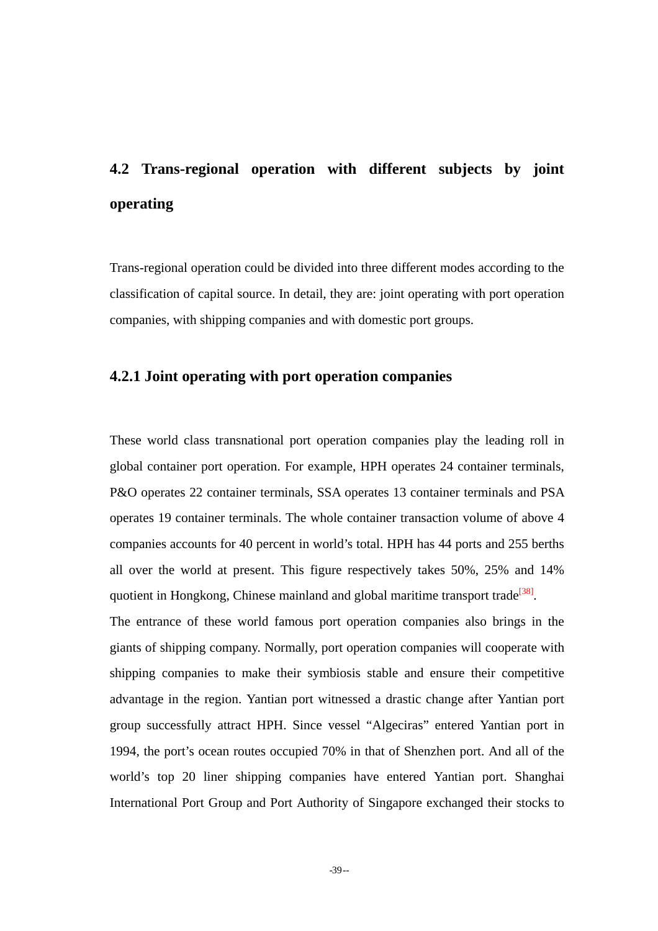# **4.2 Trans-regional operation with different subjects by joint operating**

Trans-regional operation could be divided into three different modes according to the classification of capital source. In detail, they are: joint operating with port operation companies, with shipping companies and with domestic port groups.

#### **4.2.1 Joint operating with port operation companies**

These world class transnational port operation companies play the leading roll in global container port operation. For example, HPH operates 24 container terminals, P&O operates 22 container terminals, SSA operates 13 container terminals and PSA operates 19 container terminals. The whole container transaction volume of above 4 companies accounts for 40 percent in world's total. HPH has 44 ports and 255 berths all over the world at present. This figure respectively takes 50%, 25% and 14% quotient in Hongkong, Chinese mainland and global maritime transport trade<sup>[38]</sup>.

The entrance of these world famous port operation companies also brings in the giants of shipping company. Normally, port operation companies will cooperate with shipping companies to make their symbiosis stable and ensure their competitive advantage in the region. Yantian port witnessed a drastic change after Yantian port group successfully attract HPH. Since vessel "Algeciras" entered Yantian port in 1994, the port's ocean routes occupied 70% in that of Shenzhen port. And all of the world's top 20 liner shipping companies have entered Yantian port. Shanghai International Port Group and Port Authority of Singapore exchanged their stocks to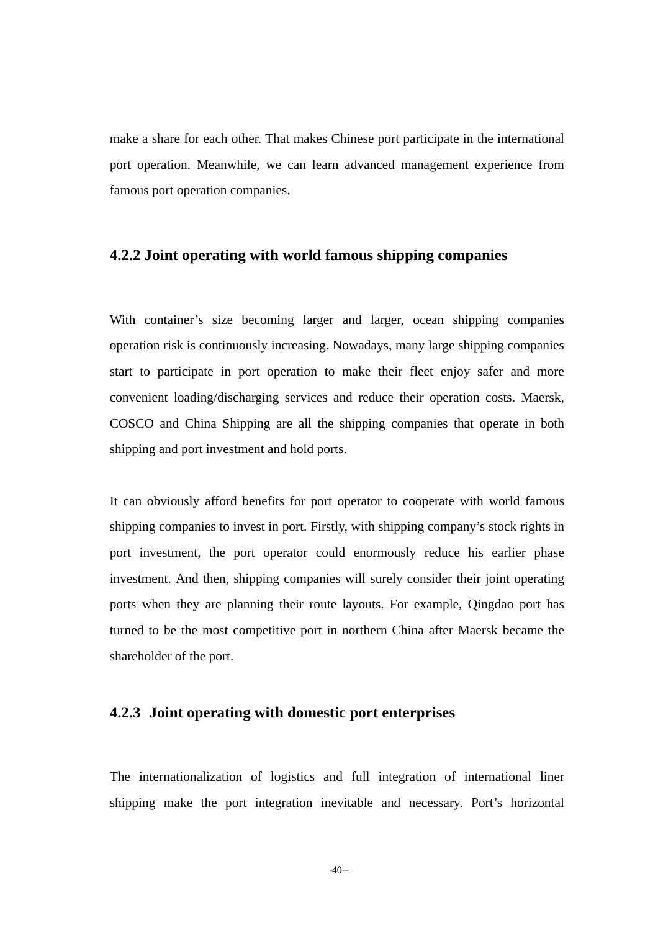make a share for each other. That makes Chinese port participate in the international port operation. Meanwhile, we can learn advanced management experience from famous port operation companies.

#### **4.2.2 Joint operating with world famous shipping companies**

With container's size becoming larger and larger, ocean shipping companies operation risk is continuously increasing. Nowadays, many large shipping companies start to participate in port operation to make their fleet enjoy safer and more convenient loading/discharging services and reduce their operation costs. Maersk, COSCO and China Shipping are all the shipping companies that operate in both shipping and port investment and hold ports.

It can obviously afford benefits for port operator to cooperate with world famous shipping companies to invest in port. Firstly, with shipping company's stock rights in port investment, the port operator could enormously reduce his earlier phase investment. And then, shipping companies will surely consider their joint operating ports when they are planning their route layouts. For example, Qingdao port has turned to be the most competitive port in northern China after Maersk became the shareholder of the port.

### **4.2.3 Joint operating with domestic port enterprises**

The internationalization of logistics and full integration of international liner shipping make the port integration inevitable and necessary. Port's horizontal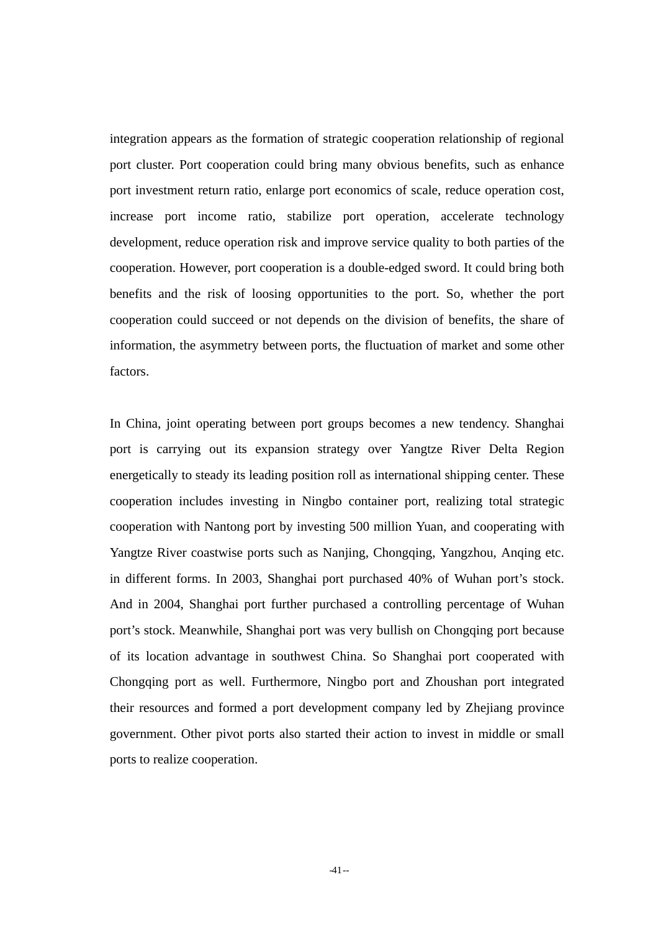integration appears as the formation of strategic cooperation relationship of regional port cluster. Port cooperation could bring many obvious benefits, such as enhance port investment return ratio, enlarge port economics of scale, reduce operation cost, increase port income ratio, stabilize port operation, accelerate technology development, reduce operation risk and improve service quality to both parties of the cooperation. However, port cooperation is a double-edged sword. It could bring both benefits and the risk of loosing opportunities to the port. So, whether the port cooperation could succeed or not depends on the division of benefits, the share of information, the asymmetry between ports, the fluctuation of market and some other factors.

In China, joint operating between port groups becomes a new tendency. Shanghai port is carrying out its expansion strategy over Yangtze River Delta Region energetically to steady its leading position roll as international shipping center. These cooperation includes investing in Ningbo container port, realizing total strategic cooperation with Nantong port by investing 500 million Yuan, and cooperating with Yangtze River coastwise ports such as Nanjing, Chongqing, Yangzhou, Anqing etc. in different forms. In 2003, Shanghai port purchased 40% of Wuhan port's stock. And in 2004, Shanghai port further purchased a controlling percentage of Wuhan port's stock. Meanwhile, Shanghai port was very bullish on Chongqing port because of its location advantage in southwest China. So Shanghai port cooperated with Chongqing port as well. Furthermore, Ningbo port and Zhoushan port integrated their resources and formed a port development company led by Zhejiang province government. Other pivot ports also started their action to invest in middle or small ports to realize cooperation.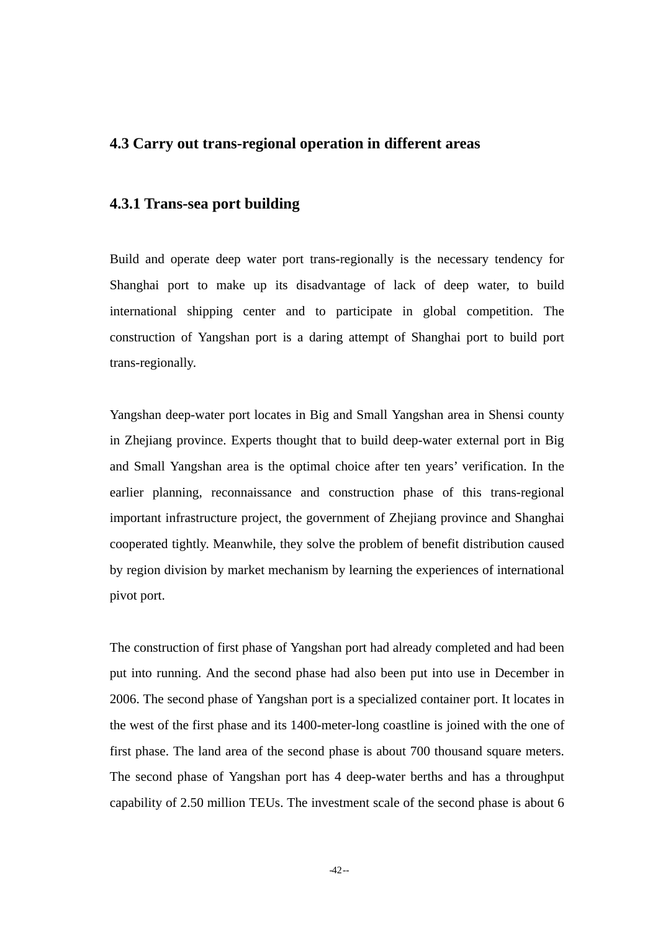### **4.3 Carry out trans-regional operation in different areas**

#### **4.3.1 Trans-sea port building**

Build and operate deep water port trans-regionally is the necessary tendency for Shanghai port to make up its disadvantage of lack of deep water, to build international shipping center and to participate in global competition. The construction of Yangshan port is a daring attempt of Shanghai port to build port trans-regionally.

Yangshan deep-water port locates in Big and Small Yangshan area in Shensi county in Zhejiang province. Experts thought that to build deep-water external port in Big and Small Yangshan area is the optimal choice after ten years' verification. In the earlier planning, reconnaissance and construction phase of this trans-regional important infrastructure project, the government of Zhejiang province and Shanghai cooperated tightly. Meanwhile, they solve the problem of benefit distribution caused by region division by market mechanism by learning the experiences of international pivot port.

The construction of first phase of Yangshan port had already completed and had been put into running. And the second phase had also been put into use in December in 2006. The second phase of Yangshan port is a specialized container port. It locates in the west of the first phase and its 1400-meter-long coastline is joined with the one of first phase. The land area of the second phase is about 700 thousand square meters. The second phase of Yangshan port has 4 deep-water berths and has a throughput capability of 2.50 million TEUs. The investment scale of the second phase is about 6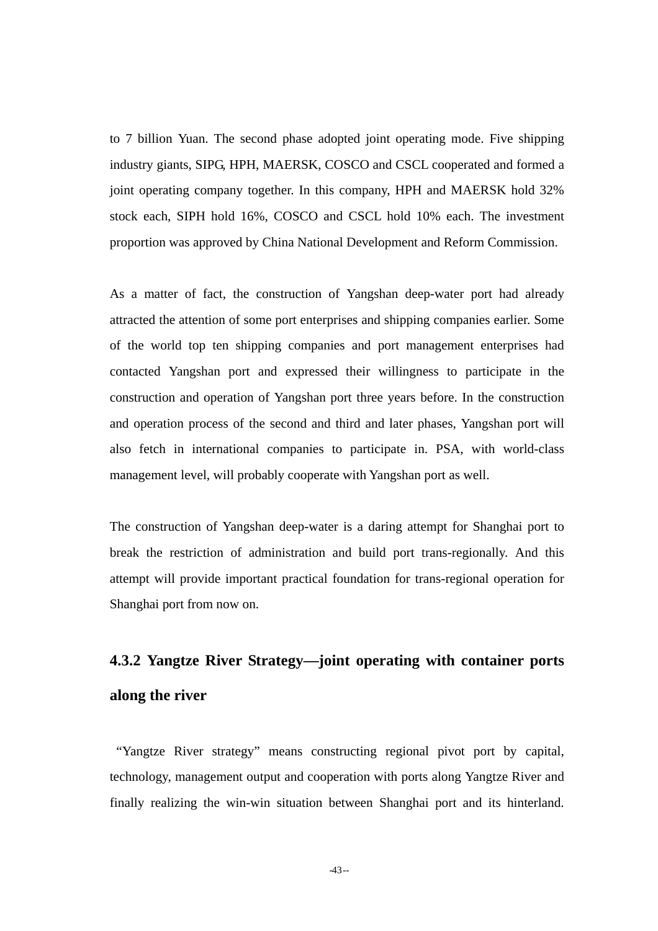to 7 billion Yuan. The second phase adopted joint operating mode. Five shipping industry giants, SIPG, HPH, MAERSK, COSCO and CSCL cooperated and formed a joint operating company together. In this company, HPH and MAERSK hold 32% stock each, SIPH hold 16%, COSCO and CSCL hold 10% each. The investment proportion was approved by China National Development and Reform Commission.

As a matter of fact, the construction of Yangshan deep-water port had already attracted the attention of some port enterprises and shipping companies earlier. Some of the world top ten shipping companies and port management enterprises had contacted Yangshan port and expressed their willingness to participate in the construction and operation of Yangshan port three years before. In the construction and operation process of the second and third and later phases, Yangshan port will also fetch in international companies to participate in. PSA, with world-class management level, will probably cooperate with Yangshan port as well.

The construction of Yangshan deep-water is a daring attempt for Shanghai port to break the restriction of administration and build port trans-regionally. And this attempt will provide important practical foundation for trans-regional operation for Shanghai port from now on.

# **4.3.2 Yangtze River Strategy—joint operating with container ports along the river**

"Yangtze River strategy" means constructing regional pivot port by capital, technology, management output and cooperation with ports along Yangtze River and finally realizing the win-win situation between Shanghai port and its hinterland.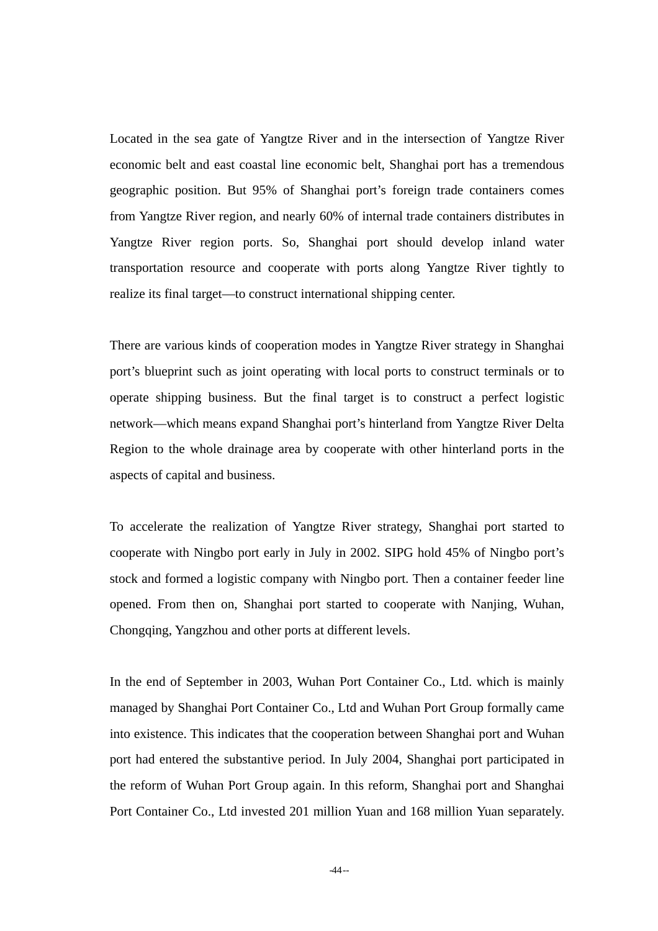Located in the sea gate of Yangtze River and in the intersection of Yangtze River economic belt and east coastal line economic belt, Shanghai port has a tremendous geographic position. But 95% of Shanghai port's foreign trade containers comes from Yangtze River region, and nearly 60% of internal trade containers distributes in Yangtze River region ports. So, Shanghai port should develop inland water transportation resource and cooperate with ports along Yangtze River tightly to realize its final target—to construct international shipping center.

There are various kinds of cooperation modes in Yangtze River strategy in Shanghai port's blueprint such as joint operating with local ports to construct terminals or to operate shipping business. But the final target is to construct a perfect logistic network—which means expand Shanghai port's hinterland from Yangtze River Delta Region to the whole drainage area by cooperate with other hinterland ports in the aspects of capital and business.

To accelerate the realization of Yangtze River strategy, Shanghai port started to cooperate with Ningbo port early in July in 2002. SIPG hold 45% of Ningbo port's stock and formed a logistic company with Ningbo port. Then a container feeder line opened. From then on, Shanghai port started to cooperate with Nanjing, Wuhan, Chongqing, Yangzhou and other ports at different levels.

In the end of September in 2003, Wuhan Port Container Co., Ltd. which is mainly managed by Shanghai Port Container Co., Ltd and Wuhan Port Group formally came into existence. This indicates that the cooperation between Shanghai port and Wuhan port had entered the substantive period. In July 2004, Shanghai port participated in the reform of Wuhan Port Group again. In this reform, Shanghai port and Shanghai Port Container Co., Ltd invested 201 million Yuan and 168 million Yuan separately.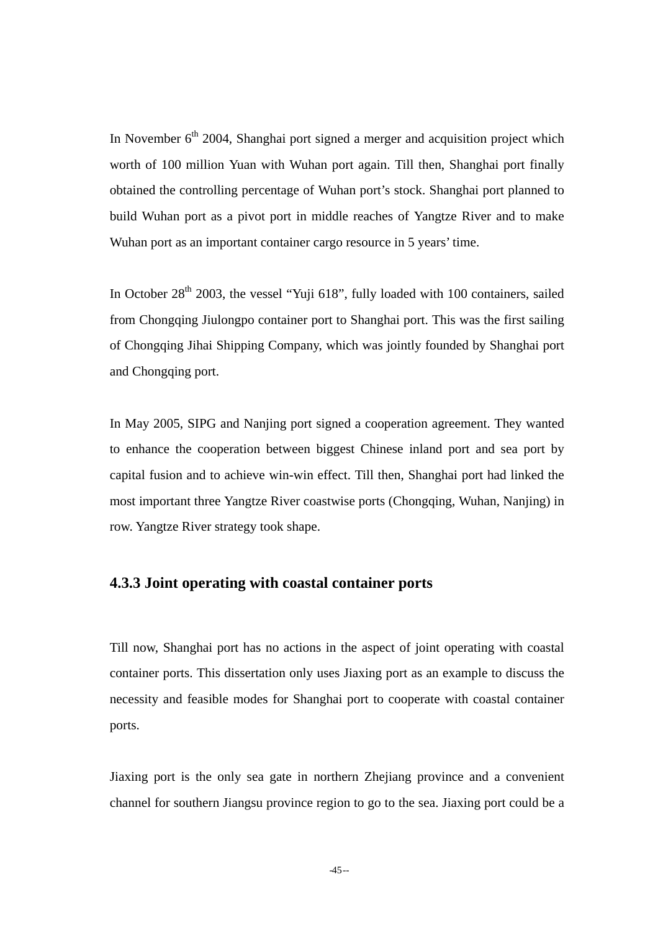In November  $6<sup>th</sup>$  2004, Shanghai port signed a merger and acquisition project which worth of 100 million Yuan with Wuhan port again. Till then, Shanghai port finally obtained the controlling percentage of Wuhan port's stock. Shanghai port planned to build Wuhan port as a pivot port in middle reaches of Yangtze River and to make Wuhan port as an important container cargo resource in 5 years' time.

In October  $28<sup>th</sup>$  2003, the vessel "Yuji 618", fully loaded with 100 containers, sailed from Chongqing Jiulongpo container port to Shanghai port. This was the first sailing of Chongqing Jihai Shipping Company, which was jointly founded by Shanghai port and Chongqing port.

In May 2005, SIPG and Nanjing port signed a cooperation agreement. They wanted to enhance the cooperation between biggest Chinese inland port and sea port by capital fusion and to achieve win-win effect. Till then, Shanghai port had linked the most important three Yangtze River coastwise ports (Chongqing, Wuhan, Nanjing) in row. Yangtze River strategy took shape.

#### **4.3.3 Joint operating with coastal container ports**

Till now, Shanghai port has no actions in the aspect of joint operating with coastal container ports. This dissertation only uses Jiaxing port as an example to discuss the necessity and feasible modes for Shanghai port to cooperate with coastal container ports.

Jiaxing port is the only sea gate in northern Zhejiang province and a convenient channel for southern Jiangsu province region to go to the sea. Jiaxing port could be a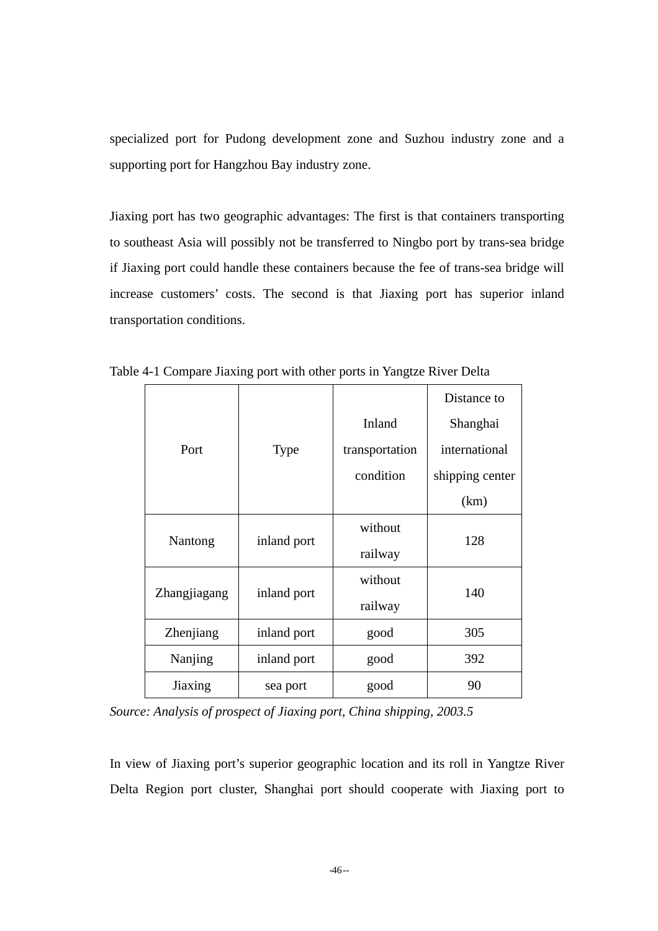specialized port for Pudong development zone and Suzhou industry zone and a supporting port for Hangzhou Bay industry zone.

Jiaxing port has two geographic advantages: The first is that containers transporting to southeast Asia will possibly not be transferred to Ningbo port by trans-sea bridge if Jiaxing port could handle these containers because the fee of trans-sea bridge will increase customers' costs. The second is that Jiaxing port has superior inland transportation conditions.

|              |             |                | Distance to     |  |
|--------------|-------------|----------------|-----------------|--|
|              |             | Inland         | Shanghai        |  |
| Port         | Type        | transportation | international   |  |
|              |             | condition      | shipping center |  |
|              |             |                | (km)            |  |
|              |             | without        | 128             |  |
| Nantong      | inland port | railway        |                 |  |
|              | inland port | without        | 140             |  |
| Zhangjiagang |             | railway        |                 |  |
| Zhenjiang    | inland port | good           | 305             |  |
| Nanjing      | inland port | good           | 392             |  |
| Jiaxing      | sea port    | good           | 90              |  |

Table 4-1 Compare Jiaxing port with other ports in Yangtze River Delta

*Source: Analysis of prospect of Jiaxing port, China shipping, 2003.5* 

In view of Jiaxing port's superior geographic location and its roll in Yangtze River Delta Region port cluster, Shanghai port should cooperate with Jiaxing port to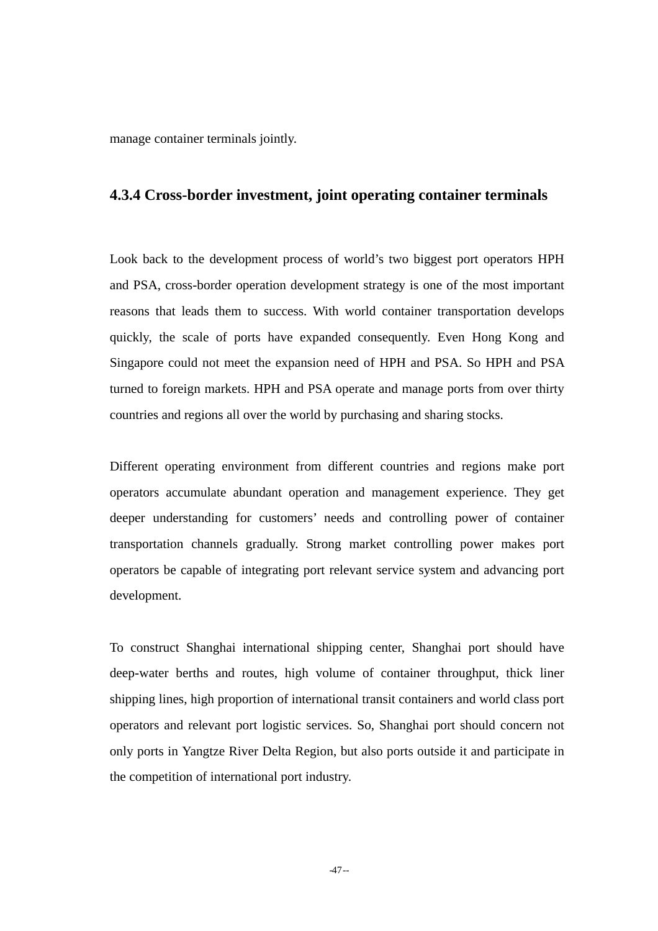manage container terminals jointly.

#### **4.3.4 Cross-border investment, joint operating container terminals**

Look back to the development process of world's two biggest port operators HPH and PSA, cross-border operation development strategy is one of the most important reasons that leads them to success. With world container transportation develops quickly, the scale of ports have expanded consequently. Even Hong Kong and Singapore could not meet the expansion need of HPH and PSA. So HPH and PSA turned to foreign markets. HPH and PSA operate and manage ports from over thirty countries and regions all over the world by purchasing and sharing stocks.

Different operating environment from different countries and regions make port operators accumulate abundant operation and management experience. They get deeper understanding for customers' needs and controlling power of container transportation channels gradually. Strong market controlling power makes port operators be capable of integrating port relevant service system and advancing port development.

To construct Shanghai international shipping center, Shanghai port should have deep-water berths and routes, high volume of container throughput, thick liner shipping lines, high proportion of international transit containers and world class port operators and relevant port logistic services. So, Shanghai port should concern not only ports in Yangtze River Delta Region, but also ports outside it and participate in the competition of international port industry.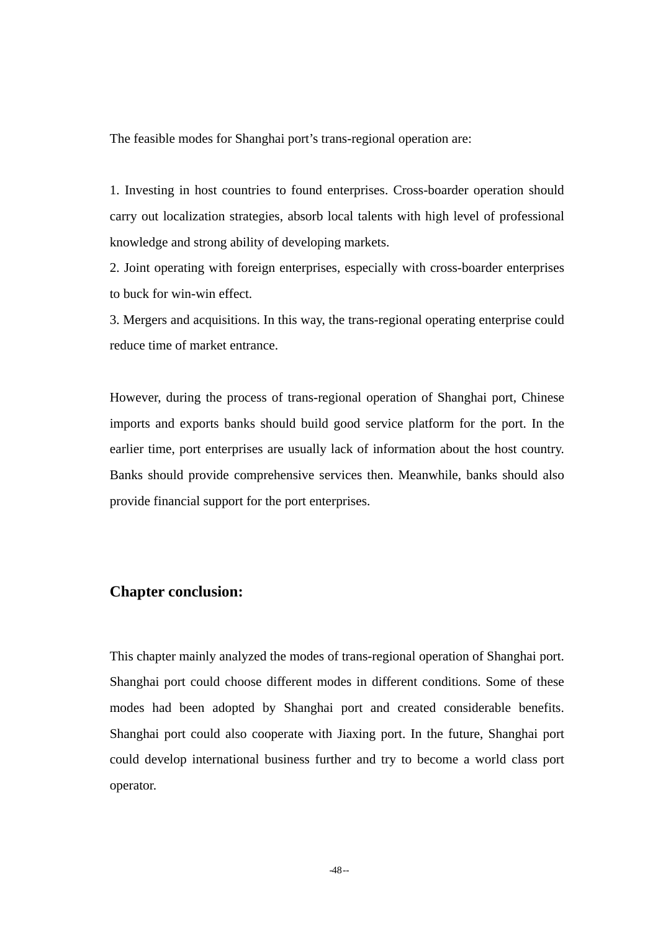The feasible modes for Shanghai port's trans-regional operation are:

1. Investing in host countries to found enterprises. Cross-boarder operation should carry out localization strategies, absorb local talents with high level of professional knowledge and strong ability of developing markets.

2. Joint operating with foreign enterprises, especially with cross-boarder enterprises to buck for win-win effect.

3. Mergers and acquisitions. In this way, the trans-regional operating enterprise could reduce time of market entrance.

However, during the process of trans-regional operation of Shanghai port, Chinese imports and exports banks should build good service platform for the port. In the earlier time, port enterprises are usually lack of information about the host country. Banks should provide comprehensive services then. Meanwhile, banks should also provide financial support for the port enterprises.

### **Chapter conclusion:**

This chapter mainly analyzed the modes of trans-regional operation of Shanghai port. Shanghai port could choose different modes in different conditions. Some of these modes had been adopted by Shanghai port and created considerable benefits. Shanghai port could also cooperate with Jiaxing port. In the future, Shanghai port could develop international business further and try to become a world class port operator.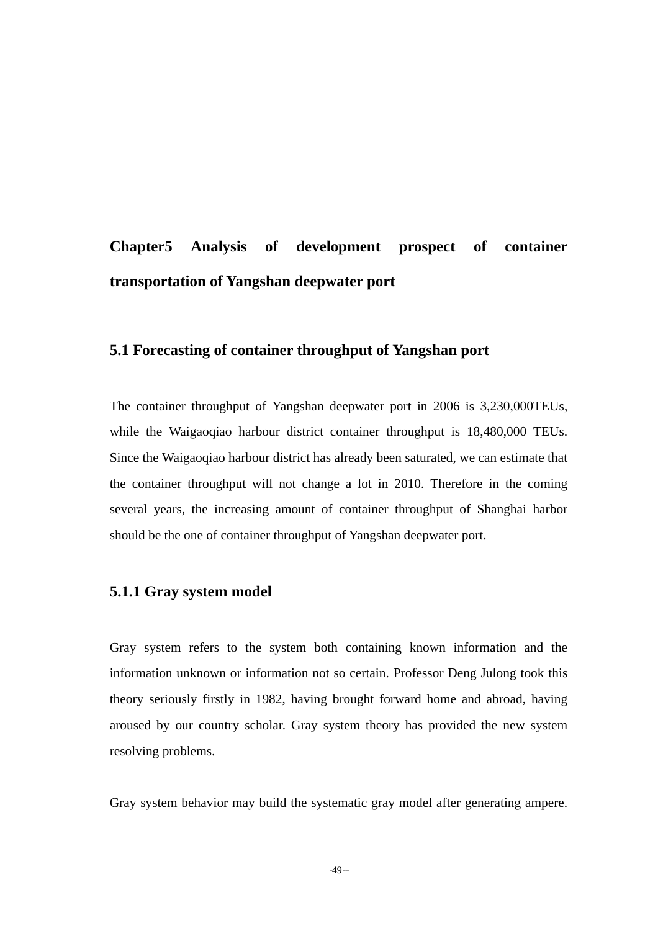## **Chapter5 Analysis of development prospect of container transportation of Yangshan deepwater port**

### **5.1 Forecasting of container throughput of Yangshan port**

The container throughput of Yangshan deepwater port in 2006 is 3,230,000TEUs, while the Waigaoqiao harbour district container throughput is 18,480,000 TEUs. Since the Waigaoqiao harbour district has already been saturated, we can estimate that the container throughput will not change a lot in 2010. Therefore in the coming several years, the increasing amount of container throughput of Shanghai harbor should be the one of container throughput of Yangshan deepwater port.

### **5.1.1 Gray system model**

Gray system refers to the system both containing known information and the information unknown or information not so certain. Professor Deng Julong took this theory seriously firstly in 1982, having brought forward home and abroad, having aroused by our country scholar. Gray system theory has provided the new system resolving problems.

Gray system behavior may build the systematic gray model after generating ampere.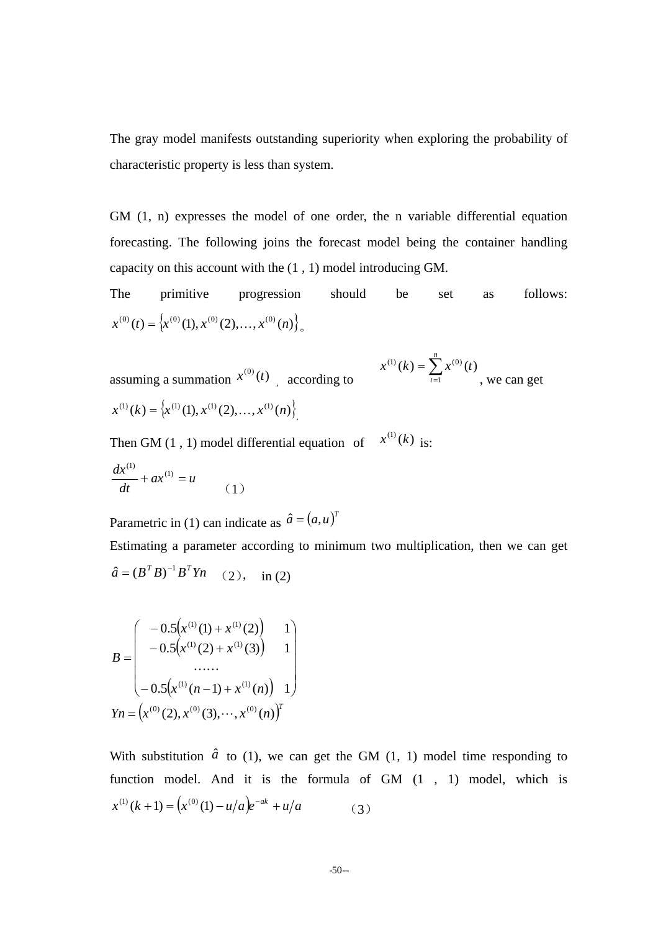The gray model manifests outstanding superiority when exploring the probability of characteristic property is less than system.

GM (1, n) expresses the model of one order, the n variable differential equation forecasting. The following joins the forecast model being the container handling capacity on this account with the (1 , 1) model introducing GM.

The primitive progression should be set as follows:  $x^{(0)}(t) = \left\{ x^{(0)}(1), x^{(0)}(2), \ldots, x^{(0)}(n) \right\}$ 

assuming a summation  $x^{(0)}(t)$  according to  $x^{(1)}(k) = \left\{ x^{(1)}(1), x^{(1)}(2), \ldots, x^{(1)}(n) \right\}$ 

$$
x^{(1)}(k) = \sum_{t=1}^{n} x^{(0)}(t)
$$
, we can get

Then GM (1, 1) model differential equation of  $x^{(1)}(k)$  is:

$$
\frac{dx^{(1)}}{dt} + ax^{(1)} = u \tag{1}
$$

Parametric in (1) can indicate as  $\hat{a} = (a, u)^T$ 

Estimating a parameter according to minimum two multiplication, then we can get  $\hat{a} = (B^T B)^{-1} B^T Y n$  (2), in (2)

$$
B = \begin{pmatrix} -0.5(x^{(1)}(1) + x^{(1)}(2)) & 1 \\ -0.5(x^{(1)}(2) + x^{(1)}(3)) & 1 \\ \dots \\ -0.5(x^{(1)}(n-1) + x^{(1)}(n)) & 1 \end{pmatrix}
$$

$$
Yn = (x^{(0)}(2), x^{(0)}(3), \dots, x^{(0)}(n))^{T}
$$

With substitution  $\hat{a}$  to (1), we can get the GM (1, 1) model time responding to function model. And it is the formula of GM (1 , 1) model, which is  $x^{(1)}(k+1) = (x^{(0)}(1) - u/a)e^{-ak} + u/a$ (3)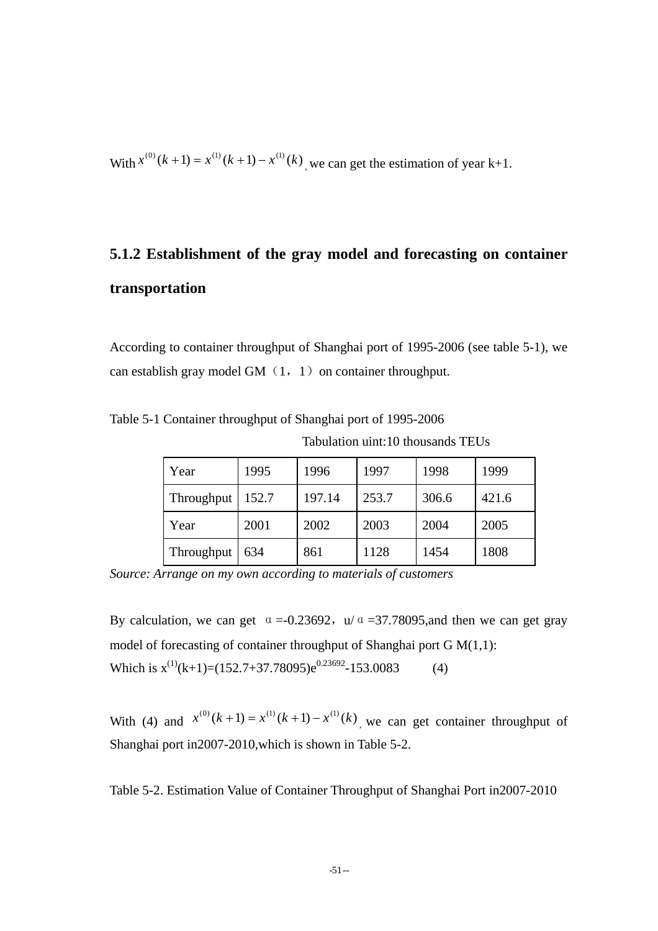With  $x^{(0)}(k+1) = x^{(1)}(k+1) - x^{(1)}(k)$ , we can get the estimation of year k+1.

# **5.1.2 Establishment of the gray model and forecasting on container transportation**

According to container throughput of Shanghai port of 1995-2006 (see table 5-1), we can establish gray model GM $(1, 1)$  on container throughput.

| Year       | 1995  | 1996   | 1997  | 1998  | 1999  |
|------------|-------|--------|-------|-------|-------|
| Throughput | 152.7 | 197.14 | 253.7 | 306.6 | 421.6 |
| Year       | 2001  | 2002   | 2003  | 2004  | 2005  |
| Throughput | 634   | 861    | 1128  | 1454  | 1808  |

Tabulation uint:10 thousands TEUs

Table 5-1 Container throughput of Shanghai port of 1995-2006

*Source: Arrange on my own according to materials of customers* 

By calculation, we can get  $\alpha = -0.23692$ ,  $\mu/\alpha = -37.78095$ , and then we can get gray model of forecasting of container throughput of Shanghai port G M(1,1): Which is  $x^{(1)}(k+1) = (152.7 + 37.78095)e^{0.23692} - 153.0083$  (4)

With (4) and  $x^{(0)}(k+1) = x^{(1)}(k+1) - x^{(1)}(k)$ , we can get container throughput of Shanghai port in2007-2010,which is shown in Table 5-2.

Table 5-2. Estimation Value of Container Throughput of Shanghai Port in2007-2010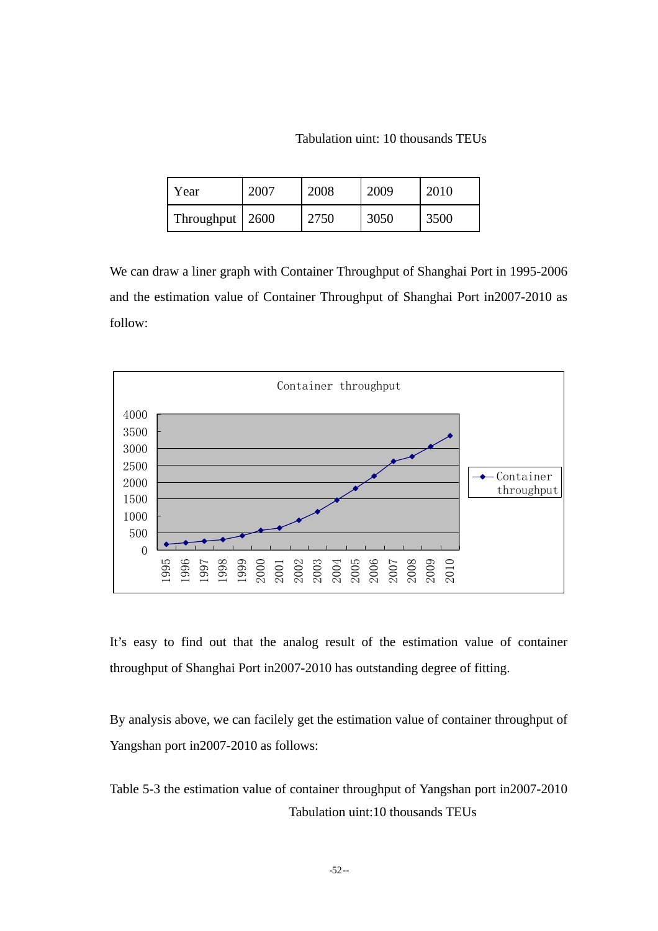Tabulation uint: 10 thousands TEUs

| Year              | 2007 | 2008 | 2009 | 2010 |
|-------------------|------|------|------|------|
| Throughput   2600 |      | 2750 | 3050 | 3500 |

We can draw a liner graph with Container Throughput of Shanghai Port in 1995-2006 and the estimation value of Container Throughput of Shanghai Port in2007-2010 as follow:



It's easy to find out that the analog result of the estimation value of container throughput of Shanghai Port in2007-2010 has outstanding degree of fitting.

By analysis above, we can facilely get the estimation value of container throughput of Yangshan port in2007-2010 as follows:

Table 5-3 the estimation value of container throughput of Yangshan port in2007-2010 Tabulation uint:10 thousands TEUs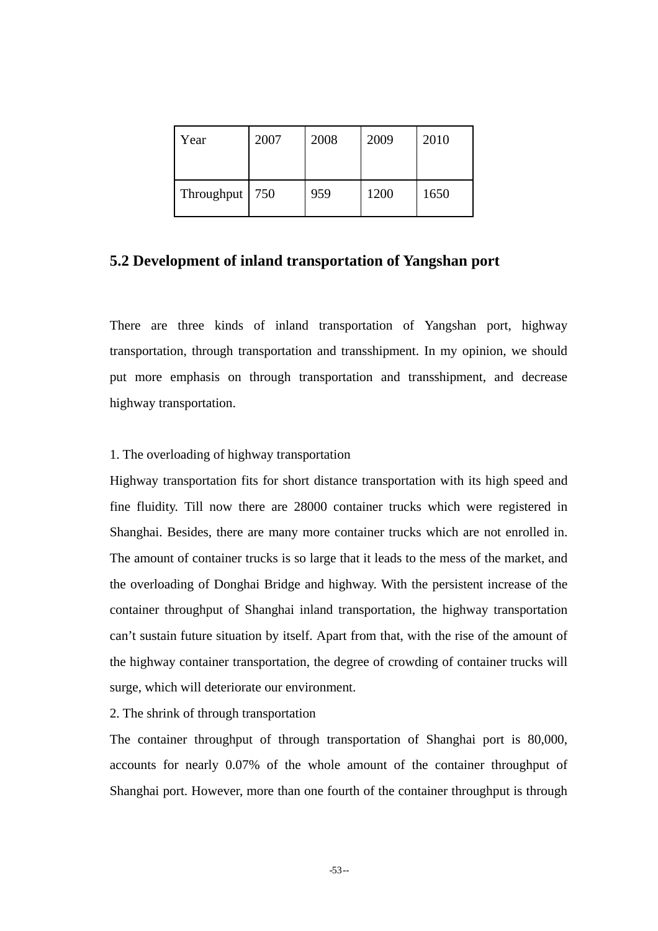| Year       | 2007 | 2008 | 2009 | 2010 |
|------------|------|------|------|------|
| Throughput | 750  | 959  | 1200 | 1650 |

### **5.2 Development of inland transportation of Yangshan port**

There are three kinds of inland transportation of Yangshan port, highway transportation, through transportation and transshipment. In my opinion, we should put more emphasis on through transportation and transshipment, and decrease highway transportation.

#### 1. The overloading of highway transportation

Highway transportation fits for short distance transportation with its high speed and fine fluidity. Till now there are 28000 container trucks which were registered in Shanghai. Besides, there are many more container trucks which are not enrolled in. The amount of container trucks is so large that it leads to the mess of the market, and the overloading of Donghai Bridge and highway. With the persistent increase of the container throughput of Shanghai inland transportation, the highway transportation can't sustain future situation by itself. Apart from that, with the rise of the amount of the highway container transportation, the degree of crowding of container trucks will surge, which will deteriorate our environment.

#### 2. The shrink of through transportation

The container throughput of through transportation of Shanghai port is 80,000, accounts for nearly 0.07% of the whole amount of the container throughput of Shanghai port. However, more than one fourth of the container throughput is through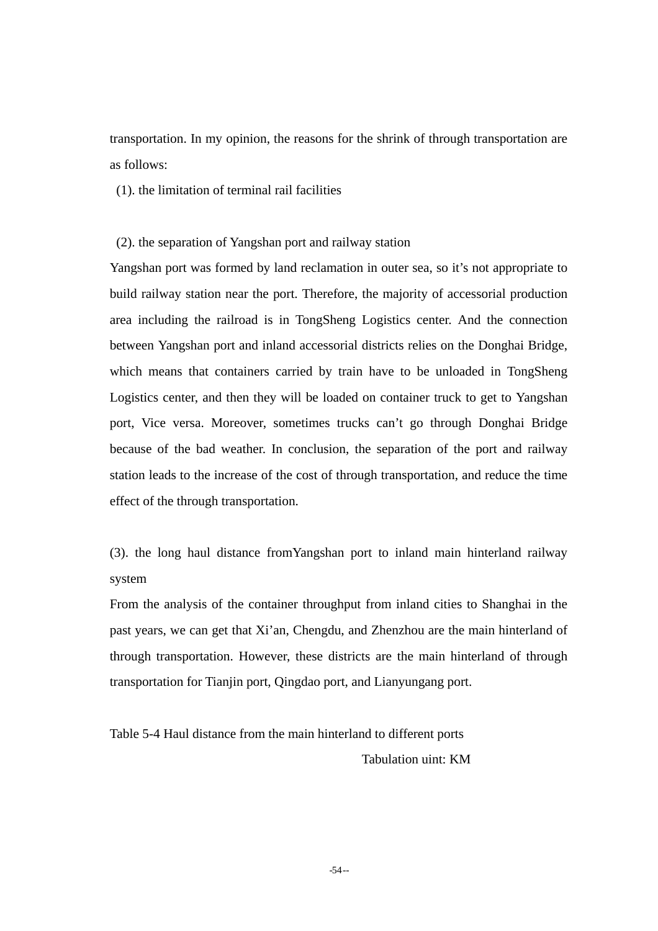transportation. In my opinion, the reasons for the shrink of through transportation are as follows:

(1). the limitation of terminal rail facilities

(2). the separation of Yangshan port and railway station

Yangshan port was formed by land reclamation in outer sea, so it's not appropriate to build railway station near the port. Therefore, the majority of accessorial production area including the railroad is in TongSheng Logistics center. And the connection between Yangshan port and inland accessorial districts relies on the Donghai Bridge, which means that containers carried by train have to be unloaded in TongSheng Logistics center, and then they will be loaded on container truck to get to Yangshan port, Vice versa. Moreover, sometimes trucks can't go through Donghai Bridge because of the bad weather. In conclusion, the separation of the port and railway station leads to the increase of the cost of through transportation, and reduce the time effect of the through transportation.

(3). the long haul distance fromYangshan port to inland main hinterland railway system

From the analysis of the container throughput from inland cities to Shanghai in the past years, we can get that Xi'an, Chengdu, and Zhenzhou are the main hinterland of through transportation. However, these districts are the main hinterland of through transportation for Tianjin port, Qingdao port, and Lianyungang port.

Table 5-4 Haul distance from the main hinterland to different ports Tabulation uint: KM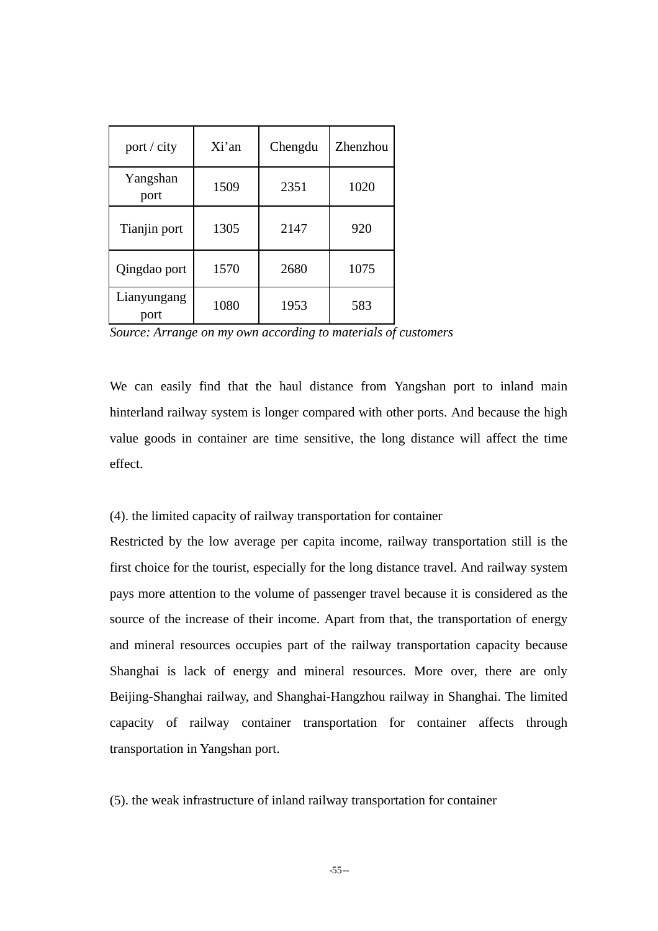| port / city         | Xi'an | Chengdu | Zhenzhou |
|---------------------|-------|---------|----------|
| Yangshan<br>port    | 1509  | 2351    | 1020     |
| Tianjin port        | 1305  | 2147    | 920      |
| Qingdao port        | 1570  | 2680    | 1075     |
| Lianyungang<br>port | 1080  | 1953    | 583      |

*Source: Arrange on my own according to materials of customers* 

We can easily find that the haul distance from Yangshan port to inland main hinterland railway system is longer compared with other ports. And because the high value goods in container are time sensitive, the long distance will affect the time effect.

(4). the limited capacity of railway transportation for container

Restricted by the low average per capita income, railway transportation still is the first choice for the tourist, especially for the long distance travel. And railway system pays more attention to the volume of passenger travel because it is considered as the source of the increase of their income. Apart from that, the transportation of energy and mineral resources occupies part of the railway transportation capacity because Shanghai is lack of energy and mineral resources. More over, there are only Beijing-Shanghai railway, and Shanghai-Hangzhou railway in Shanghai. The limited capacity of railway container transportation for container affects through transportation in Yangshan port.

(5). the weak infrastructure of inland railway transportation for container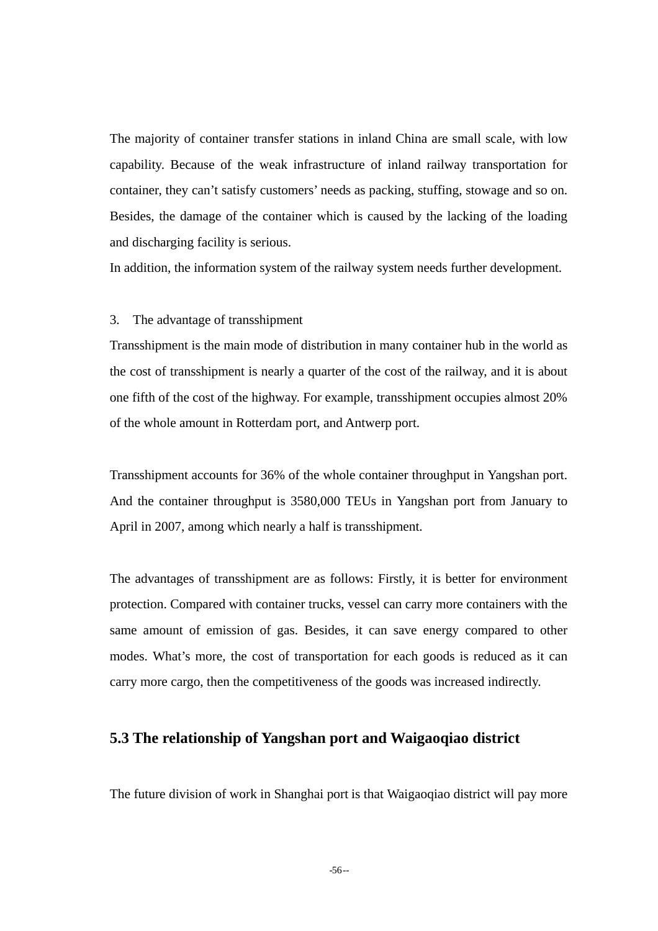The majority of container transfer stations in inland China are small scale, with low capability. Because of the weak infrastructure of inland railway transportation for container, they can't satisfy customers' needs as packing, stuffing, stowage and so on. Besides, the damage of the container which is caused by the lacking of the loading and discharging facility is serious.

In addition, the information system of the railway system needs further development.

#### 3. The advantage of transshipment

Transshipment is the main mode of distribution in many container hub in the world as the cost of transshipment is nearly a quarter of the cost of the railway, and it is about one fifth of the cost of the highway. For example, transshipment occupies almost 20% of the whole amount in Rotterdam port, and Antwerp port.

Transshipment accounts for 36% of the whole container throughput in Yangshan port. And the container throughput is 3580,000 TEUs in Yangshan port from January to April in 2007, among which nearly a half is transshipment.

The advantages of transshipment are as follows: Firstly, it is better for environment protection. Compared with container trucks, vessel can carry more containers with the same amount of emission of gas. Besides, it can save energy compared to other modes. What's more, the cost of transportation for each goods is reduced as it can carry more cargo, then the competitiveness of the goods was increased indirectly.

#### **5.3 The relationship of Yangshan port and Waigaoqiao district**

The future division of work in Shanghai port is that Waigaoqiao district will pay more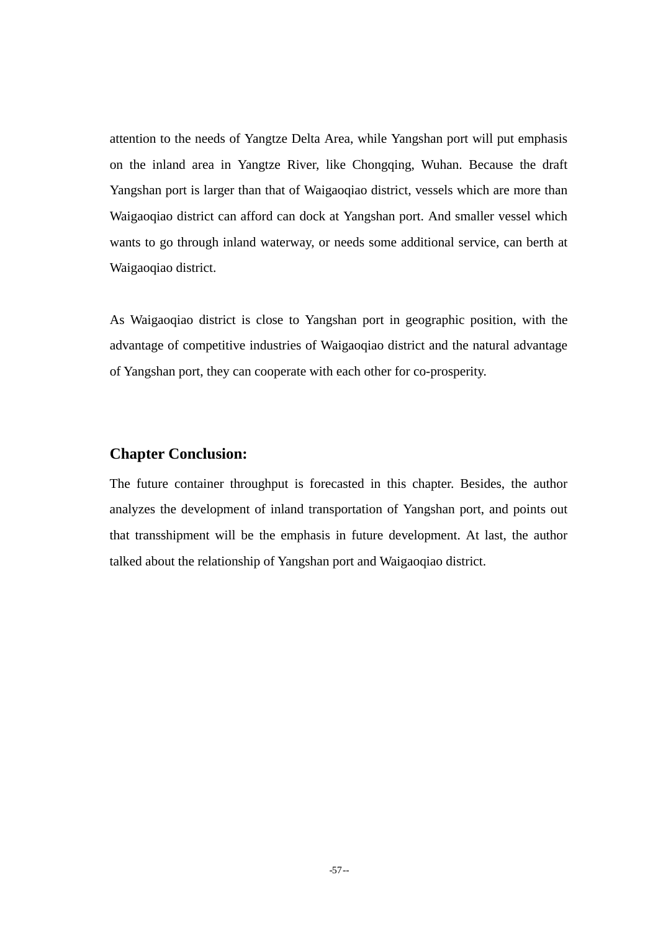attention to the needs of Yangtze Delta Area, while Yangshan port will put emphasis on the inland area in Yangtze River, like Chongqing, Wuhan. Because the draft Yangshan port is larger than that of Waigaoqiao district, vessels which are more than Waigaoqiao district can afford can dock at Yangshan port. And smaller vessel which wants to go through inland waterway, or needs some additional service, can berth at Waigaoqiao district.

As Waigaoqiao district is close to Yangshan port in geographic position, with the advantage of competitive industries of Waigaoqiao district and the natural advantage of Yangshan port, they can cooperate with each other for co-prosperity.

#### **Chapter Conclusion:**

The future container throughput is forecasted in this chapter. Besides, the author analyzes the development of inland transportation of Yangshan port, and points out that transshipment will be the emphasis in future development. At last, the author talked about the relationship of Yangshan port and Waigaoqiao district.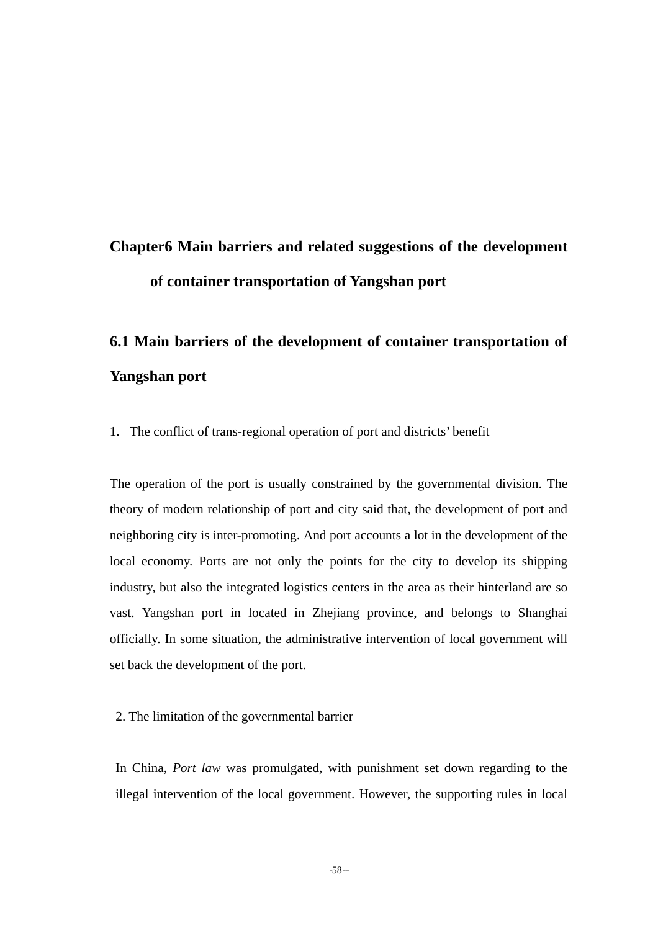## **Chapter6 Main barriers and related suggestions of the development of container transportation of Yangshan port**

## **6.1 Main barriers of the development of container transportation of Yangshan port**

1. The conflict of trans-regional operation of port and districts' benefit

The operation of the port is usually constrained by the governmental division. The theory of modern relationship of port and city said that, the development of port and neighboring city is inter-promoting. And port accounts a lot in the development of the local economy. Ports are not only the points for the city to develop its shipping industry, but also the integrated logistics centers in the area as their hinterland are so vast. Yangshan port in located in Zhejiang province, and belongs to Shanghai officially. In some situation, the administrative intervention of local government will set back the development of the port.

2. The limitation of the governmental barrier

In China, *Port law* was promulgated, with punishment set down regarding to the illegal intervention of the local government. However, the supporting rules in local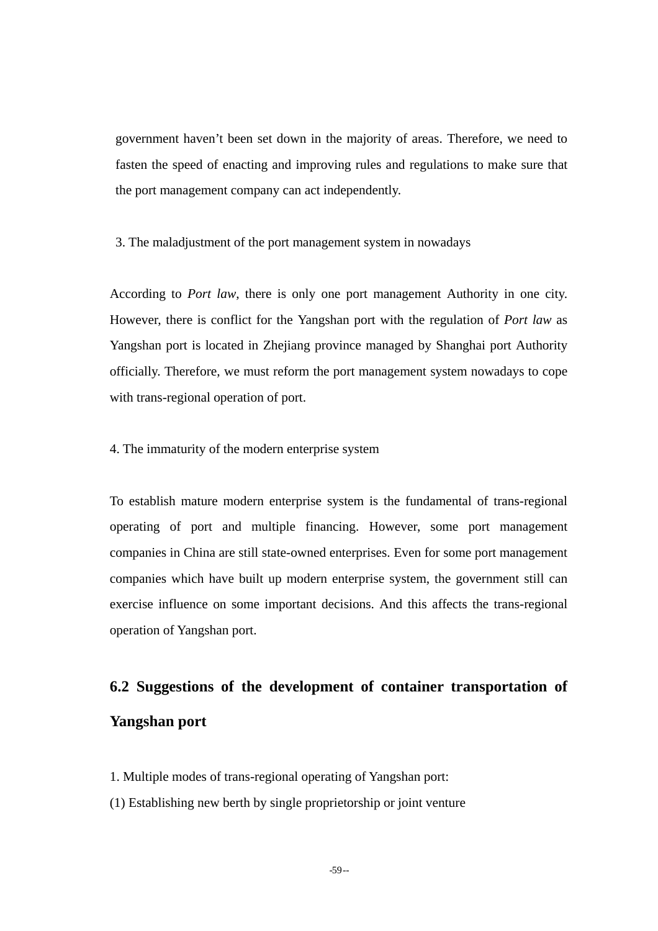government haven't been set down in the majority of areas. Therefore, we need to fasten the speed of enacting and improving rules and regulations to make sure that the port management company can act independently.

3. The maladjustment of the port management system in nowadays

According to *Port law*, there is only one port management Authority in one city. However, there is conflict for the Yangshan port with the regulation of *Port law* as Yangshan port is located in Zhejiang province managed by Shanghai port Authority officially. Therefore, we must reform the port management system nowadays to cope with trans-regional operation of port.

4. The immaturity of the modern enterprise system

To establish mature modern enterprise system is the fundamental of trans-regional operating of port and multiple financing. However, some port management companies in China are still state-owned enterprises. Even for some port management companies which have built up modern enterprise system, the government still can exercise influence on some important decisions. And this affects the trans-regional operation of Yangshan port.

## **6.2 Suggestions of the development of container transportation of Yangshan port**

- 1. Multiple modes of trans-regional operating of Yangshan port:
- (1) Establishing new berth by single proprietorship or joint venture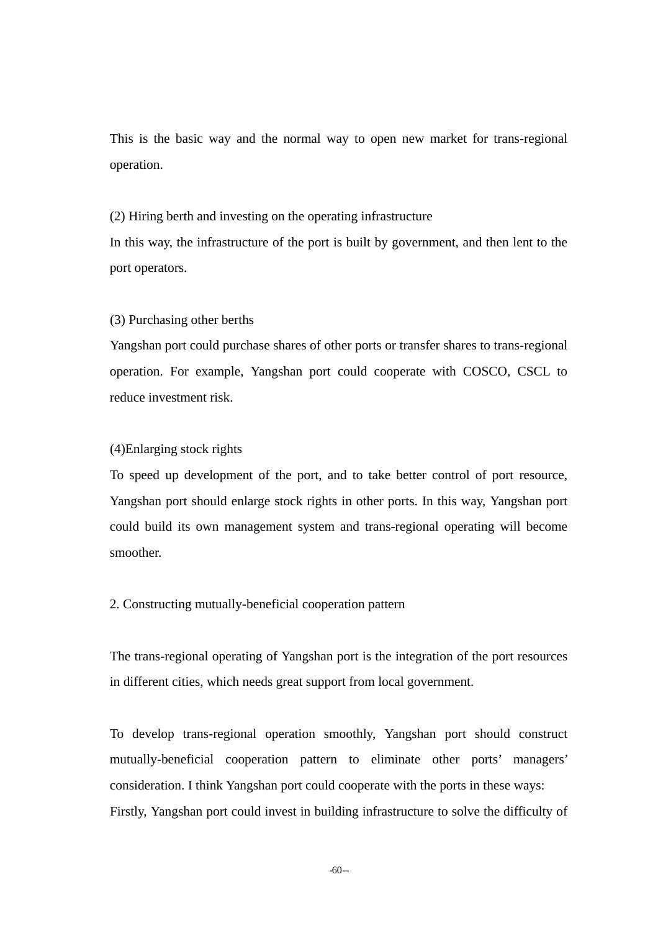This is the basic way and the normal way to open new market for trans-regional operation.

(2) Hiring berth and investing on the operating infrastructure In this way, the infrastructure of the port is built by government, and then lent to the port operators.

(3) Purchasing other berths

Yangshan port could purchase shares of other ports or transfer shares to trans-regional operation. For example, Yangshan port could cooperate with COSCO, CSCL to reduce investment risk.

#### (4)Enlarging stock rights

To speed up development of the port, and to take better control of port resource, Yangshan port should enlarge stock rights in other ports. In this way, Yangshan port could build its own management system and trans-regional operating will become smoother.

#### 2. Constructing mutually-beneficial cooperation pattern

The trans-regional operating of Yangshan port is the integration of the port resources in different cities, which needs great support from local government.

To develop trans-regional operation smoothly, Yangshan port should construct mutually-beneficial cooperation pattern to eliminate other ports' managers' consideration. I think Yangshan port could cooperate with the ports in these ways: Firstly, Yangshan port could invest in building infrastructure to solve the difficulty of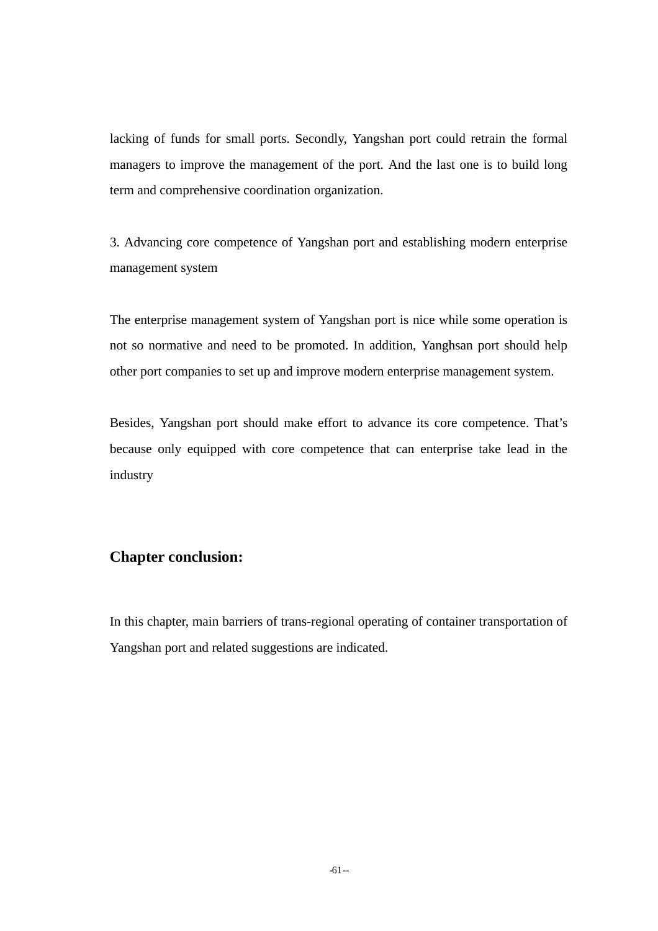lacking of funds for small ports. Secondly, Yangshan port could retrain the formal managers to improve the management of the port. And the last one is to build long term and comprehensive coordination organization.

3. Advancing core competence of Yangshan port and establishing modern enterprise management system

The enterprise management system of Yangshan port is nice while some operation is not so normative and need to be promoted. In addition, Yanghsan port should help other port companies to set up and improve modern enterprise management system.

Besides, Yangshan port should make effort to advance its core competence. That's because only equipped with core competence that can enterprise take lead in the industry

## **Chapter conclusion:**

In this chapter, main barriers of trans-regional operating of container transportation of Yangshan port and related suggestions are indicated.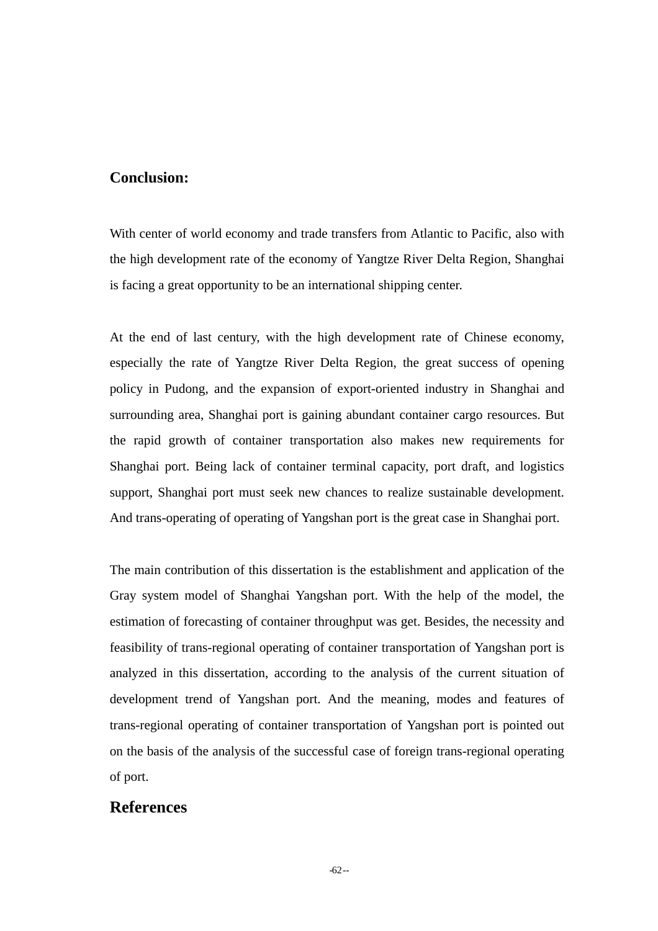### **Conclusion:**

With center of world economy and trade transfers from Atlantic to Pacific, also with the high development rate of the economy of Yangtze River Delta Region, Shanghai is facing a great opportunity to be an international shipping center.

At the end of last century, with the high development rate of Chinese economy, especially the rate of Yangtze River Delta Region, the great success of opening policy in Pudong, and the expansion of export-oriented industry in Shanghai and surrounding area, Shanghai port is gaining abundant container cargo resources. But the rapid growth of container transportation also makes new requirements for Shanghai port. Being lack of container terminal capacity, port draft, and logistics support, Shanghai port must seek new chances to realize sustainable development. And trans-operating of operating of Yangshan port is the great case in Shanghai port.

The main contribution of this dissertation is the establishment and application of the Gray system model of Shanghai Yangshan port. With the help of the model, the estimation of forecasting of container throughput was get. Besides, the necessity and feasibility of trans-regional operating of container transportation of Yangshan port is analyzed in this dissertation, according to the analysis of the current situation of development trend of Yangshan port. And the meaning, modes and features of trans-regional operating of container transportation of Yangshan port is pointed out on the basis of the analysis of the successful case of foreign trans-regional operating of port.

### **References**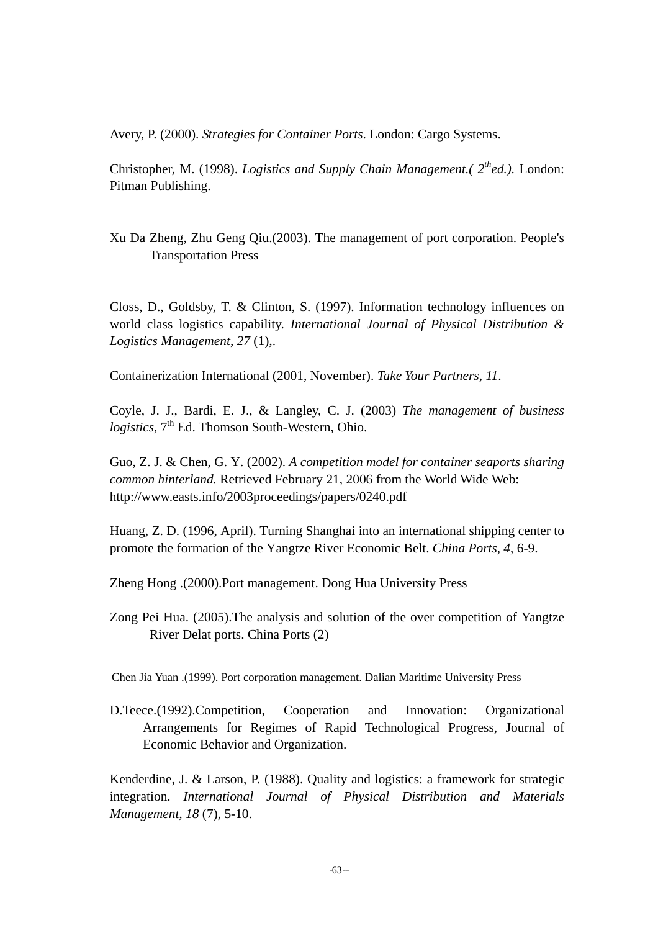Avery, P. (2000). *Strategies for Container Ports*. London: Cargo Systems.

Christopher, M. (1998). *Logistics and Supply Chain Management.*( $2^{th}$ ed.). London: Pitman Publishing.

Xu Da Zheng, Zhu Geng Qiu.(2003). The management of port corporation. People's Transportation Press

Closs, D., Goldsby, T. & Clinton, S. (1997). Information technology influences on world class logistics capability. *International Journal of Physical Distribution & Logistics Management*, *27* (1),.

Containerization International (2001, November). *Take Your Partners*, *11*.

Coyle, J. J., Bardi, E. J., & Langley, C. J. (2003) *The management of business logistics*, 7<sup>th</sup> Ed. Thomson South-Western, Ohio.

Guo, Z. J. & Chen, G. Y. (2002). *A competition model for container seaports sharing common hinterland.* Retrieved February 21, 2006 from the World Wide Web: http://www.easts.info/2003proceedings/papers/0240.pdf

Huang, Z. D. (1996, April). Turning Shanghai into an international shipping center to promote the formation of the Yangtze River Economic Belt. *China Ports*, *4*, 6-9.

Zheng Hong .(2000).Port management. Dong Hua University Press

Zong Pei Hua. (2005).The analysis and solution of the over competition of Yangtze River Delat ports. China Ports (2)

Chen Jia Yuan .(1999). Port corporation management. Dalian Maritime University Press

D.Teece.(1992).Competition, Cooperation and Innovation: Organizational Arrangements for Regimes of Rapid Technological Progress, Journal of Economic Behavior and Organization.

Kenderdine, J. & Larson, P. (1988). Quality and logistics: a framework for strategic integration. *International Journal of Physical Distribution and Materials Management, 18* (7), 5-10.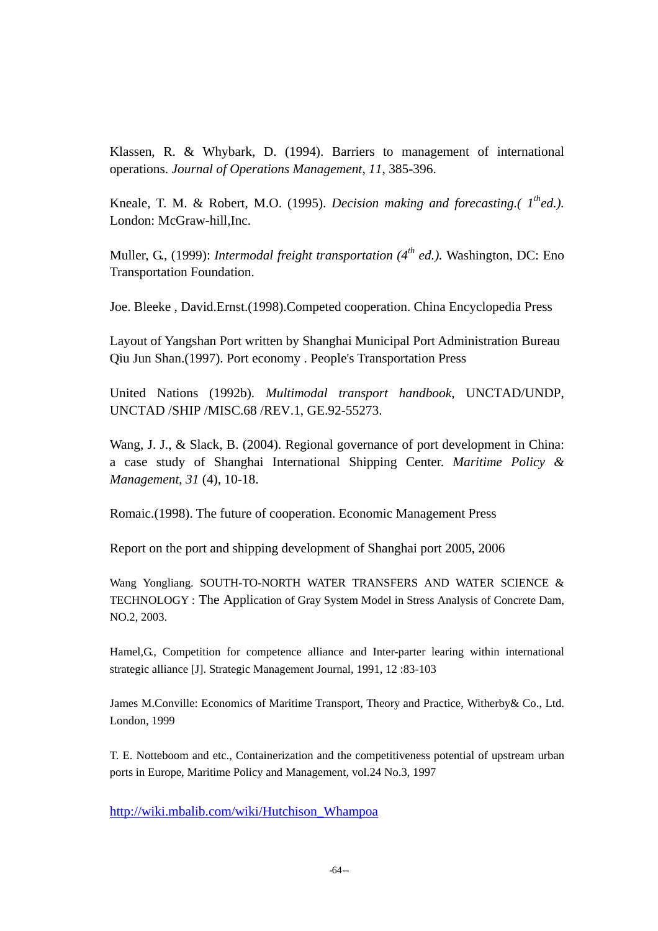Klassen, R. & Whybark, D. (1994). Barriers to management of international operations. *Journal of Operations Management*, *11*, 385-396.

Kneale, T. M. & Robert, M.O. (1995). *Decision making and forecasting.( 1thed.).*  London: McGraw-hill,Inc.

Muller, G., (1999): *Intermodal freight transportation* (4<sup>th</sup> ed.). Washington, DC: Eno Transportation Foundation.

Joe. Bleeke , David.Ernst.(1998).Competed cooperation. China Encyclopedia Press

Layout of Yangshan Port written by Shanghai Municipal Port Administration Bureau Qiu Jun Shan.(1997). Port economy . People's Transportation Press

United Nations (1992b). *Multimodal transport handbook*, UNCTAD/UNDP, UNCTAD /SHIP /MISC.68 /REV.1, GE.92-55273.

Wang, J. J., & Slack, B. (2004). Regional governance of port development in China: a case study of Shanghai International Shipping Center. *Maritime Policy & Management*, *31* (4), 10-18.

Romaic.(1998). The future of cooperation. Economic Management Press

Report on the port and shipping development of Shanghai port 2005, 2006

Wang Yongliang. SOUTH-TO-NORTH WATER TRANSFERS AND WATER SCIENCE & TECHNOLOGY : The Application of Gray System Model in Stress Analysis of Concrete Dam, NO.2, 2003.

Hamel,G., Competition for competence alliance and Inter-parter learing within international strategic alliance [J]. Strategic Management Journal, 1991, 12 :83-103

James M.Conville: Economics of Maritime Transport, Theory and Practice, Witherby& Co., Ltd. London, 1999

T. E. Notteboom and etc., Containerization and the competitiveness potential of upstream urban ports in Europe, Maritime Policy and Management, vol.24 No.3, 1997

http://wiki.mbalib.com/wiki/Hutchison\_Whampoa